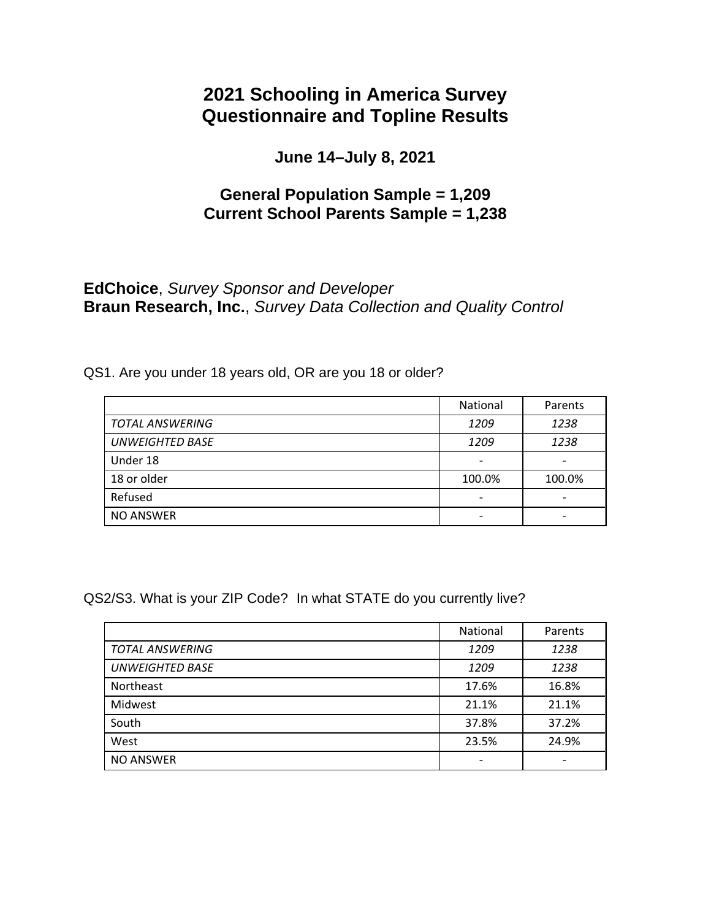# **2021 Schooling in America Survey Questionnaire and Topline Results**

**June 14–July 8, 2021** 

# **General Population Sample = 1,209 Current School Parents Sample = 1,238**

# **EdChoice**, *Survey Sponsor and Developer*  **Braun Research, Inc.**, *Survey Data Collection and Quality Control*

QS1. Are you under 18 years old, OR are you 18 or older?

|                        | National                 | Parents |
|------------------------|--------------------------|---------|
| <b>TOTAL ANSWERING</b> | 1209                     | 1238    |
| <b>UNWEIGHTED BASE</b> | 1209                     | 1238    |
| Under 18               | $\qquad \qquad$          |         |
| 18 or older            | 100.0%                   | 100.0%  |
| Refused                | $\overline{\phantom{0}}$ |         |
| <b>NO ANSWER</b>       |                          |         |

QS2/S3. What is your ZIP Code? In what STATE do you currently live?

|                        | <b>National</b>          | Parents |
|------------------------|--------------------------|---------|
| <b>TOTAL ANSWERING</b> | 1209                     | 1238    |
| <b>UNWEIGHTED BASE</b> | 1209                     | 1238    |
| Northeast              | 17.6%                    | 16.8%   |
| Midwest                | 21.1%                    | 21.1%   |
| South                  | 37.8%                    | 37.2%   |
| West                   | 23.5%                    | 24.9%   |
| <b>NO ANSWER</b>       | $\overline{\phantom{a}}$ |         |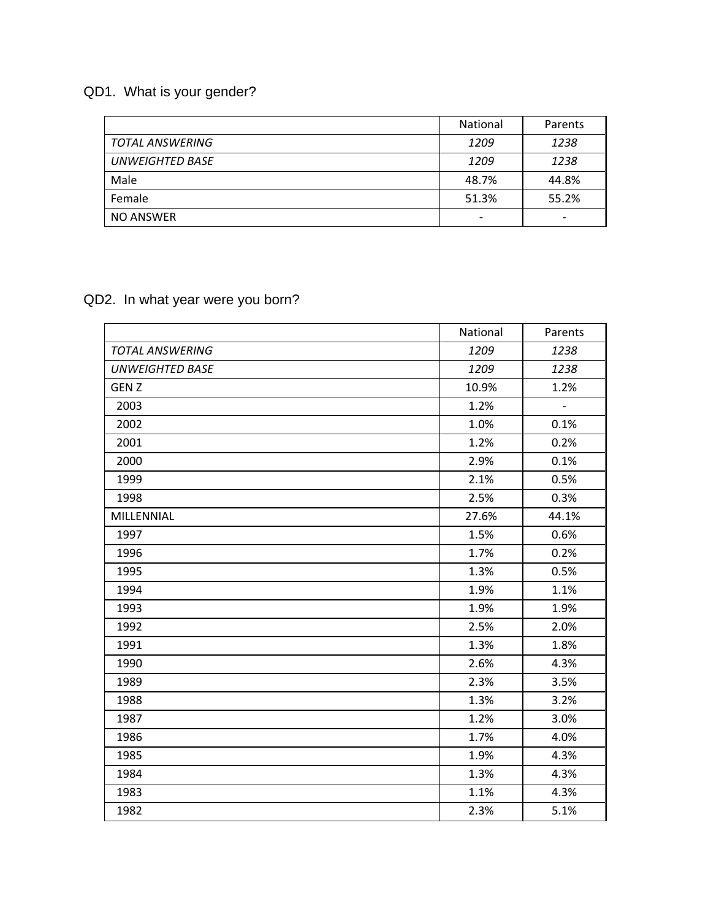# QD1. What is your gender?

|                        | <b>National</b>          | Parents                  |
|------------------------|--------------------------|--------------------------|
| <b>TOTAL ANSWERING</b> | 1209                     | 1238                     |
| <b>UNWEIGHTED BASE</b> | 1209                     | 1238                     |
| Male                   | 48.7%                    | 44.8%                    |
| Female                 | 51.3%                    | 55.2%                    |
| <b>NO ANSWER</b>       | $\overline{\phantom{0}}$ | $\overline{\phantom{0}}$ |

# QD2. In what year were you born?

|                        | National | Parents        |
|------------------------|----------|----------------|
| <b>TOTAL ANSWERING</b> | 1209     | 1238           |
| <b>UNWEIGHTED BASE</b> | 1209     | 1238           |
| <b>GENZ</b>            | 10.9%    | 1.2%           |
| 2003                   | 1.2%     | $\blacksquare$ |
| 2002                   | 1.0%     | 0.1%           |
| 2001                   | 1.2%     | 0.2%           |
| 2000                   | 2.9%     | 0.1%           |
| 1999                   | 2.1%     | 0.5%           |
| 1998                   | 2.5%     | 0.3%           |
| MILLENNIAL             | 27.6%    | 44.1%          |
| 1997                   | 1.5%     | 0.6%           |
| 1996                   | 1.7%     | 0.2%           |
| 1995                   | 1.3%     | 0.5%           |
| 1994                   | 1.9%     | 1.1%           |
| 1993                   | 1.9%     | 1.9%           |
| 1992                   | 2.5%     | 2.0%           |
| 1991                   | 1.3%     | 1.8%           |
| 1990                   | 2.6%     | 4.3%           |
| 1989                   | 2.3%     | 3.5%           |
| 1988                   | 1.3%     | 3.2%           |
| 1987                   | 1.2%     | 3.0%           |
| 1986                   | 1.7%     | 4.0%           |
| 1985                   | 1.9%     | 4.3%           |
| 1984                   | 1.3%     | 4.3%           |
| 1983                   | 1.1%     | 4.3%           |
| 1982                   | 2.3%     | 5.1%           |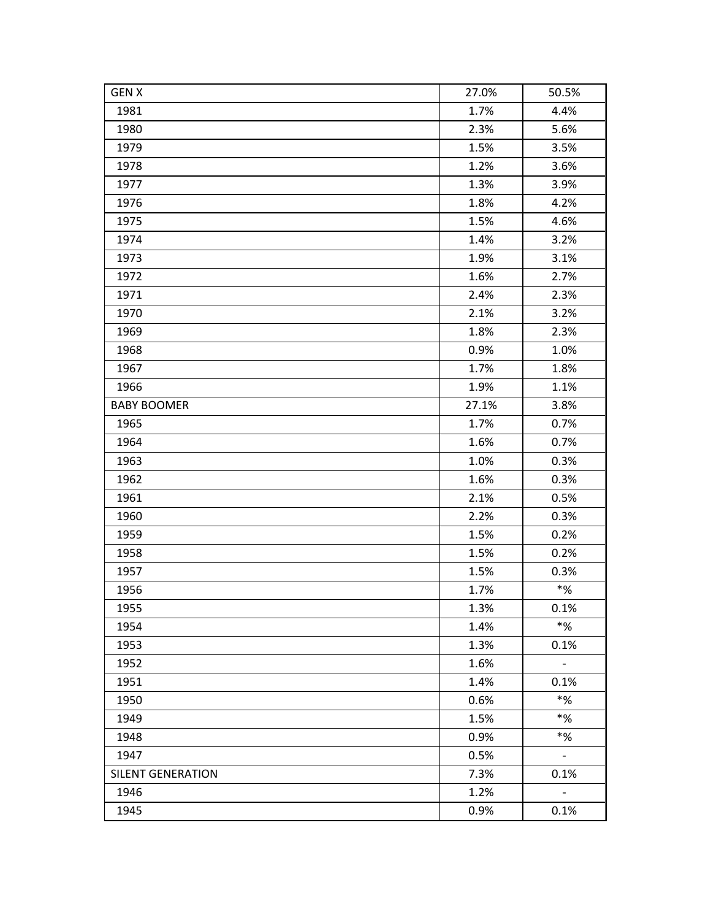| <b>GEN X</b>             | 27.0% | 50.5%                    |
|--------------------------|-------|--------------------------|
| 1981                     | 1.7%  | 4.4%                     |
| 1980                     | 2.3%  | 5.6%                     |
| 1979                     | 1.5%  | 3.5%                     |
| 1978                     | 1.2%  | 3.6%                     |
| 1977                     | 1.3%  | 3.9%                     |
| 1976                     | 1.8%  | 4.2%                     |
| 1975                     | 1.5%  | 4.6%                     |
| 1974                     | 1.4%  | 3.2%                     |
| 1973                     | 1.9%  | 3.1%                     |
| 1972                     | 1.6%  | 2.7%                     |
| 1971                     | 2.4%  | 2.3%                     |
| 1970                     | 2.1%  | 3.2%                     |
| 1969                     | 1.8%  | 2.3%                     |
| 1968                     | 0.9%  | 1.0%                     |
| 1967                     | 1.7%  | 1.8%                     |
| 1966                     | 1.9%  | 1.1%                     |
| <b>BABY BOOMER</b>       | 27.1% | 3.8%                     |
| 1965                     | 1.7%  | 0.7%                     |
| 1964                     | 1.6%  | 0.7%                     |
| 1963                     | 1.0%  | 0.3%                     |
| 1962                     | 1.6%  | 0.3%                     |
| 1961                     | 2.1%  | 0.5%                     |
| 1960                     | 2.2%  | 0.3%                     |
| 1959                     | 1.5%  | 0.2%                     |
| 1958                     | 1.5%  | 0.2%                     |
| 1957                     | 1.5%  | 0.3%                     |
| 1956                     | 1.7%  | $\boldsymbol{*}$ %       |
| 1955                     | 1.3%  | 0.1%                     |
| 1954                     | 1.4%  | $\boldsymbol{*}$ %       |
| 1953                     | 1.3%  | 0.1%                     |
| 1952                     | 1.6%  | $\overline{\phantom{a}}$ |
| 1951                     | 1.4%  | 0.1%                     |
| 1950                     | 0.6%  | $*$ %                    |
| 1949                     | 1.5%  | $\boldsymbol{*}$ %       |
| 1948                     | 0.9%  | $*%$                     |
| 1947                     | 0.5%  | $\mathbb{L}^+$           |
| <b>SILENT GENERATION</b> | 7.3%  | 0.1%                     |
| 1946                     | 1.2%  | $\overline{\phantom{a}}$ |
| 1945                     | 0.9%  | 0.1%                     |
|                          |       |                          |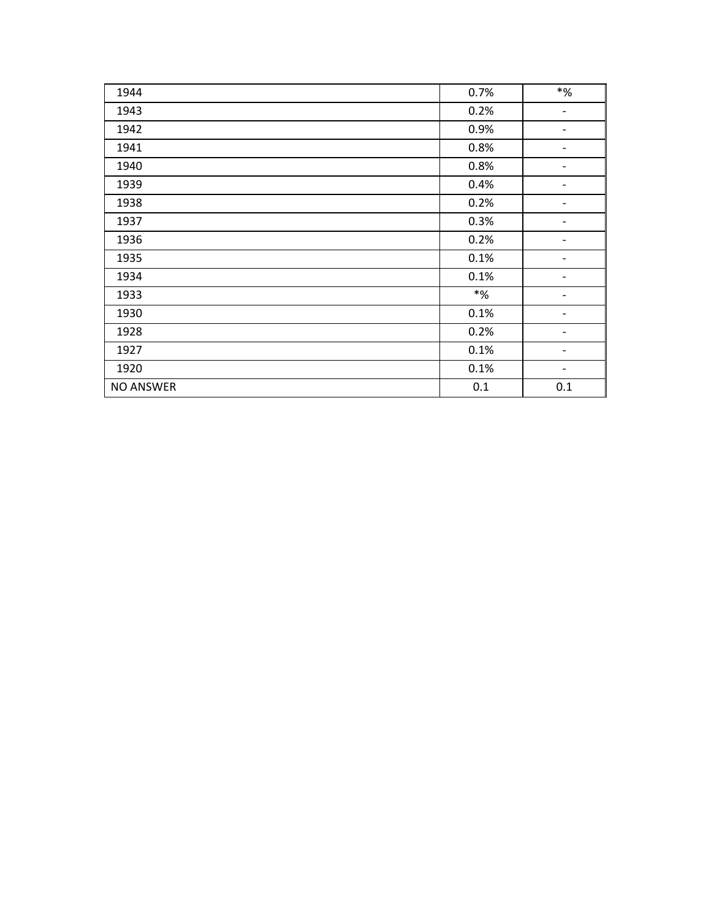| 1944             | 0.7%               | $\boldsymbol{*}$ %           |
|------------------|--------------------|------------------------------|
| 1943             | 0.2%               | $\overline{\phantom{a}}$     |
| 1942             | 0.9%               |                              |
| 1941             | 0.8%               |                              |
| 1940             | 0.8%               | $\qquad \qquad \blacksquare$ |
| 1939             | 0.4%               | $\overline{\phantom{a}}$     |
| 1938             | 0.2%               |                              |
| 1937             | 0.3%               |                              |
| 1936             | 0.2%               |                              |
| 1935             | 0.1%               | -                            |
| 1934             | 0.1%               | $\qquad \qquad \blacksquare$ |
| 1933             | $\boldsymbol{*}$ % |                              |
| 1930             | 0.1%               |                              |
| 1928             | 0.2%               |                              |
| 1927             | 0.1%               | $\qquad \qquad \blacksquare$ |
| 1920             | 0.1%               | $\overline{\phantom{a}}$     |
| <b>NO ANSWER</b> | 0.1                | 0.1                          |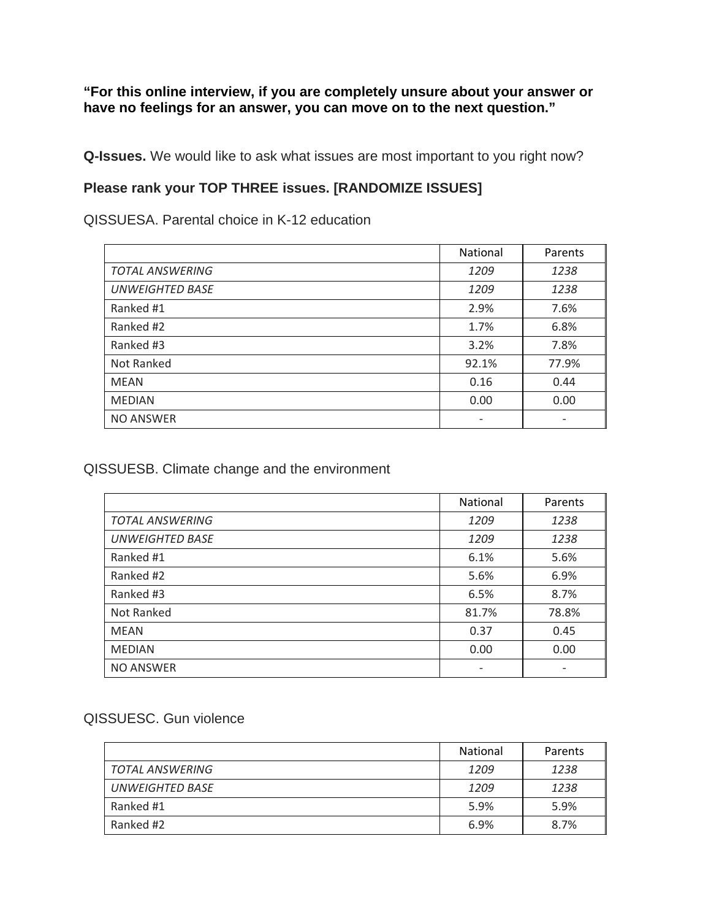**"For this online interview, if you are completely unsure about your answer or have no feelings for an answer, you can move on to the next question."** 

**Q-Issues.** We would like to ask what issues are most important to you right now?

### **Please rank your TOP THREE issues. [RANDOMIZE ISSUES]**

QISSUESA. Parental choice in K-12 education

|                        | National                 | Parents                  |
|------------------------|--------------------------|--------------------------|
| <b>TOTAL ANSWERING</b> | 1209                     | 1238                     |
| <b>UNWEIGHTED BASE</b> | 1209                     | 1238                     |
| Ranked #1              | 2.9%                     | 7.6%                     |
| Ranked #2              | 1.7%                     | 6.8%                     |
| Ranked #3              | 3.2%                     | 7.8%                     |
| Not Ranked             | 92.1%                    | 77.9%                    |
| <b>MEAN</b>            | 0.16                     | 0.44                     |
| <b>MEDIAN</b>          | 0.00                     | 0.00                     |
| <b>NO ANSWER</b>       | $\overline{\phantom{a}}$ | $\overline{\phantom{0}}$ |

### QISSUESB. Climate change and the environment

|                        | National | Parents |
|------------------------|----------|---------|
| <b>TOTAL ANSWERING</b> | 1209     | 1238    |
| <b>UNWEIGHTED BASE</b> | 1209     | 1238    |
| Ranked #1              | 6.1%     | 5.6%    |
| Ranked #2              | 5.6%     | 6.9%    |
| Ranked #3              | 6.5%     | 8.7%    |
| Not Ranked             | 81.7%    | 78.8%   |
| <b>MEAN</b>            | 0.37     | 0.45    |
| <b>MEDIAN</b>          | 0.00     | 0.00    |
| <b>NO ANSWER</b>       |          |         |

#### QISSUESC. Gun violence

|                        | <b>National</b> | Parents |
|------------------------|-----------------|---------|
| TOTAL ANSWERING        | 1209            | 1238    |
| <b>UNWEIGHTED BASE</b> | 1209            | 1238    |
| Ranked #1              | 5.9%            | 5.9%    |
| Ranked #2              | 6.9%            | 8.7%    |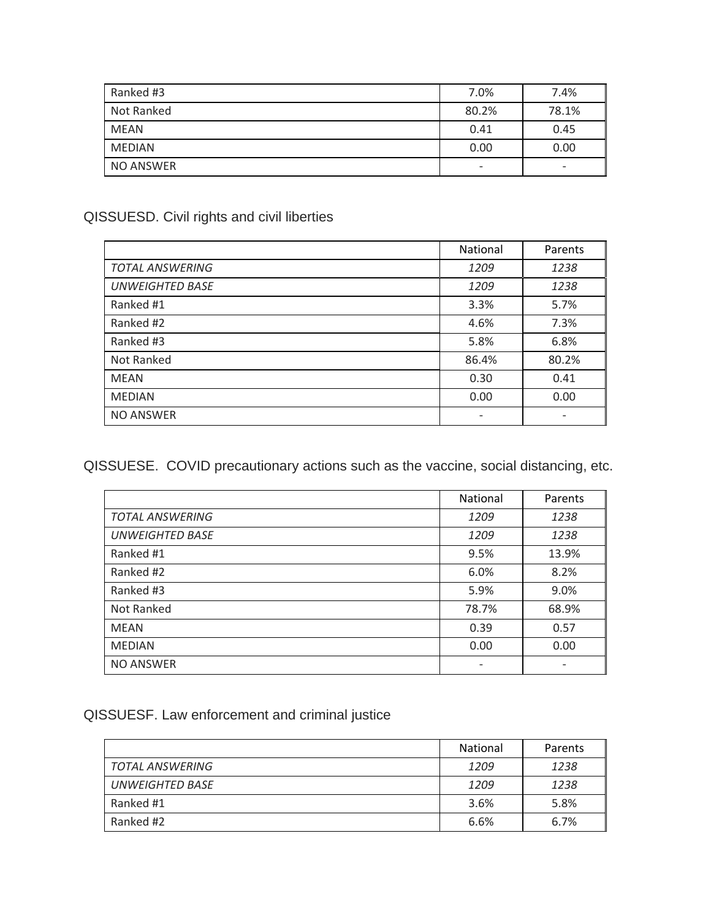| Ranked #3        | 7.0%                     | 7.4%  |
|------------------|--------------------------|-------|
| Not Ranked       | 80.2%                    | 78.1% |
| <b>MEAN</b>      | 0.41                     | 0.45  |
| <b>MEDIAN</b>    | 0.00                     | 0.00  |
| <b>NO ANSWER</b> | $\overline{\phantom{a}}$ | -     |

# QISSUESD. Civil rights and civil liberties

|                        | <b>National</b>          | Parents |
|------------------------|--------------------------|---------|
| <b>TOTAL ANSWERING</b> | 1209                     | 1238    |
| <b>UNWEIGHTED BASE</b> | 1209                     | 1238    |
| Ranked #1              | 3.3%                     | 5.7%    |
| Ranked #2              | 4.6%                     | 7.3%    |
| Ranked #3              | 5.8%                     | 6.8%    |
| Not Ranked             | 86.4%                    | 80.2%   |
| <b>MEAN</b>            | 0.30                     | 0.41    |
| <b>MEDIAN</b>          | 0.00                     | 0.00    |
| <b>NO ANSWER</b>       | $\overline{\phantom{a}}$ |         |

QISSUESE. COVID precautionary actions such as the vaccine, social distancing, etc.

|                        | National                 | Parents |
|------------------------|--------------------------|---------|
| <b>TOTAL ANSWERING</b> | 1209                     | 1238    |
| <b>UNWEIGHTED BASE</b> | 1209                     | 1238    |
| Ranked #1              | 9.5%                     | 13.9%   |
| Ranked #2              | 6.0%                     | 8.2%    |
| Ranked #3              | 5.9%                     | 9.0%    |
| Not Ranked             | 78.7%                    | 68.9%   |
| <b>MEAN</b>            | 0.39                     | 0.57    |
| <b>MEDIAN</b>          | 0.00                     | 0.00    |
| <b>NO ANSWER</b>       | $\overline{\phantom{a}}$ |         |

# QISSUESF. Law enforcement and criminal justice

|                 | <b>National</b> | Parents |
|-----------------|-----------------|---------|
| TOTAL ANSWERING | 1209            | 1238    |
| UNWEIGHTED BASE | 1209            | 1238    |
| Ranked #1       | 3.6%            | 5.8%    |
| Ranked #2       | 6.6%            | 6.7%    |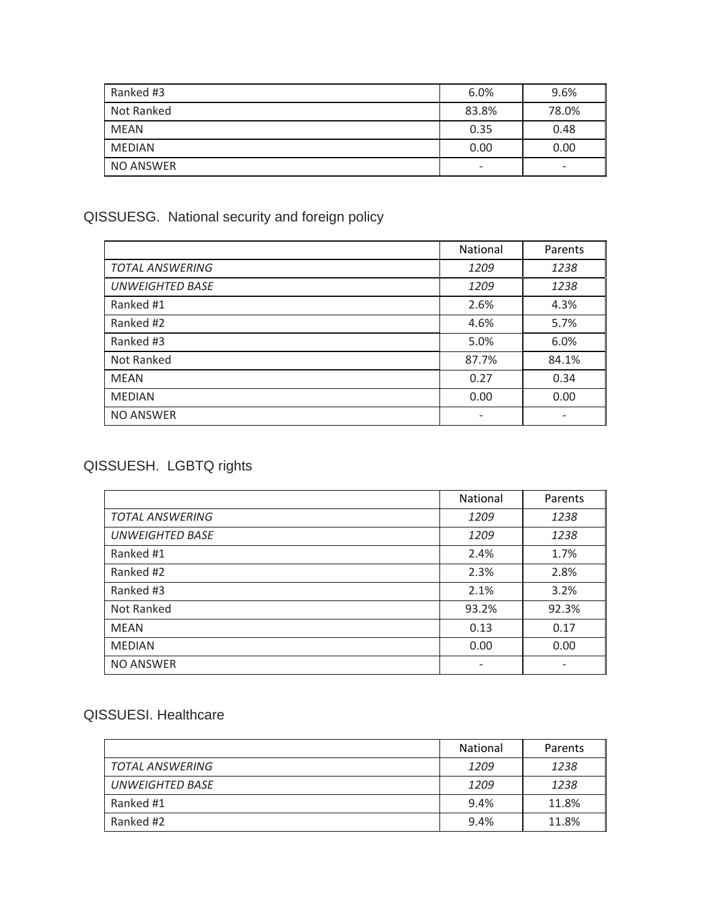| Ranked #3  | 6.0%                     | 9.6%  |
|------------|--------------------------|-------|
| Not Ranked | 83.8%                    | 78.0% |
| MEAN       | 0.35                     | 0.48  |
| MEDIAN     | 0.00                     | 0.00  |
| NO ANSWER  | $\overline{\phantom{a}}$ | -     |

# QISSUESG. National security and foreign policy

|                        | <b>National</b> | Parents |
|------------------------|-----------------|---------|
| <b>TOTAL ANSWERING</b> | 1209            | 1238    |
| <b>UNWEIGHTED BASE</b> | 1209            | 1238    |
| Ranked #1              | 2.6%            | 4.3%    |
| Ranked #2              | 4.6%            | 5.7%    |
| Ranked #3              | 5.0%            | 6.0%    |
| Not Ranked             | 87.7%           | 84.1%   |
| <b>MEAN</b>            | 0.27            | 0.34    |
| <b>MEDIAN</b>          | 0.00            | 0.00    |
| <b>NO ANSWER</b>       |                 |         |

# QISSUESH. LGBTQ rights

|                        | National | Parents |
|------------------------|----------|---------|
| <b>TOTAL ANSWERING</b> | 1209     | 1238    |
| <b>UNWEIGHTED BASE</b> | 1209     | 1238    |
| Ranked #1              | 2.4%     | 1.7%    |
| Ranked #2              | 2.3%     | 2.8%    |
| Ranked #3              | 2.1%     | 3.2%    |
| Not Ranked             | 93.2%    | 92.3%   |
| <b>MEAN</b>            | 0.13     | 0.17    |
| <b>MEDIAN</b>          | 0.00     | 0.00    |
| <b>NO ANSWER</b>       | -        |         |

## QISSUESI. Healthcare

|                 | National | Parents |
|-----------------|----------|---------|
| TOTAL ANSWERING | 1209     | 1238    |
| UNWEIGHTED BASE | 1209     | 1238    |
| Ranked #1       | 9.4%     | 11.8%   |
| Ranked #2       | 9.4%     | 11.8%   |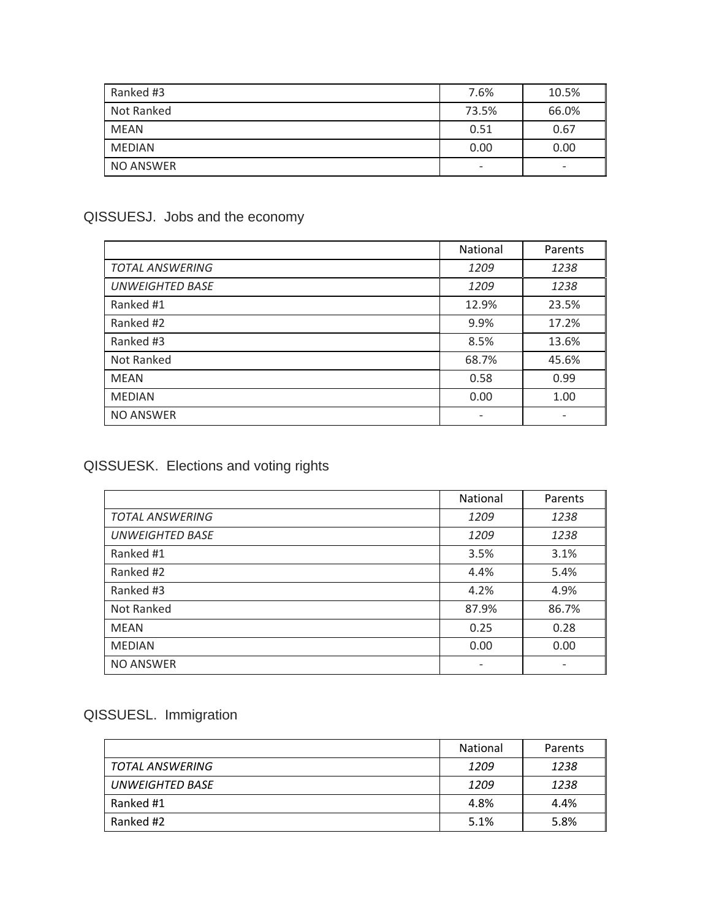| Ranked #3     | 7.6%                     | 10.5%                    |
|---------------|--------------------------|--------------------------|
| Not Ranked    | 73.5%                    | 66.0%                    |
| <b>MEAN</b>   | 0.51                     | 0.67                     |
| <b>MEDIAN</b> | 0.00                     | 0.00                     |
| NO ANSWER     | $\overline{\phantom{a}}$ | $\overline{\phantom{0}}$ |

# QISSUESJ. Jobs and the economy

|                        | <b>National</b> | Parents |
|------------------------|-----------------|---------|
| <b>TOTAL ANSWERING</b> | 1209            | 1238    |
| <b>UNWEIGHTED BASE</b> | 1209            | 1238    |
| Ranked #1              | 12.9%           | 23.5%   |
| Ranked #2              | 9.9%            | 17.2%   |
| Ranked #3              | 8.5%            | 13.6%   |
| Not Ranked             | 68.7%           | 45.6%   |
| <b>MEAN</b>            | 0.58            | 0.99    |
| <b>MEDIAN</b>          | 0.00            | 1.00    |
| <b>NO ANSWER</b>       |                 |         |

# QISSUESK. Elections and voting rights

|                        | National                 | Parents |
|------------------------|--------------------------|---------|
| <b>TOTAL ANSWERING</b> | 1209                     | 1238    |
| <b>UNWEIGHTED BASE</b> | 1209                     | 1238    |
| Ranked #1              | 3.5%                     | 3.1%    |
| Ranked #2              | 4.4%                     | 5.4%    |
| Ranked #3              | 4.2%                     | 4.9%    |
| Not Ranked             | 87.9%                    | 86.7%   |
| <b>MEAN</b>            | 0.25                     | 0.28    |
| <b>MEDIAN</b>          | 0.00                     | 0.00    |
| <b>NO ANSWER</b>       | $\overline{\phantom{a}}$ |         |

# QISSUESL. Immigration

|                 | <b>National</b> | Parents |
|-----------------|-----------------|---------|
| TOTAL ANSWERING | 1209            | 1238    |
| UNWEIGHTED BASE | 1209            | 1238    |
| Ranked #1       | 4.8%            | 4.4%    |
| Ranked #2       | 5.1%            | 5.8%    |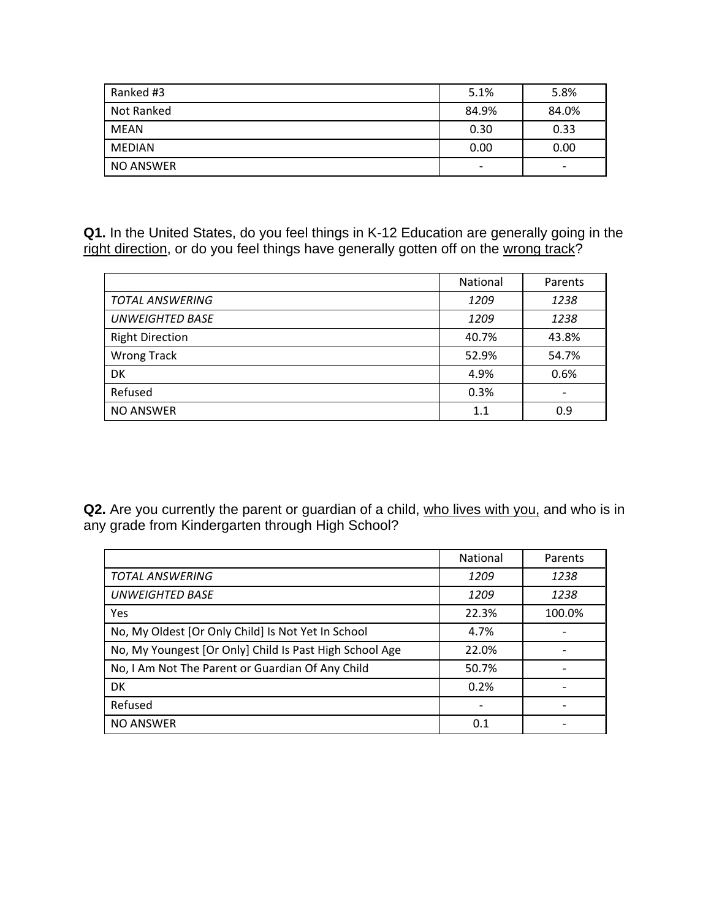| Ranked #3  | 5.1%                     | 5.8%  |
|------------|--------------------------|-------|
| Not Ranked | 84.9%                    | 84.0% |
| MEAN       | 0.30                     | 0.33  |
| MEDIAN     | 0.00                     | 0.00  |
| NO ANSWER  | $\overline{\phantom{a}}$ | -     |

**Q1.** In the United States, do you feel things in K-12 Education are generally going in the right direction, or do you feel things have generally gotten off on the wrong track?

|                        | National | Parents |
|------------------------|----------|---------|
| <b>TOTAL ANSWERING</b> | 1209     | 1238    |
| <b>UNWEIGHTED BASE</b> | 1209     | 1238    |
| <b>Right Direction</b> | 40.7%    | 43.8%   |
| <b>Wrong Track</b>     | 52.9%    | 54.7%   |
| DK                     | 4.9%     | 0.6%    |
| Refused                | 0.3%     |         |
| <b>NO ANSWER</b>       | 1.1      | 0.9     |

**Q2.** Are you currently the parent or guardian of a child, who lives with you, and who is in any grade from Kindergarten through High School?

| <b>TOTAL ANSWERING</b>                                  | 1209  | 1238   |
|---------------------------------------------------------|-------|--------|
| <b>UNWEIGHTED BASE</b>                                  | 1209  | 1238   |
| Yes                                                     | 22.3% | 100.0% |
| No, My Oldest [Or Only Child] Is Not Yet In School      | 4.7%  |        |
| No, My Youngest [Or Only] Child Is Past High School Age | 22.0% |        |
| No, I Am Not The Parent or Guardian Of Any Child        | 50.7% |        |
| <b>DK</b>                                               | 0.2%  |        |
| Refused                                                 |       |        |
| <b>NO ANSWER</b>                                        | 0.1   |        |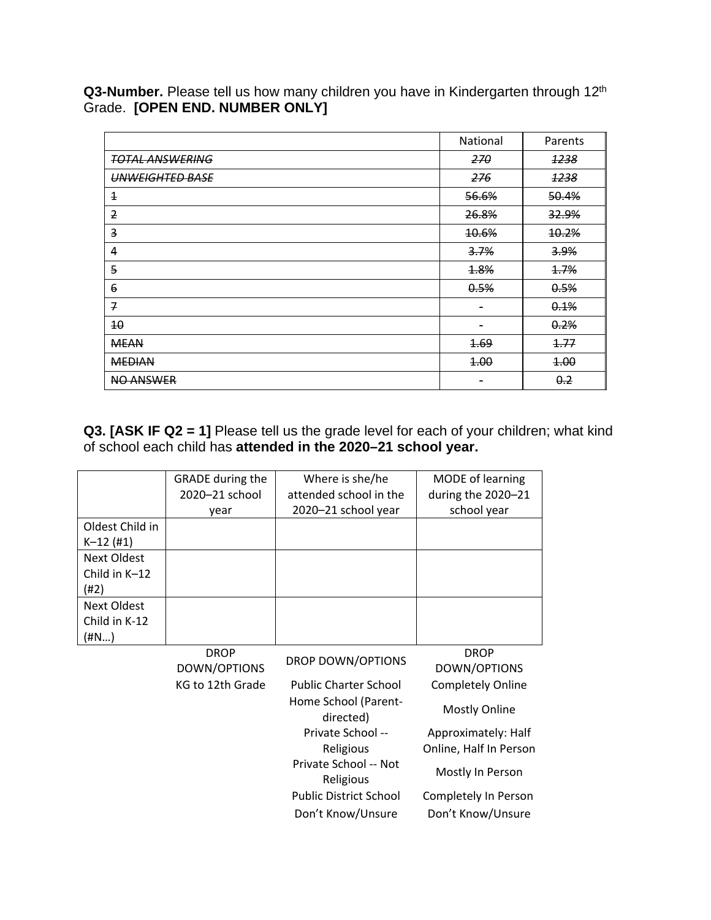**Q3-Number.** Please tell us how many children you have in Kindergarten through 12th Grade. **[OPEN END. NUMBER ONLY]** 

|                        | National         | Parents          |
|------------------------|------------------|------------------|
| <b>TOTAL ANSWERING</b> | 270              | 1238             |
| <b>UNWEIGHTED BASE</b> | 276              | 1238             |
| $\overline{1}$         | 56.6%            | 50.4%            |
| $\overline{2}$         | 26.8%            | <b>32.9%</b>     |
| 3                      | <del>10.6%</del> | <del>10.2%</del> |
| 4                      | 3.7%             | 3.9%             |
| 5                      | 1.8%             | 1.7%             |
| 6                      | 0.5%             | 0.5%             |
| 7                      | -                | 0.1%             |
| 40                     |                  | 0.2%             |
| <b>MEAN</b>            | <b>1.69</b>      | 1.77             |
| <b>MEDIAN</b>          | 4.00             | 4.00             |
| <b>NO ANSWER</b>       |                  | 0.2              |

**Q3. [ASK IF Q2 = 1]** Please tell us the grade level for each of your children; what kind of school each child has **attended in the 2020–21 school year.**

|                 | <b>GRADE</b> during the | Where is she/he              | <b>MODE</b> of learning  |
|-----------------|-------------------------|------------------------------|--------------------------|
|                 | 2020-21 school          | attended school in the       | during the 2020-21       |
|                 | vear                    | 2020–21 school year          | school year              |
| Oldest Child in |                         |                              |                          |
| $K-12$ (#1)     |                         |                              |                          |
| Next Oldest     |                         |                              |                          |
| Child in $K-12$ |                         |                              |                          |
| (#2)            |                         |                              |                          |
| Next Oldest     |                         |                              |                          |
| Child in K-12   |                         |                              |                          |
| (#N…)           |                         |                              |                          |
|                 | <b>DROP</b>             |                              | <b>DROP</b>              |
|                 | DOWN/OPTIONS            | <b>DROP DOWN/OPTIONS</b>     | DOWN/OPTIONS             |
|                 | KG to 12th Grade        | <b>Public Charter School</b> | <b>Completely Online</b> |

| KG to 12th Grade | <b>Public Charter School</b>      | <b>Completely Online</b> |
|------------------|-----------------------------------|--------------------------|
|                  | Home School (Parent-<br>directed) | <b>Mostly Online</b>     |
|                  | Private School --                 | Approximately: Half      |
|                  | Religious                         | Online, Half In Person   |
|                  | Private School -- Not             | Mostly In Person         |
|                  | Religious                         |                          |
|                  | <b>Public District School</b>     | Completely In Person     |
|                  | Don't Know/Unsure                 | Don't Know/Unsure        |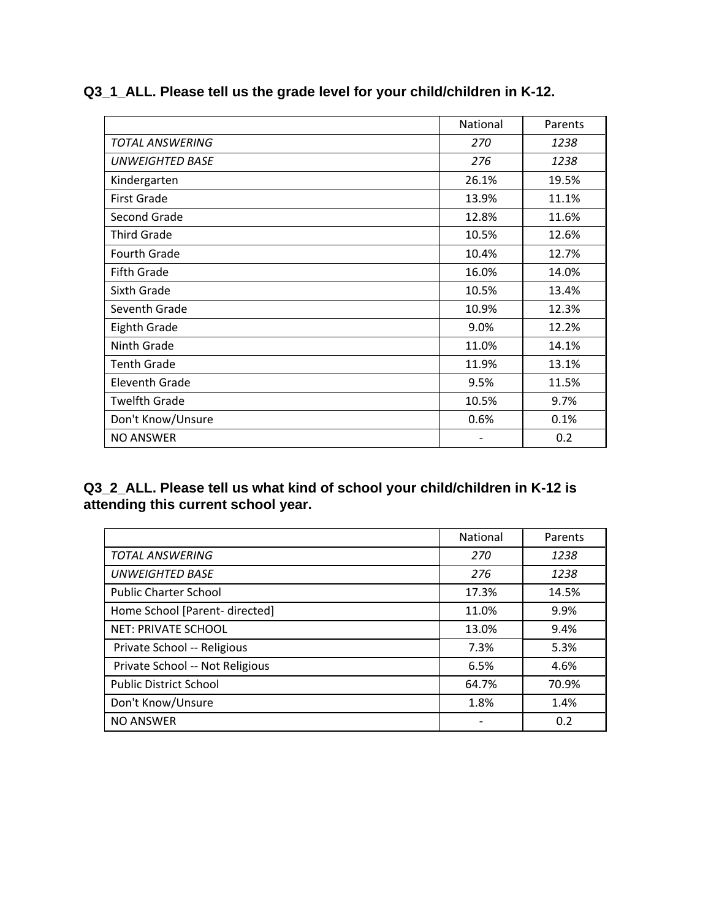|                        | <b>National</b>              | Parents |
|------------------------|------------------------------|---------|
| <b>TOTAL ANSWERING</b> | 270                          | 1238    |
| <b>UNWEIGHTED BASE</b> | 276                          | 1238    |
| Kindergarten           | 26.1%                        | 19.5%   |
| <b>First Grade</b>     | 13.9%                        | 11.1%   |
| Second Grade           | 12.8%                        | 11.6%   |
| <b>Third Grade</b>     | 10.5%                        | 12.6%   |
| Fourth Grade           | 10.4%                        | 12.7%   |
| <b>Fifth Grade</b>     | 16.0%                        | 14.0%   |
| Sixth Grade            | 10.5%                        | 13.4%   |
| Seventh Grade          | 10.9%                        | 12.3%   |
| Eighth Grade           | 9.0%                         | 12.2%   |
| Ninth Grade            | 11.0%                        | 14.1%   |
| <b>Tenth Grade</b>     | 11.9%                        | 13.1%   |
| Eleventh Grade         | 9.5%                         | 11.5%   |
| <b>Twelfth Grade</b>   | 10.5%                        | 9.7%    |
| Don't Know/Unsure      | 0.6%                         | 0.1%    |
| <b>NO ANSWER</b>       | $\qquad \qquad \blacksquare$ | 0.2     |

## **Q3\_1\_ALL. Please tell us the grade level for your child/children in K-12.**

#### **Q3\_2\_ALL. Please tell us what kind of school your child/children in K-12 is attending this current school year.**

|                                 | National | Parents |
|---------------------------------|----------|---------|
| <b>TOTAL ANSWERING</b>          | 270      | 1238    |
| <b>UNWEIGHTED BASE</b>          | 276      | 1238    |
| <b>Public Charter School</b>    | 17.3%    | 14.5%   |
| Home School [Parent- directed]  | 11.0%    | 9.9%    |
| <b>NET: PRIVATE SCHOOL</b>      | 13.0%    | 9.4%    |
| Private School -- Religious     | 7.3%     | 5.3%    |
| Private School -- Not Religious | 6.5%     | 4.6%    |
| <b>Public District School</b>   | 64.7%    | 70.9%   |
| Don't Know/Unsure               | 1.8%     | 1.4%    |
| <b>NO ANSWER</b>                |          | 0.2     |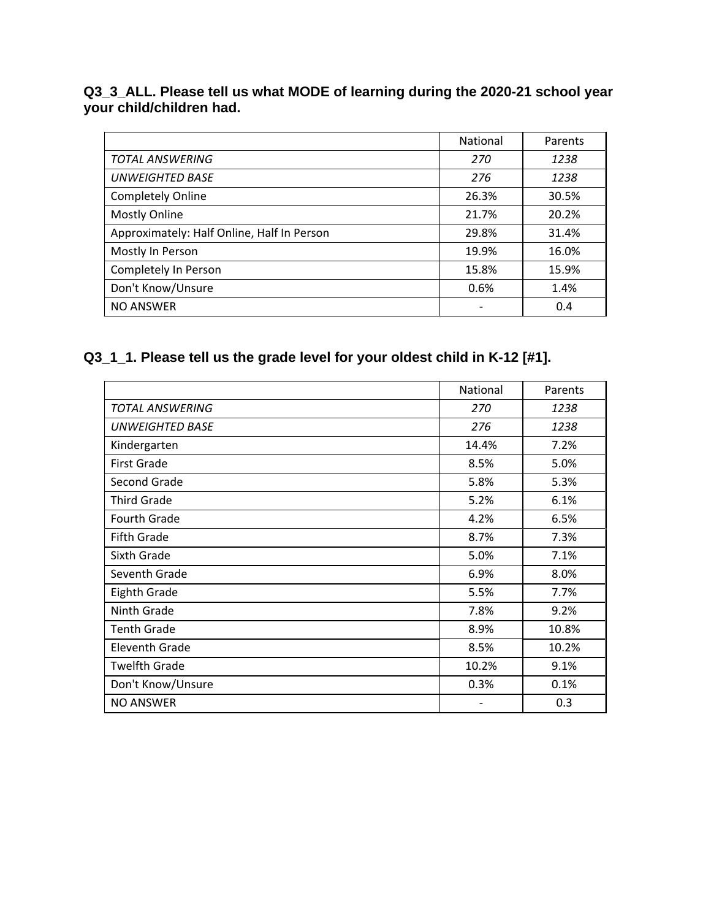#### **Q3\_3\_ALL. Please tell us what MODE of learning during the 2020-21 school year your child/children had.**

|                                            | <b>National</b> | Parents |
|--------------------------------------------|-----------------|---------|
| <b>TOTAL ANSWERING</b>                     | 270             | 1238    |
| <b>UNWEIGHTED BASE</b>                     | 276             | 1238    |
| <b>Completely Online</b>                   | 26.3%           | 30.5%   |
| <b>Mostly Online</b>                       | 21.7%           | 20.2%   |
| Approximately: Half Online, Half In Person | 29.8%           | 31.4%   |
| Mostly In Person                           | 19.9%           | 16.0%   |
| Completely In Person                       | 15.8%           | 15.9%   |
| Don't Know/Unsure                          | 0.6%            | 1.4%    |
| <b>NO ANSWER</b>                           |                 | 0.4     |

# **Q3\_1\_1. Please tell us the grade level for your oldest child in K-12 [#1].**

|                        | <b>National</b>          | Parents |
|------------------------|--------------------------|---------|
| TOTAL ANSWERING        | 270                      | 1238    |
| <b>UNWEIGHTED BASE</b> | 276                      | 1238    |
| Kindergarten           | 14.4%                    | 7.2%    |
| <b>First Grade</b>     | 8.5%                     | 5.0%    |
| Second Grade           | 5.8%                     | 5.3%    |
| <b>Third Grade</b>     | 5.2%                     | 6.1%    |
| Fourth Grade           | 4.2%                     | 6.5%    |
| <b>Fifth Grade</b>     | 8.7%                     | 7.3%    |
| Sixth Grade            | 5.0%                     | 7.1%    |
| Seventh Grade          | 6.9%                     | 8.0%    |
| <b>Eighth Grade</b>    | 5.5%                     | 7.7%    |
| Ninth Grade            | 7.8%                     | 9.2%    |
| <b>Tenth Grade</b>     | 8.9%                     | 10.8%   |
| <b>Eleventh Grade</b>  | 8.5%                     | 10.2%   |
| <b>Twelfth Grade</b>   | 10.2%                    | 9.1%    |
| Don't Know/Unsure      | 0.3%                     | 0.1%    |
| <b>NO ANSWER</b>       | $\overline{\phantom{a}}$ | 0.3     |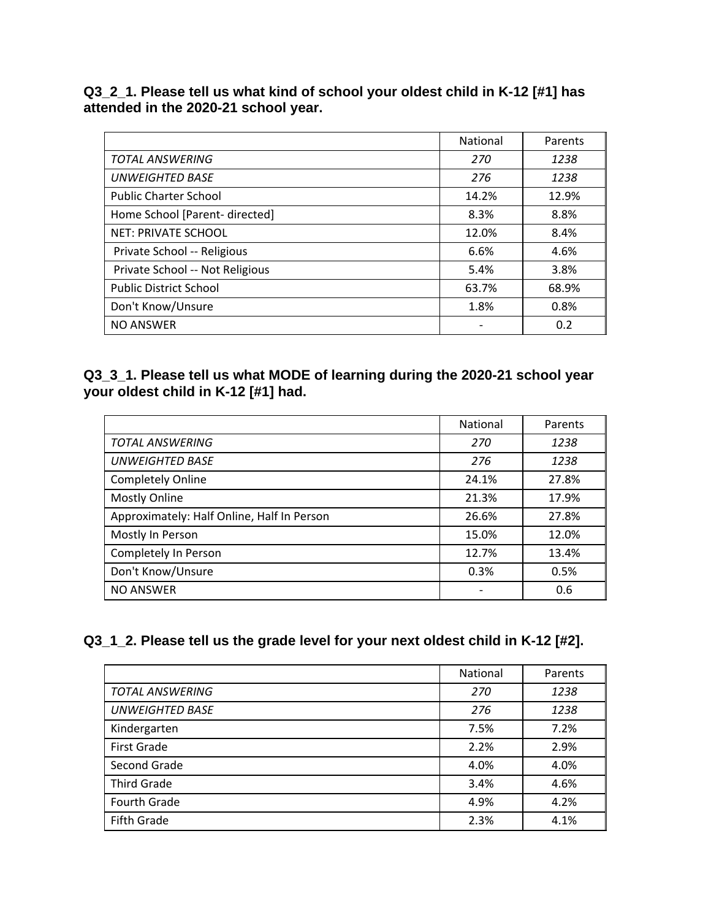#### **Q3\_2\_1. Please tell us what kind of school your oldest child in K-12 [#1] has attended in the 2020-21 school year.**

|                                 | National | Parents |
|---------------------------------|----------|---------|
| <b>TOTAL ANSWERING</b>          | 270      | 1238    |
| <b>UNWEIGHTED BASE</b>          | 276      | 1238    |
| <b>Public Charter School</b>    | 14.2%    | 12.9%   |
| Home School [Parent- directed]  | 8.3%     | 8.8%    |
| <b>NET: PRIVATE SCHOOL</b>      | 12.0%    | 8.4%    |
| Private School -- Religious     | 6.6%     | 4.6%    |
| Private School -- Not Religious | 5.4%     | 3.8%    |
| <b>Public District School</b>   | 63.7%    | 68.9%   |
| Don't Know/Unsure               | 1.8%     | 0.8%    |
| <b>NO ANSWER</b>                |          | 0.2     |

### **Q3\_3\_1. Please tell us what MODE of learning during the 2020-21 school year your oldest child in K-12 [#1] had.**

|                                            | <b>National</b> | Parents |
|--------------------------------------------|-----------------|---------|
| <b>TOTAL ANSWERING</b>                     | 270             | 1238    |
| <b>UNWEIGHTED BASE</b>                     | 276             | 1238    |
| Completely Online                          | 24.1%           | 27.8%   |
| <b>Mostly Online</b>                       | 21.3%           | 17.9%   |
| Approximately: Half Online, Half In Person | 26.6%           | 27.8%   |
| Mostly In Person                           | 15.0%           | 12.0%   |
| Completely In Person                       | 12.7%           | 13.4%   |
| Don't Know/Unsure                          | 0.3%            | 0.5%    |
| <b>NO ANSWER</b>                           |                 | 0.6     |

### **Q3\_1\_2. Please tell us the grade level for your next oldest child in K-12 [#2].**

|                        | National | Parents |
|------------------------|----------|---------|
| <b>TOTAL ANSWERING</b> | 270      | 1238    |
| <b>UNWEIGHTED BASE</b> | 276      | 1238    |
| Kindergarten           | 7.5%     | 7.2%    |
| <b>First Grade</b>     | 2.2%     | 2.9%    |
| Second Grade           | 4.0%     | 4.0%    |
| <b>Third Grade</b>     | 3.4%     | 4.6%    |
| Fourth Grade           | 4.9%     | 4.2%    |
| <b>Fifth Grade</b>     | 2.3%     | 4.1%    |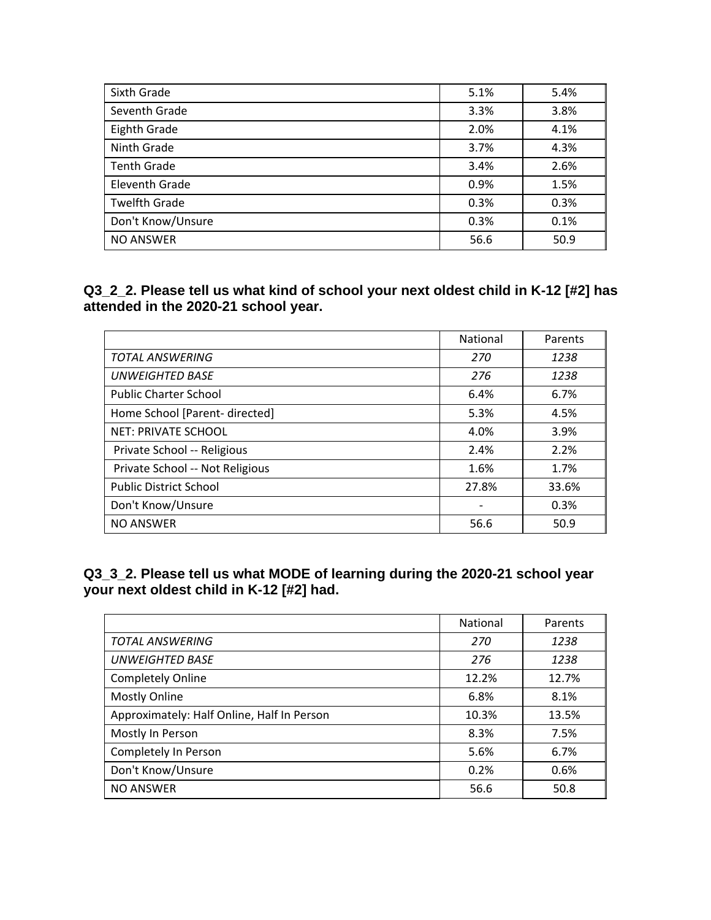| Sixth Grade          | 5.1% | 5.4% |
|----------------------|------|------|
| Seventh Grade        | 3.3% | 3.8% |
| Eighth Grade         | 2.0% | 4.1% |
| Ninth Grade          | 3.7% | 4.3% |
| <b>Tenth Grade</b>   | 3.4% | 2.6% |
| Eleventh Grade       | 0.9% | 1.5% |
| <b>Twelfth Grade</b> | 0.3% | 0.3% |
| Don't Know/Unsure    | 0.3% | 0.1% |
| <b>NO ANSWER</b>     | 56.6 | 50.9 |

**Q3\_2\_2. Please tell us what kind of school your next oldest child in K-12 [#2] has attended in the 2020-21 school year.** 

|                                 | National | Parents |
|---------------------------------|----------|---------|
| <b>TOTAL ANSWERING</b>          | 270      | 1238    |
| <b>UNWEIGHTED BASE</b>          | 276      | 1238    |
| <b>Public Charter School</b>    | 6.4%     | 6.7%    |
| Home School [Parent- directed]  | 5.3%     | 4.5%    |
| <b>NET: PRIVATE SCHOOL</b>      | 4.0%     | 3.9%    |
| Private School -- Religious     | 2.4%     | 2.2%    |
| Private School -- Not Religious | 1.6%     | 1.7%    |
| <b>Public District School</b>   | 27.8%    | 33.6%   |
| Don't Know/Unsure               |          | 0.3%    |
| <b>NO ANSWER</b>                | 56.6     | 50.9    |

**Q3\_3\_2. Please tell us what MODE of learning during the 2020-21 school year your next oldest child in K-12 [#2] had.** 

|                                            | National | Parents |
|--------------------------------------------|----------|---------|
| <b>TOTAL ANSWERING</b>                     | 270      | 1238    |
| <b>UNWEIGHTED BASE</b>                     | 276      | 1238    |
| <b>Completely Online</b>                   | 12.2%    | 12.7%   |
| <b>Mostly Online</b>                       | 6.8%     | 8.1%    |
| Approximately: Half Online, Half In Person | 10.3%    | 13.5%   |
| Mostly In Person                           | 8.3%     | 7.5%    |
| Completely In Person                       | 5.6%     | 6.7%    |
| Don't Know/Unsure                          | 0.2%     | 0.6%    |
| <b>NO ANSWER</b>                           | 56.6     | 50.8    |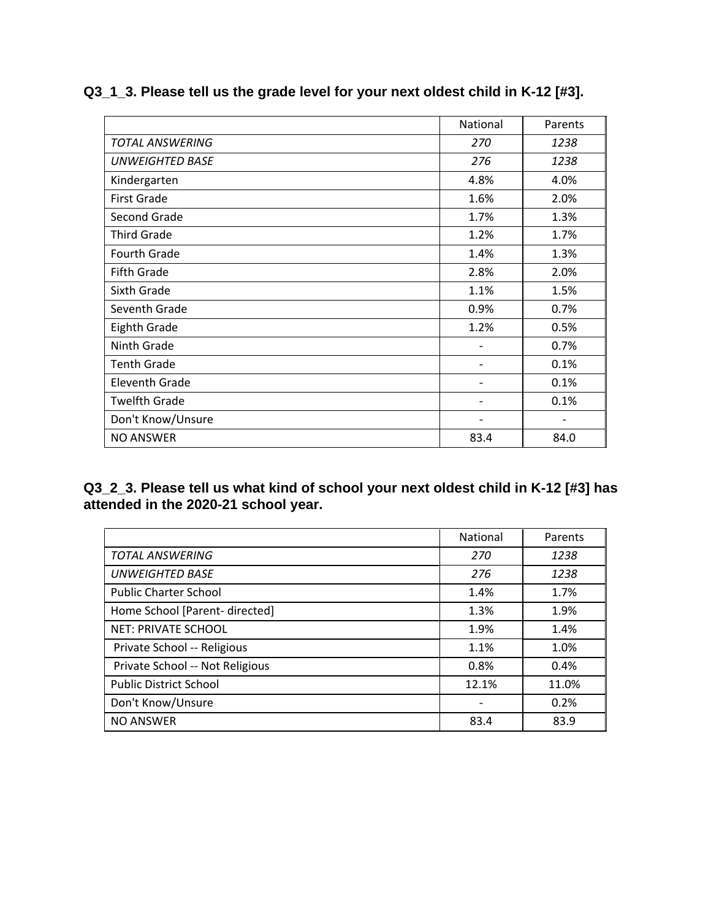|                        | National | Parents                  |
|------------------------|----------|--------------------------|
| <b>TOTAL ANSWERING</b> | 270      | 1238                     |
| <b>UNWEIGHTED BASE</b> | 276      | 1238                     |
| Kindergarten           | 4.8%     | 4.0%                     |
| <b>First Grade</b>     | 1.6%     | 2.0%                     |
| Second Grade           | 1.7%     | 1.3%                     |
| <b>Third Grade</b>     | 1.2%     | 1.7%                     |
| <b>Fourth Grade</b>    | 1.4%     | 1.3%                     |
| <b>Fifth Grade</b>     | 2.8%     | 2.0%                     |
| Sixth Grade            | 1.1%     | 1.5%                     |
| Seventh Grade          | 0.9%     | 0.7%                     |
| Eighth Grade           | 1.2%     | 0.5%                     |
| Ninth Grade            |          | 0.7%                     |
| <b>Tenth Grade</b>     | -        | 0.1%                     |
| Eleventh Grade         |          | 0.1%                     |
| <b>Twelfth Grade</b>   | -        | 0.1%                     |
| Don't Know/Unsure      | -        | $\overline{\phantom{a}}$ |
| <b>NO ANSWER</b>       | 83.4     | 84.0                     |

## **Q3\_1\_3. Please tell us the grade level for your next oldest child in K-12 [#3].**

**Q3\_2\_3. Please tell us what kind of school your next oldest child in K-12 [#3] has attended in the 2020-21 school year.** 

|                                 | <b>National</b> | Parents |
|---------------------------------|-----------------|---------|
| <b>TOTAL ANSWERING</b>          | 270             | 1238    |
| <b>UNWEIGHTED BASE</b>          | 276             | 1238    |
| <b>Public Charter School</b>    | 1.4%            | 1.7%    |
| Home School [Parent- directed]  | 1.3%            | 1.9%    |
| <b>NET: PRIVATE SCHOOL</b>      | 1.9%            | 1.4%    |
| Private School -- Religious     | 1.1%            | 1.0%    |
| Private School -- Not Religious | 0.8%            | 0.4%    |
| <b>Public District School</b>   | 12.1%           | 11.0%   |
| Don't Know/Unsure               |                 | 0.2%    |
| <b>NO ANSWER</b>                | 83.4            | 83.9    |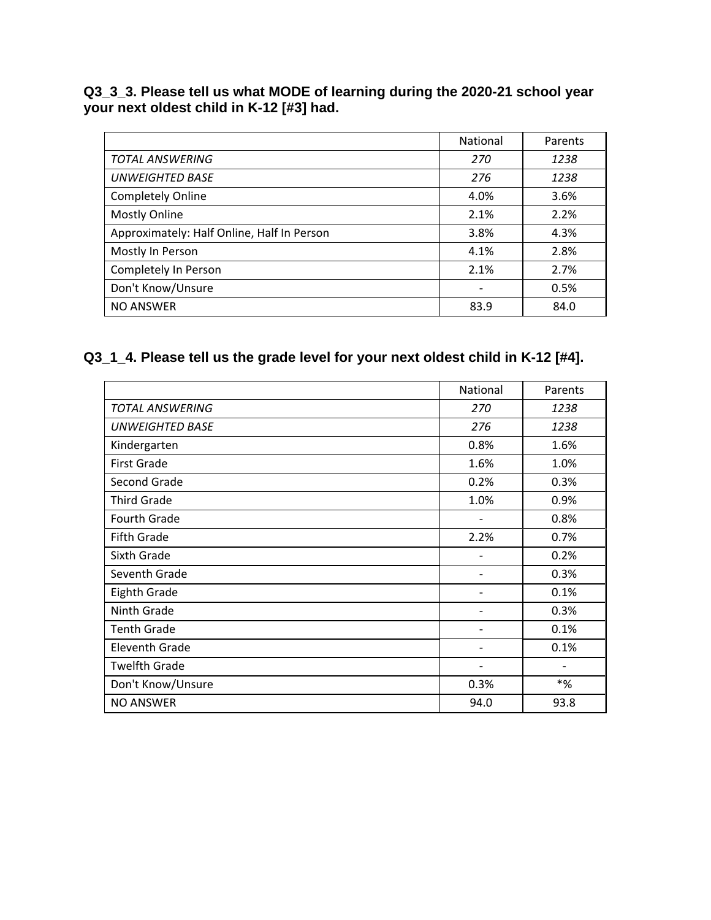#### **Q3\_3\_3. Please tell us what MODE of learning during the 2020-21 school year your next oldest child in K-12 [#3] had.**

|                                            | <b>National</b>          | Parents |
|--------------------------------------------|--------------------------|---------|
| <b>TOTAL ANSWERING</b>                     | 270                      | 1238    |
| <b>UNWEIGHTED BASE</b>                     | 276                      | 1238    |
| <b>Completely Online</b>                   | 4.0%                     | 3.6%    |
| <b>Mostly Online</b>                       | 2.1%                     | 2.2%    |
| Approximately: Half Online, Half In Person | 3.8%                     | 4.3%    |
| Mostly In Person                           | 4.1%                     | 2.8%    |
| Completely In Person                       | 2.1%                     | 2.7%    |
| Don't Know/Unsure                          | $\overline{\phantom{a}}$ | 0.5%    |
| <b>NO ANSWER</b>                           | 83.9                     | 84.0    |

## **Q3\_1\_4. Please tell us the grade level for your next oldest child in K-12 [#4].**

|                        | <b>National</b>              | Parents           |
|------------------------|------------------------------|-------------------|
| TOTAL ANSWERING        | 270                          | 1238              |
| <b>UNWEIGHTED BASE</b> | 276                          | 1238              |
| Kindergarten           | 0.8%                         | 1.6%              |
| <b>First Grade</b>     | 1.6%                         | 1.0%              |
| Second Grade           | 0.2%                         | 0.3%              |
| <b>Third Grade</b>     | 1.0%                         | 0.9%              |
| Fourth Grade           |                              | 0.8%              |
| <b>Fifth Grade</b>     | 2.2%                         | 0.7%              |
| Sixth Grade            | -                            | 0.2%              |
| Seventh Grade          |                              | 0.3%              |
| <b>Eighth Grade</b>    |                              | 0.1%              |
| Ninth Grade            |                              | 0.3%              |
| <b>Tenth Grade</b>     | -                            | 0.1%              |
| Eleventh Grade         | $\qquad \qquad \blacksquare$ | 0.1%              |
| <b>Twelfth Grade</b>   | $\overline{\phantom{a}}$     | $\qquad \qquad -$ |
| Don't Know/Unsure      | 0.3%                         | $*$ %             |
| <b>NO ANSWER</b>       | 94.0                         | 93.8              |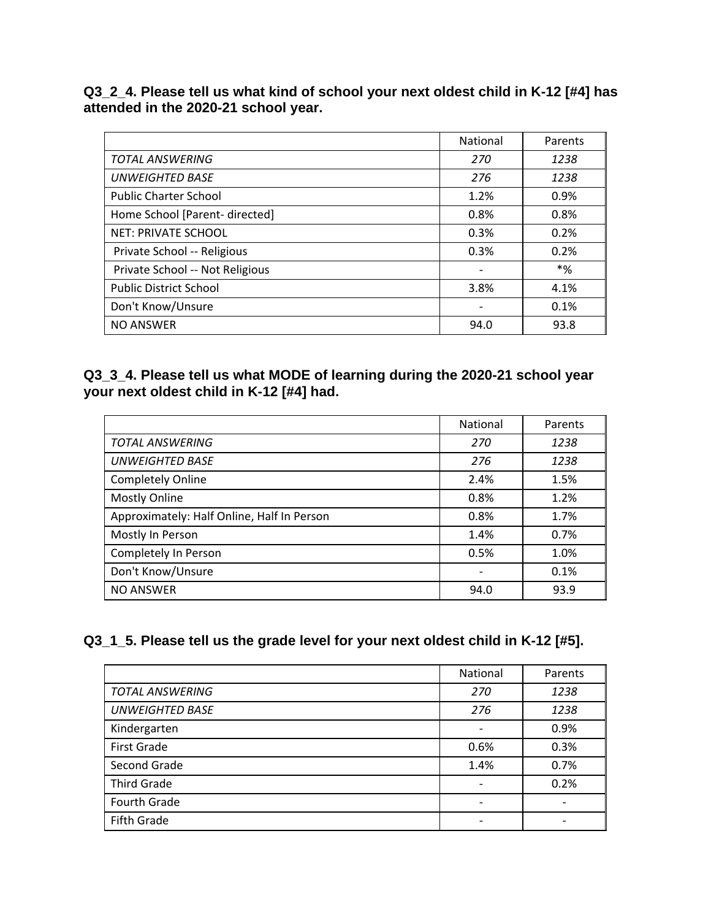**Q3\_2\_4. Please tell us what kind of school your next oldest child in K-12 [#4] has attended in the 2020-21 school year.** 

|                                 | National | Parents |
|---------------------------------|----------|---------|
| <b>TOTAL ANSWERING</b>          | 270      | 1238    |
| <b>UNWEIGHTED BASE</b>          | 276      | 1238    |
| <b>Public Charter School</b>    | 1.2%     | 0.9%    |
| Home School [Parent- directed]  | 0.8%     | 0.8%    |
| <b>NET: PRIVATE SCHOOL</b>      | 0.3%     | 0.2%    |
| Private School -- Religious     | 0.3%     | 0.2%    |
| Private School -- Not Religious |          | *%      |
| <b>Public District School</b>   | 3.8%     | 4.1%    |
| Don't Know/Unsure               |          | 0.1%    |
| <b>NO ANSWER</b>                | 94.0     | 93.8    |

### **Q3\_3\_4. Please tell us what MODE of learning during the 2020-21 school year your next oldest child in K-12 [#4] had.**

|                                            | National                 | Parents |
|--------------------------------------------|--------------------------|---------|
| <b>TOTAL ANSWERING</b>                     | 270                      | 1238    |
| <b>UNWEIGHTED BASE</b>                     | 276                      | 1238    |
| <b>Completely Online</b>                   | 2.4%                     | 1.5%    |
| <b>Mostly Online</b>                       | 0.8%                     | 1.2%    |
| Approximately: Half Online, Half In Person | 0.8%                     | 1.7%    |
| Mostly In Person                           | 1.4%                     | 0.7%    |
| Completely In Person                       | 0.5%                     | 1.0%    |
| Don't Know/Unsure                          | $\overline{\phantom{a}}$ | 0.1%    |
| <b>NO ANSWER</b>                           | 94.0                     | 93.9    |

### **Q3\_1\_5. Please tell us the grade level for your next oldest child in K-12 [#5].**

|                        | National                 | Parents |
|------------------------|--------------------------|---------|
| <b>TOTAL ANSWERING</b> | 270                      | 1238    |
| <b>UNWEIGHTED BASE</b> | 276                      | 1238    |
| Kindergarten           | $\overline{\phantom{a}}$ | 0.9%    |
| <b>First Grade</b>     | 0.6%                     | 0.3%    |
| Second Grade           | 1.4%                     | 0.7%    |
| <b>Third Grade</b>     |                          | 0.2%    |
| Fourth Grade           |                          |         |
| <b>Fifth Grade</b>     |                          |         |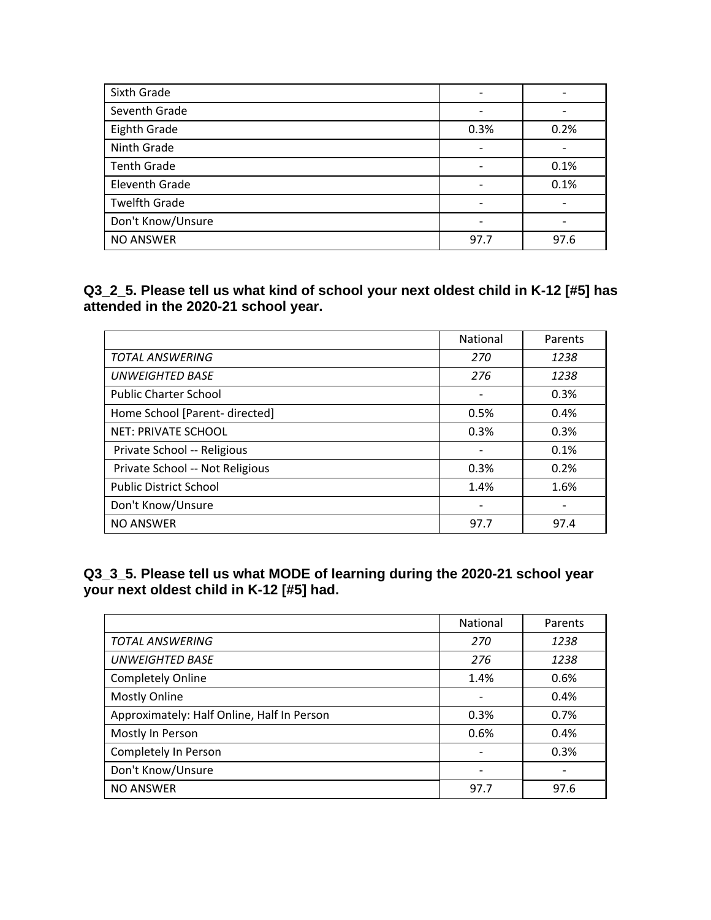| Sixth Grade           |                          |      |
|-----------------------|--------------------------|------|
| Seventh Grade         |                          |      |
| Eighth Grade          | 0.3%                     | 0.2% |
| Ninth Grade           | $\overline{\phantom{a}}$ |      |
| <b>Tenth Grade</b>    |                          | 0.1% |
| <b>Eleventh Grade</b> | $\overline{\phantom{a}}$ | 0.1% |
| <b>Twelfth Grade</b>  | $\overline{\phantom{a}}$ |      |
| Don't Know/Unsure     |                          |      |
| <b>NO ANSWER</b>      | 97.7                     | 97.6 |

**Q3\_2\_5. Please tell us what kind of school your next oldest child in K-12 [#5] has attended in the 2020-21 school year.** 

|                                 | National                 | Parents |
|---------------------------------|--------------------------|---------|
| <b>TOTAL ANSWERING</b>          | 270                      | 1238    |
| <b>UNWEIGHTED BASE</b>          | 276                      | 1238    |
| <b>Public Charter School</b>    | $\overline{\phantom{a}}$ | 0.3%    |
| Home School [Parent- directed]  | 0.5%                     | 0.4%    |
| <b>NET: PRIVATE SCHOOL</b>      | 0.3%                     | 0.3%    |
| Private School -- Religious     |                          | 0.1%    |
| Private School -- Not Religious | 0.3%                     | 0.2%    |
| <b>Public District School</b>   | 1.4%                     | 1.6%    |
| Don't Know/Unsure               |                          |         |
| <b>NO ANSWER</b>                | 97.7                     | 97.4    |

**Q3\_3\_5. Please tell us what MODE of learning during the 2020-21 school year your next oldest child in K-12 [#5] had.** 

|                                            | National | Parents |
|--------------------------------------------|----------|---------|
| <b>TOTAL ANSWERING</b>                     | 270      | 1238    |
| <b>UNWEIGHTED BASE</b>                     | 276      | 1238    |
| <b>Completely Online</b>                   | 1.4%     | 0.6%    |
| <b>Mostly Online</b>                       |          | 0.4%    |
| Approximately: Half Online, Half In Person | 0.3%     | 0.7%    |
| Mostly In Person                           | 0.6%     | 0.4%    |
| Completely In Person                       |          | 0.3%    |
| Don't Know/Unsure                          |          |         |
| <b>NO ANSWER</b>                           | 97.7     | 97.6    |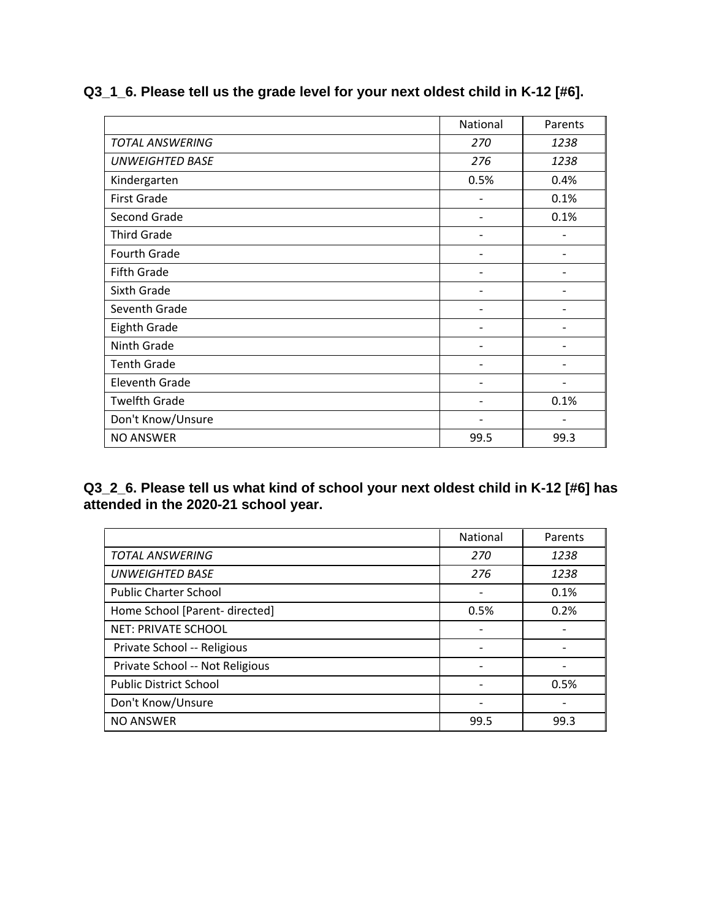|                        | National                 | Parents |
|------------------------|--------------------------|---------|
| <b>TOTAL ANSWERING</b> | 270                      | 1238    |
| <b>UNWEIGHTED BASE</b> | 276                      | 1238    |
| Kindergarten           | 0.5%                     | 0.4%    |
| <b>First Grade</b>     |                          | 0.1%    |
| Second Grade           |                          | 0.1%    |
| <b>Third Grade</b>     |                          |         |
| Fourth Grade           |                          |         |
| Fifth Grade            |                          |         |
| Sixth Grade            |                          |         |
| Seventh Grade          |                          |         |
| Eighth Grade           |                          |         |
| Ninth Grade            |                          |         |
| <b>Tenth Grade</b>     |                          |         |
| <b>Eleventh Grade</b>  |                          |         |
| <b>Twelfth Grade</b>   | $\overline{\phantom{a}}$ | 0.1%    |
| Don't Know/Unsure      | -                        |         |
| <b>NO ANSWER</b>       | 99.5                     | 99.3    |

## **Q3\_1\_6. Please tell us the grade level for your next oldest child in K-12 [#6].**

**Q3\_2\_6. Please tell us what kind of school your next oldest child in K-12 [#6] has attended in the 2020-21 school year.** 

|                                 | National                 | Parents |
|---------------------------------|--------------------------|---------|
| <b>TOTAL ANSWERING</b>          | 270                      | 1238    |
| <b>UNWEIGHTED BASE</b>          | 276                      | 1238    |
| <b>Public Charter School</b>    |                          | 0.1%    |
| Home School [Parent- directed]  | 0.5%                     | 0.2%    |
| <b>NET: PRIVATE SCHOOL</b>      | $\overline{\phantom{a}}$ |         |
| Private School -- Religious     |                          |         |
| Private School -- Not Religious |                          |         |
| <b>Public District School</b>   |                          | 0.5%    |
| Don't Know/Unsure               |                          |         |
| <b>NO ANSWER</b>                | 99.5                     | 99.3    |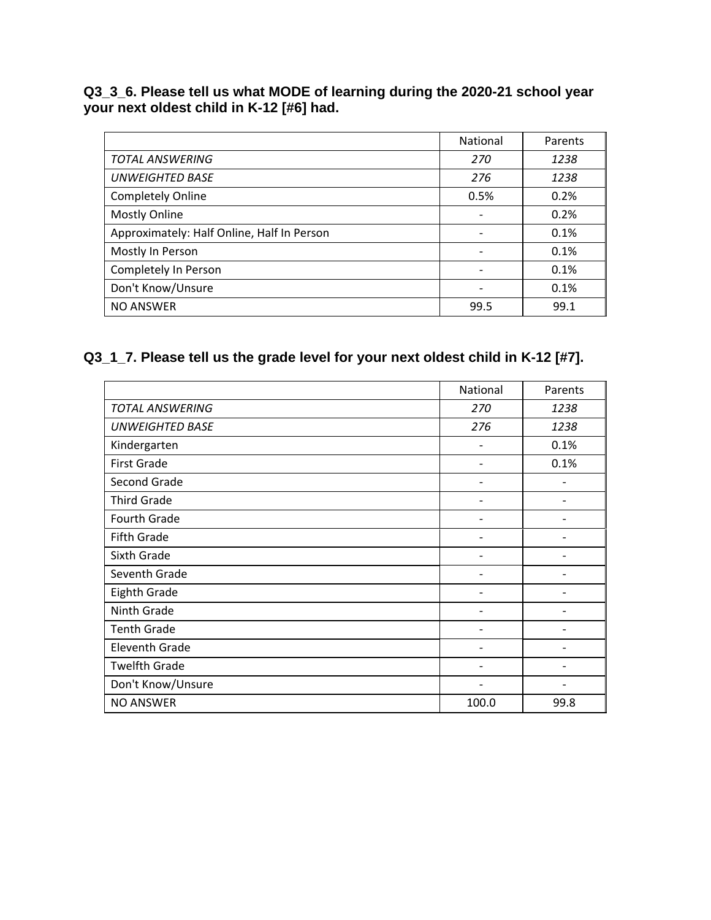#### **Q3\_3\_6. Please tell us what MODE of learning during the 2020-21 school year your next oldest child in K-12 [#6] had.**

|                                            | <b>National</b>          | Parents |
|--------------------------------------------|--------------------------|---------|
| <b>TOTAL ANSWERING</b>                     | 270                      | 1238    |
| <b>UNWEIGHTED BASE</b>                     | 276                      | 1238    |
| <b>Completely Online</b>                   | 0.5%                     | 0.2%    |
| <b>Mostly Online</b>                       | $\overline{\phantom{a}}$ | 0.2%    |
| Approximately: Half Online, Half In Person |                          | 0.1%    |
| Mostly In Person                           |                          | 0.1%    |
| Completely In Person                       | $\overline{\phantom{a}}$ | 0.1%    |
| Don't Know/Unsure                          | $\overline{\phantom{a}}$ | 0.1%    |
| <b>NO ANSWER</b>                           | 99.5                     | 99.1    |

## **Q3\_1\_7. Please tell us the grade level for your next oldest child in K-12 [#7].**

|                        | National                 | Parents |
|------------------------|--------------------------|---------|
| <b>TOTAL ANSWERING</b> | 270                      | 1238    |
| <b>UNWEIGHTED BASE</b> | 276                      | 1238    |
| Kindergarten           | $\overline{\phantom{a}}$ | 0.1%    |
| <b>First Grade</b>     | -                        | 0.1%    |
| Second Grade           |                          |         |
| <b>Third Grade</b>     |                          |         |
| Fourth Grade           |                          |         |
| Fifth Grade            |                          |         |
| Sixth Grade            |                          |         |
| Seventh Grade          |                          |         |
| <b>Eighth Grade</b>    |                          |         |
| Ninth Grade            |                          |         |
| <b>Tenth Grade</b>     |                          |         |
| <b>Eleventh Grade</b>  | -                        |         |
| <b>Twelfth Grade</b>   | -                        |         |
| Don't Know/Unsure      |                          |         |
| <b>NO ANSWER</b>       | 100.0                    | 99.8    |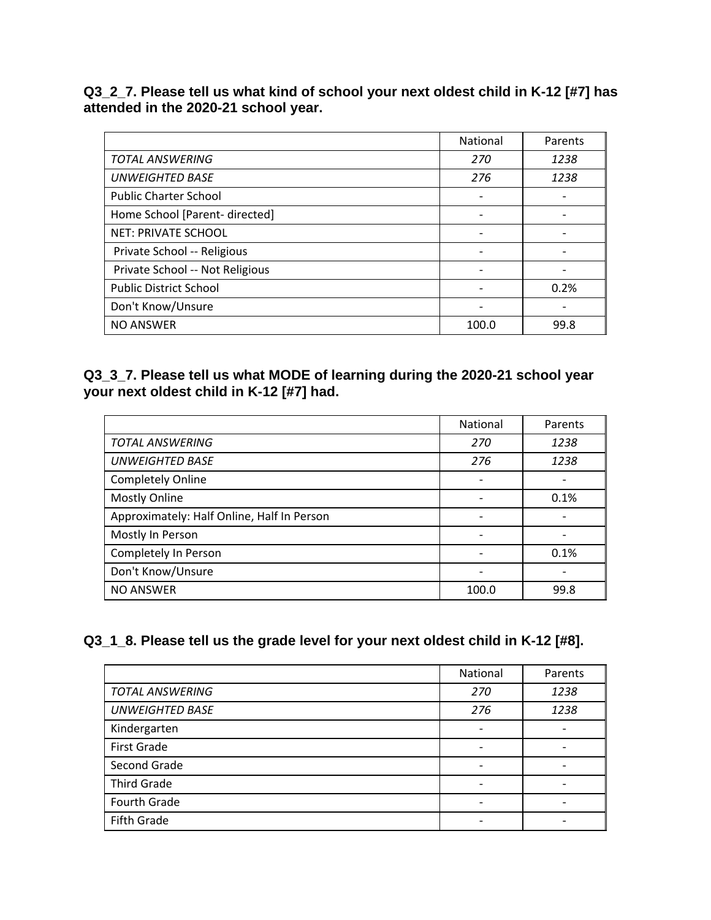**Q3\_2\_7. Please tell us what kind of school your next oldest child in K-12 [#7] has attended in the 2020-21 school year.** 

|                                 | <b>National</b> | Parents |
|---------------------------------|-----------------|---------|
| <b>TOTAL ANSWERING</b>          | 270             | 1238    |
| <b>UNWEIGHTED BASE</b>          | 276             | 1238    |
| <b>Public Charter School</b>    |                 |         |
| Home School [Parent- directed]  |                 |         |
| <b>NET: PRIVATE SCHOOL</b>      |                 |         |
| Private School -- Religious     |                 |         |
| Private School -- Not Religious |                 |         |
| <b>Public District School</b>   |                 | 0.2%    |
| Don't Know/Unsure               |                 |         |
| <b>NO ANSWER</b>                | 100.0           | 99.8    |

### **Q3\_3\_7. Please tell us what MODE of learning during the 2020-21 school year your next oldest child in K-12 [#7] had.**

|                                            | <b>National</b>          | Parents |
|--------------------------------------------|--------------------------|---------|
| <b>TOTAL ANSWERING</b>                     | 270                      | 1238    |
| <b>UNWEIGHTED BASE</b>                     | 276                      | 1238    |
| Completely Online                          |                          |         |
| <b>Mostly Online</b>                       |                          | 0.1%    |
| Approximately: Half Online, Half In Person |                          |         |
| Mostly In Person                           |                          |         |
| Completely In Person                       | $\overline{\phantom{a}}$ | 0.1%    |
| Don't Know/Unsure                          |                          |         |
| <b>NO ANSWER</b>                           | 100.0                    | 99.8    |

### **Q3\_1\_8. Please tell us the grade level for your next oldest child in K-12 [#8].**

|                        | National                 | Parents |
|------------------------|--------------------------|---------|
| <b>TOTAL ANSWERING</b> | 270                      | 1238    |
| <b>UNWEIGHTED BASE</b> | 276                      | 1238    |
| Kindergarten           |                          |         |
| <b>First Grade</b>     |                          |         |
| Second Grade           |                          |         |
| <b>Third Grade</b>     | $\overline{\phantom{a}}$ |         |
| Fourth Grade           | $\overline{\phantom{a}}$ |         |
| Fifth Grade            | $\overline{\phantom{0}}$ |         |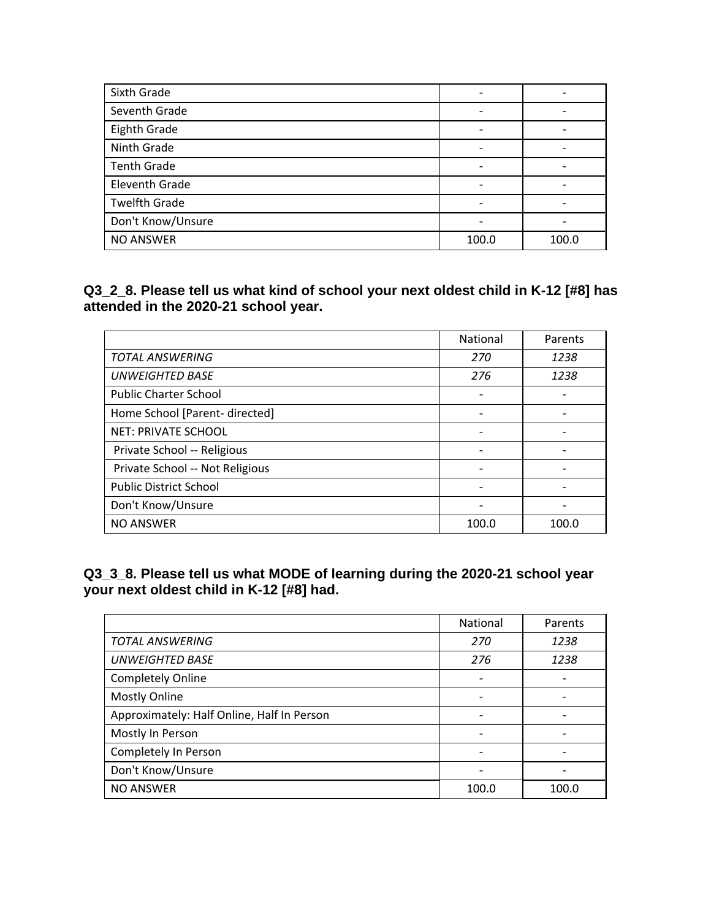| Sixth Grade          |                | $\blacksquare$           |
|----------------------|----------------|--------------------------|
| Seventh Grade        |                | $\overline{\phantom{0}}$ |
| Eighth Grade         |                |                          |
| Ninth Grade          |                |                          |
| <b>Tenth Grade</b>   |                |                          |
| Eleventh Grade       |                |                          |
| <b>Twelfth Grade</b> | $\blacksquare$ |                          |
| Don't Know/Unsure    |                |                          |
| <b>NO ANSWER</b>     | 100.0          | 100.0                    |

**Q3\_2\_8. Please tell us what kind of school your next oldest child in K-12 [#8] has attended in the 2020-21 school year.** 

|                                 | National | Parents |
|---------------------------------|----------|---------|
| <b>TOTAL ANSWERING</b>          | 270      | 1238    |
| <b>UNWEIGHTED BASE</b>          | 276      | 1238    |
| <b>Public Charter School</b>    |          |         |
| Home School [Parent- directed]  |          |         |
| <b>NET: PRIVATE SCHOOL</b>      |          |         |
| Private School -- Religious     |          |         |
| Private School -- Not Religious |          |         |
| <b>Public District School</b>   |          |         |
| Don't Know/Unsure               |          |         |
| <b>NO ANSWER</b>                | 100.0    | 100.0   |

**Q3\_3\_8. Please tell us what MODE of learning during the 2020-21 school year your next oldest child in K-12 [#8] had.** 

|                                            | <b>National</b>          | Parents |
|--------------------------------------------|--------------------------|---------|
| <b>TOTAL ANSWERING</b>                     | 270                      | 1238    |
| <b>UNWEIGHTED BASE</b>                     | 276                      | 1238    |
| <b>Completely Online</b>                   |                          |         |
| <b>Mostly Online</b>                       |                          |         |
| Approximately: Half Online, Half In Person |                          |         |
| Mostly In Person                           | $\overline{\phantom{a}}$ |         |
| Completely In Person                       |                          |         |
| Don't Know/Unsure                          |                          |         |
| <b>NO ANSWER</b>                           | 100.0                    | 100.0   |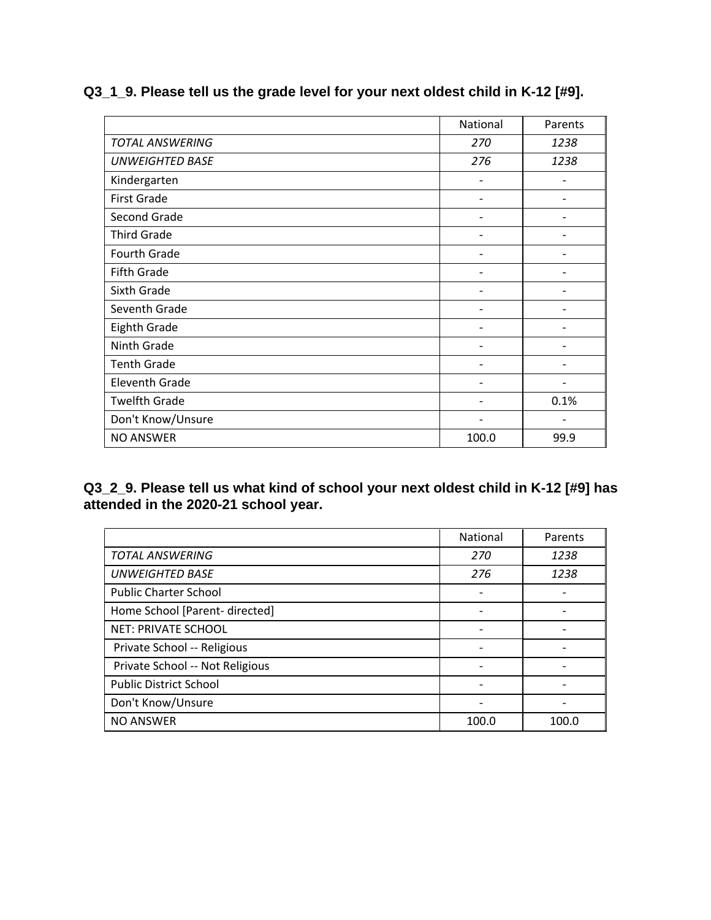|                        | National                 | Parents                  |
|------------------------|--------------------------|--------------------------|
| <b>TOTAL ANSWERING</b> | 270                      | 1238                     |
| <b>UNWEIGHTED BASE</b> | 276                      | 1238                     |
| Kindergarten           | $\overline{\phantom{0}}$ |                          |
| <b>First Grade</b>     |                          |                          |
| Second Grade           |                          |                          |
| <b>Third Grade</b>     |                          |                          |
| Fourth Grade           |                          |                          |
| <b>Fifth Grade</b>     |                          |                          |
| Sixth Grade            |                          |                          |
| Seventh Grade          |                          |                          |
| Eighth Grade           |                          |                          |
| Ninth Grade            |                          |                          |
| <b>Tenth Grade</b>     |                          |                          |
| <b>Eleventh Grade</b>  |                          |                          |
| <b>Twelfth Grade</b>   |                          | 0.1%                     |
| Don't Know/Unsure      |                          | $\overline{\phantom{a}}$ |
| <b>NO ANSWER</b>       | 100.0                    | 99.9                     |

## **Q3\_1\_9. Please tell us the grade level for your next oldest child in K-12 [#9].**

**Q3\_2\_9. Please tell us what kind of school your next oldest child in K-12 [#9] has attended in the 2020-21 school year.** 

|                                 | National | Parents |
|---------------------------------|----------|---------|
| <b>TOTAL ANSWERING</b>          | 270      | 1238    |
| <b>UNWEIGHTED BASE</b>          | 276      | 1238    |
| <b>Public Charter School</b>    |          |         |
| Home School [Parent- directed]  |          |         |
| <b>NET: PRIVATE SCHOOL</b>      |          |         |
| Private School -- Religious     |          |         |
| Private School -- Not Religious |          |         |
| <b>Public District School</b>   |          |         |
| Don't Know/Unsure               |          |         |
| <b>NO ANSWER</b>                | 100.0    | 100.0   |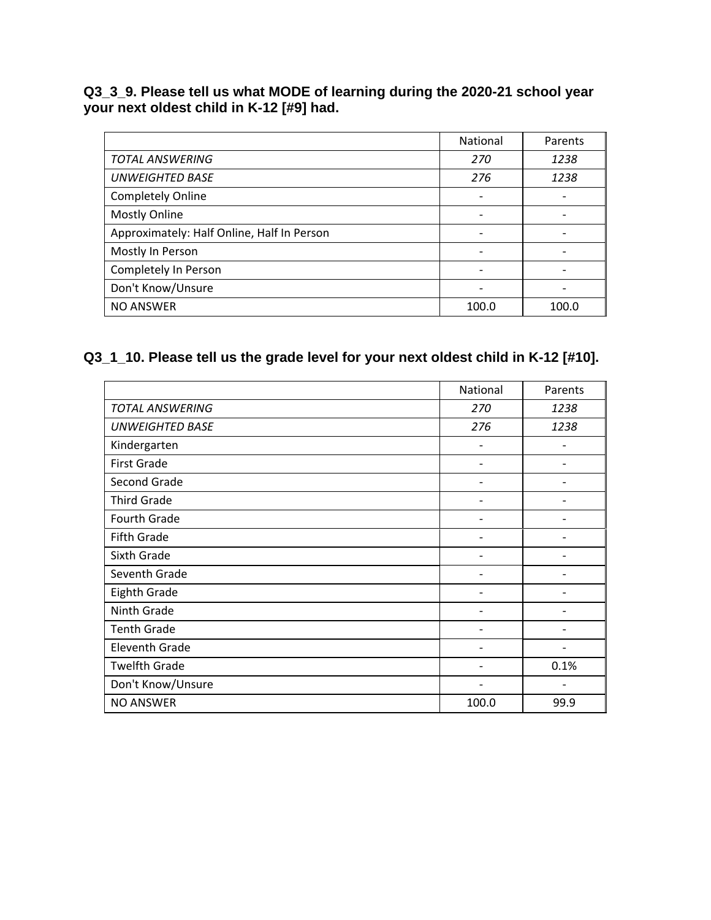#### **Q3\_3\_9. Please tell us what MODE of learning during the 2020-21 school year your next oldest child in K-12 [#9] had.**

|                                            | National                 | Parents |
|--------------------------------------------|--------------------------|---------|
| <b>TOTAL ANSWERING</b>                     | 270                      | 1238    |
| <b>UNWEIGHTED BASE</b>                     | 276                      | 1238    |
| Completely Online                          |                          |         |
| <b>Mostly Online</b>                       |                          |         |
| Approximately: Half Online, Half In Person |                          |         |
| Mostly In Person                           |                          |         |
| Completely In Person                       | $\overline{\phantom{a}}$ |         |
| Don't Know/Unsure                          |                          |         |
| <b>NO ANSWER</b>                           | 100.0                    | 100.0   |

# **Q3\_1\_10. Please tell us the grade level for your next oldest child in K-12 [#10].**

|                        | National                 | Parents                  |
|------------------------|--------------------------|--------------------------|
| <b>TOTAL ANSWERING</b> | 270                      | 1238                     |
| <b>UNWEIGHTED BASE</b> | 276                      | 1238                     |
| Kindergarten           | $\overline{\phantom{a}}$ |                          |
| <b>First Grade</b>     | -                        |                          |
| Second Grade           |                          |                          |
| <b>Third Grade</b>     |                          |                          |
| Fourth Grade           |                          |                          |
| Fifth Grade            |                          |                          |
| Sixth Grade            |                          |                          |
| Seventh Grade          |                          |                          |
| <b>Eighth Grade</b>    |                          |                          |
| Ninth Grade            |                          |                          |
| <b>Tenth Grade</b>     |                          |                          |
| <b>Eleventh Grade</b>  |                          | $\overline{a}$           |
| <b>Twelfth Grade</b>   | -                        | 0.1%                     |
| Don't Know/Unsure      | -                        | $\overline{\phantom{a}}$ |
| <b>NO ANSWER</b>       | 100.0                    | 99.9                     |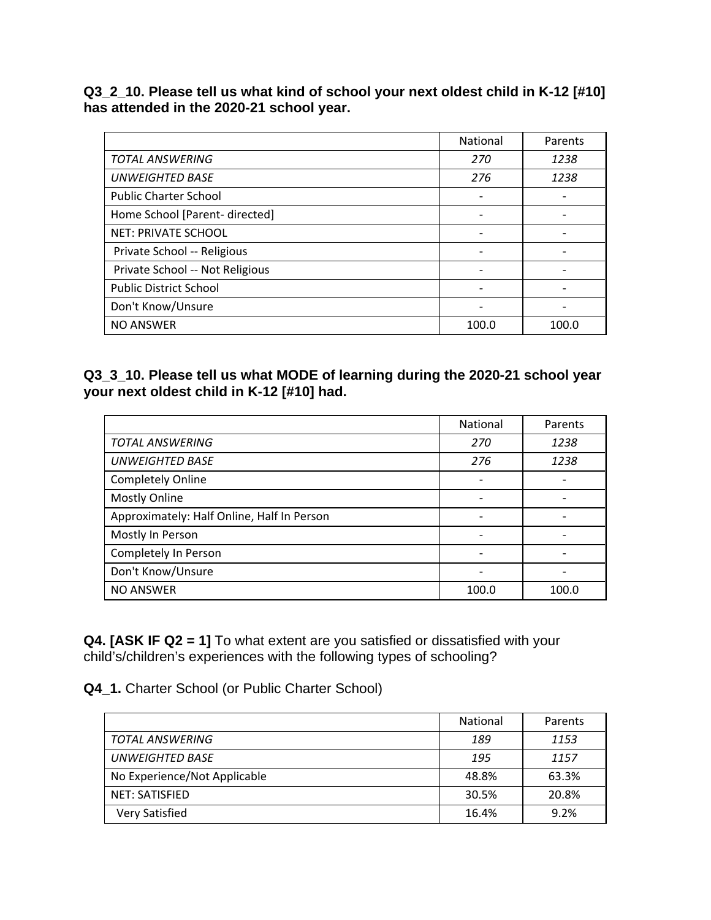**Q3\_2\_10. Please tell us what kind of school your next oldest child in K-12 [#10] has attended in the 2020-21 school year.** 

|                                 | <b>National</b> | Parents |
|---------------------------------|-----------------|---------|
| <b>TOTAL ANSWERING</b>          | 270             | 1238    |
| <b>UNWEIGHTED BASE</b>          | 276             | 1238    |
| <b>Public Charter School</b>    |                 |         |
| Home School [Parent- directed]  |                 |         |
| <b>NET: PRIVATE SCHOOL</b>      |                 |         |
| Private School -- Religious     |                 |         |
| Private School -- Not Religious |                 |         |
| <b>Public District School</b>   |                 |         |
| Don't Know/Unsure               |                 |         |
| <b>NO ANSWER</b>                | 100.0           | 100.0   |

### **Q3\_3\_10. Please tell us what MODE of learning during the 2020-21 school year your next oldest child in K-12 [#10] had.**

|                                            | National | Parents |
|--------------------------------------------|----------|---------|
| <b>TOTAL ANSWERING</b>                     | 270      | 1238    |
| <b>UNWEIGHTED BASE</b>                     | 276      | 1238    |
| <b>Completely Online</b>                   |          |         |
| <b>Mostly Online</b>                       | -        |         |
| Approximately: Half Online, Half In Person |          |         |
| Mostly In Person                           |          |         |
| Completely In Person                       |          |         |
| Don't Know/Unsure                          |          |         |
| <b>NO ANSWER</b>                           | 100.0    | 100.0   |

**Q4. [ASK IF Q2 = 1]** To what extent are you satisfied or dissatisfied with your child's/children's experiences with the following types of schooling?

**Q4\_1.** Charter School (or Public Charter School)

|                              | <b>National</b> | Parents |
|------------------------------|-----------------|---------|
| TOTAL ANSWERING              | 189             | 1153    |
| <b>UNWEIGHTED BASE</b>       | 195             | 1157    |
| No Experience/Not Applicable | 48.8%           | 63.3%   |
| NET: SATISFIED               | 30.5%           | 20.8%   |
| Very Satisfied               | 16.4%           | 9.2%    |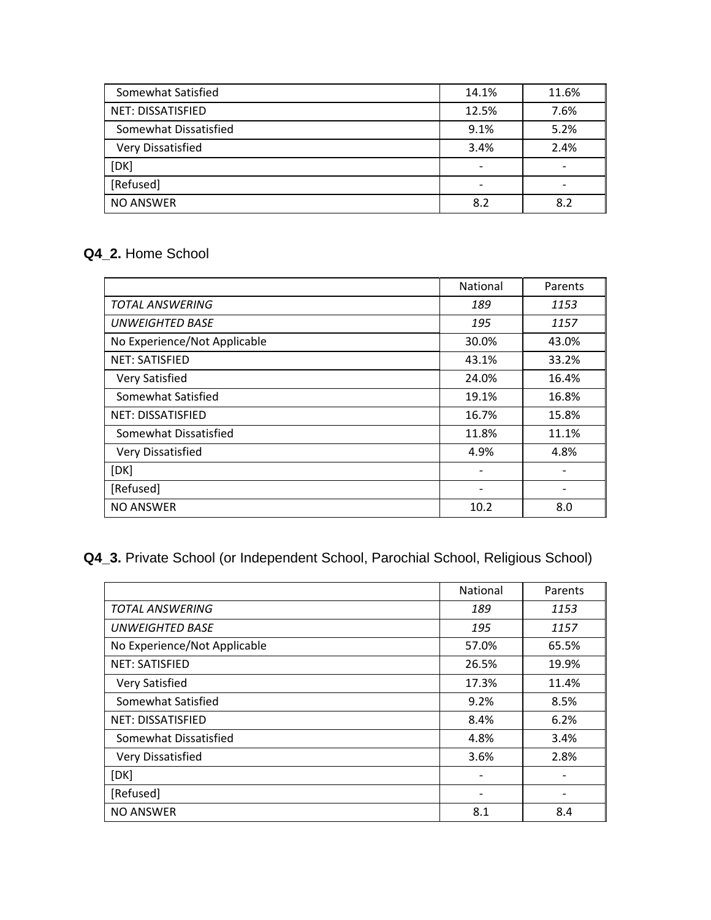| Somewhat Satisfied       | 14.1%                    | 11.6% |
|--------------------------|--------------------------|-------|
| <b>NET: DISSATISFIED</b> | 12.5%                    | 7.6%  |
| Somewhat Dissatisfied    | 9.1%                     | 5.2%  |
| Very Dissatisfied        | 3.4%                     | 2.4%  |
| [DK]                     | $\overline{\phantom{0}}$ |       |
| [Refused]                | $\overline{\phantom{0}}$ |       |
| <b>NO ANSWER</b>         | 8.2                      | 8.2   |

## **Q4\_2.** Home School

|                              | National | Parents |
|------------------------------|----------|---------|
| <b>TOTAL ANSWERING</b>       | 189      | 1153    |
| <b>UNWEIGHTED BASE</b>       | 195      | 1157    |
| No Experience/Not Applicable | 30.0%    | 43.0%   |
| <b>NET: SATISFIED</b>        | 43.1%    | 33.2%   |
| <b>Very Satisfied</b>        | 24.0%    | 16.4%   |
| Somewhat Satisfied           | 19.1%    | 16.8%   |
| <b>NET: DISSATISFIED</b>     | 16.7%    | 15.8%   |
| Somewhat Dissatisfied        | 11.8%    | 11.1%   |
| Very Dissatisfied            | 4.9%     | 4.8%    |
| [DK]                         |          |         |
| [Refused]                    |          |         |
| <b>NO ANSWER</b>             | 10.2     | 8.0     |

# **Q4\_3.** Private School (or Independent School, Parochial School, Religious School)

|                              | National | Parents |
|------------------------------|----------|---------|
| <b>TOTAL ANSWERING</b>       | 189      | 1153    |
| <b>UNWEIGHTED BASE</b>       | 195      | 1157    |
| No Experience/Not Applicable | 57.0%    | 65.5%   |
| <b>NET: SATISFIED</b>        | 26.5%    | 19.9%   |
| Very Satisfied               | 17.3%    | 11.4%   |
| Somewhat Satisfied           | 9.2%     | 8.5%    |
| <b>NET: DISSATISFIED</b>     | 8.4%     | 6.2%    |
| Somewhat Dissatisfied        | 4.8%     | 3.4%    |
| Very Dissatisfied            | 3.6%     | 2.8%    |
| [DK]                         |          |         |
| [Refused]                    |          |         |
| <b>NO ANSWER</b>             | 8.1      | 8.4     |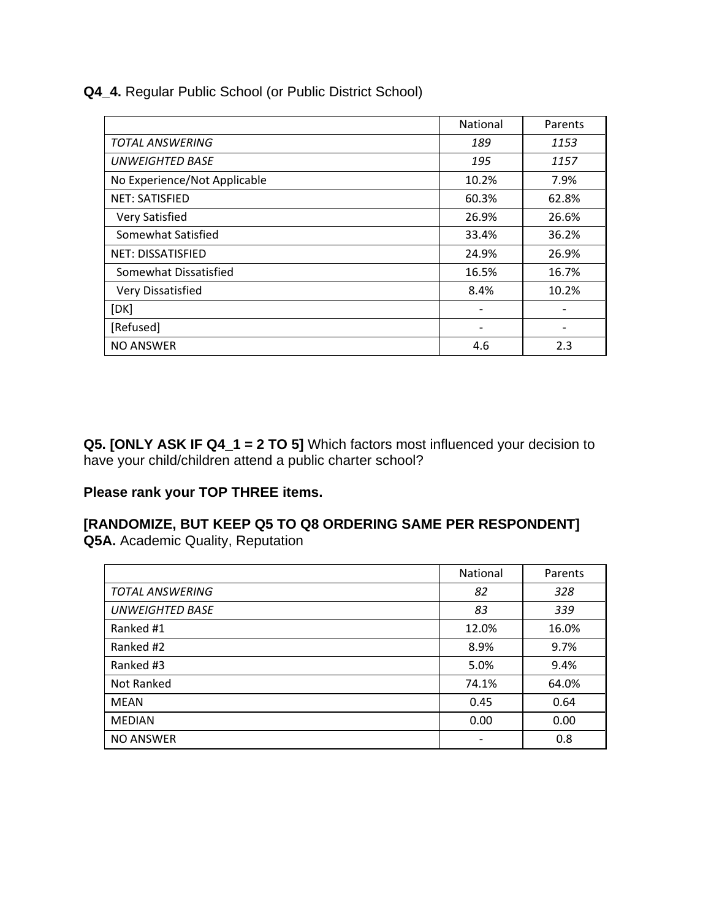**Q4\_4.** Regular Public School (or Public District School)

|                              | National | Parents |
|------------------------------|----------|---------|
| <b>TOTAL ANSWERING</b>       | 189      | 1153    |
| <b>UNWEIGHTED BASE</b>       | 195      | 1157    |
| No Experience/Not Applicable | 10.2%    | 7.9%    |
| <b>NET: SATISFIED</b>        | 60.3%    | 62.8%   |
| Very Satisfied               | 26.9%    | 26.6%   |
| Somewhat Satisfied           | 33.4%    | 36.2%   |
| <b>NET: DISSATISFIED</b>     | 24.9%    | 26.9%   |
| Somewhat Dissatisfied        | 16.5%    | 16.7%   |
| Very Dissatisfied            | 8.4%     | 10.2%   |
| [DK]                         |          |         |
| [Refused]                    |          |         |
| <b>NO ANSWER</b>             | 4.6      | 2.3     |

**Q5. [ONLY ASK IF Q4\_1 = 2 TO 5]** Which factors most influenced your decision to have your child/children attend a public charter school?

#### **Please rank your TOP THREE items.**

#### **[RANDOMIZE, BUT KEEP Q5 TO Q8 ORDERING SAME PER RESPONDENT] Q5A.** Academic Quality, Reputation

|                        | National | Parents |
|------------------------|----------|---------|
| <b>TOTAL ANSWERING</b> | 82       | 328     |
| <b>UNWEIGHTED BASE</b> | 83       | 339     |
| Ranked #1              | 12.0%    | 16.0%   |
| Ranked #2              | 8.9%     | 9.7%    |
| Ranked #3              | 5.0%     | 9.4%    |
| Not Ranked             | 74.1%    | 64.0%   |
| <b>MEAN</b>            | 0.45     | 0.64    |
| <b>MEDIAN</b>          | 0.00     | 0.00    |
| <b>NO ANSWER</b>       |          | 0.8     |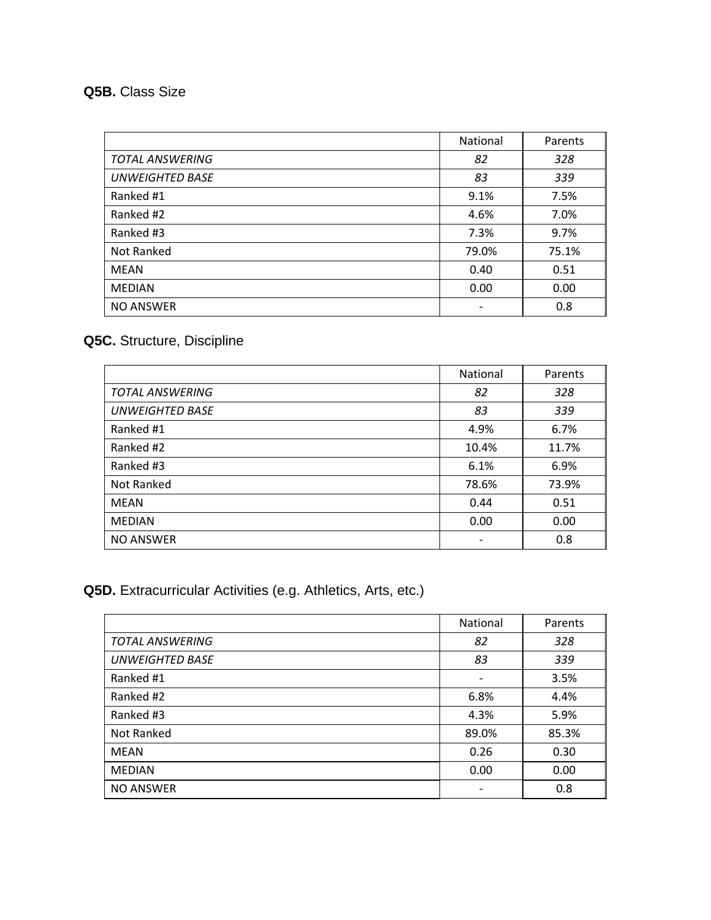# **Q5B.** Class Size

|                        | National | Parents |
|------------------------|----------|---------|
| <b>TOTAL ANSWERING</b> | 82       | 328     |
| <b>UNWEIGHTED BASE</b> | 83       | 339     |
| Ranked #1              | 9.1%     | 7.5%    |
| Ranked #2              | 4.6%     | 7.0%    |
| Ranked #3              | 7.3%     | 9.7%    |
| Not Ranked             | 79.0%    | 75.1%   |
| <b>MEAN</b>            | 0.40     | 0.51    |
| <b>MEDIAN</b>          | 0.00     | 0.00    |
| <b>NO ANSWER</b>       |          | 0.8     |

# **Q5C.** Structure, Discipline

|                        | National | Parents |
|------------------------|----------|---------|
| <b>TOTAL ANSWERING</b> | 82       | 328     |
| <b>UNWEIGHTED BASE</b> | 83       | 339     |
| Ranked #1              | 4.9%     | 6.7%    |
| Ranked #2              | 10.4%    | 11.7%   |
| Ranked #3              | 6.1%     | 6.9%    |
| Not Ranked             | 78.6%    | 73.9%   |
| MEAN                   | 0.44     | 0.51    |
| <b>MEDIAN</b>          | 0.00     | 0.00    |
| <b>NO ANSWER</b>       |          | 0.8     |

# **Q5D.** Extracurricular Activities (e.g. Athletics, Arts, etc.)

|                        | National                 | Parents |
|------------------------|--------------------------|---------|
| <b>TOTAL ANSWERING</b> | 82                       | 328     |
| <b>UNWEIGHTED BASE</b> | 83                       | 339     |
| Ranked #1              | $\overline{\phantom{a}}$ | 3.5%    |
| Ranked #2              | 6.8%                     | 4.4%    |
| Ranked #3              | 4.3%                     | 5.9%    |
| Not Ranked             | 89.0%                    | 85.3%   |
| MEAN                   | 0.26                     | 0.30    |
| <b>MEDIAN</b>          | 0.00                     | 0.00    |
| <b>NO ANSWER</b>       | $\overline{\phantom{a}}$ | 0.8     |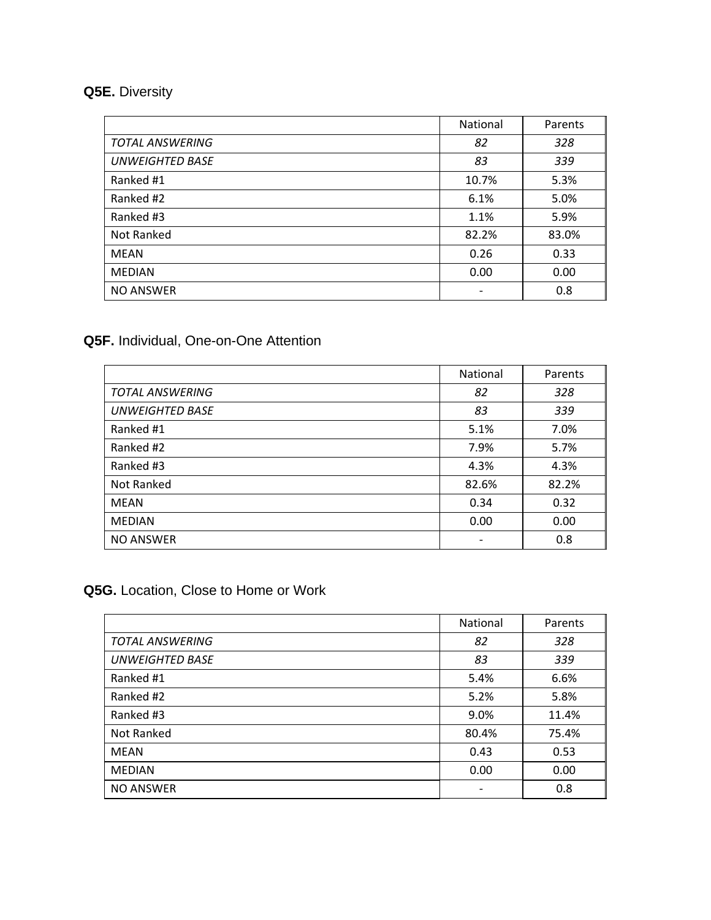# **Q5E.** Diversity

|                        | National | Parents |
|------------------------|----------|---------|
| <b>TOTAL ANSWERING</b> | 82       | 328     |
| <b>UNWEIGHTED BASE</b> | 83       | 339     |
| Ranked #1              | 10.7%    | 5.3%    |
| Ranked #2              | 6.1%     | 5.0%    |
| Ranked #3              | 1.1%     | 5.9%    |
| Not Ranked             | 82.2%    | 83.0%   |
| <b>MEAN</b>            | 0.26     | 0.33    |
| <b>MEDIAN</b>          | 0.00     | 0.00    |
| <b>NO ANSWER</b>       |          | 0.8     |

### **Q5F.** Individual, One-on-One Attention

|                        | National | Parents |
|------------------------|----------|---------|
| <b>TOTAL ANSWERING</b> | 82       | 328     |
| <b>UNWEIGHTED BASE</b> | 83       | 339     |
| Ranked #1              | 5.1%     | 7.0%    |
| Ranked #2              | 7.9%     | 5.7%    |
| Ranked #3              | 4.3%     | 4.3%    |
| Not Ranked             | 82.6%    | 82.2%   |
| <b>MEAN</b>            | 0.34     | 0.32    |
| <b>MEDIAN</b>          | 0.00     | 0.00    |
| <b>NO ANSWER</b>       |          | 0.8     |

# **Q5G.** Location, Close to Home or Work

|                        | National                 | Parents |
|------------------------|--------------------------|---------|
|                        |                          |         |
| <b>TOTAL ANSWERING</b> | 82                       | 328     |
| <b>UNWEIGHTED BASE</b> | 83                       | 339     |
| Ranked #1              | 5.4%                     | 6.6%    |
| Ranked #2              | 5.2%                     | 5.8%    |
| Ranked #3              | 9.0%                     | 11.4%   |
| Not Ranked             | 80.4%                    | 75.4%   |
| <b>MEAN</b>            | 0.43                     | 0.53    |
| <b>MEDIAN</b>          | 0.00                     | 0.00    |
| <b>NO ANSWER</b>       | $\overline{\phantom{a}}$ | 0.8     |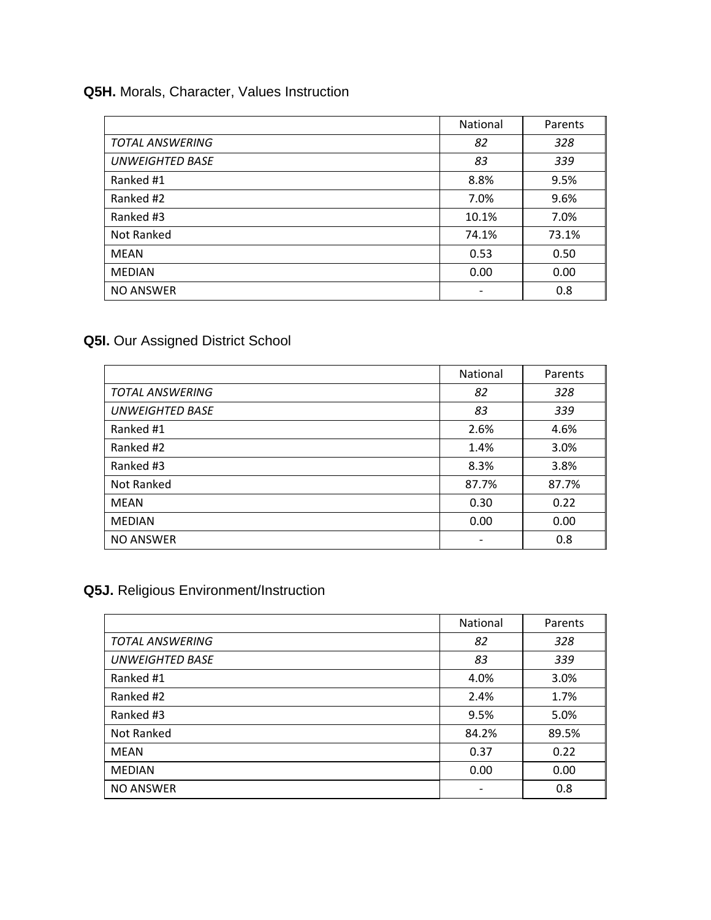## **Q5H.** Morals, Character, Values Instruction

|                        | National | Parents |
|------------------------|----------|---------|
| <b>TOTAL ANSWERING</b> | 82       | 328     |
| <b>UNWEIGHTED BASE</b> | 83       | 339     |
| Ranked #1              | 8.8%     | 9.5%    |
| Ranked #2              | 7.0%     | 9.6%    |
| Ranked #3              | 10.1%    | 7.0%    |
| Not Ranked             | 74.1%    | 73.1%   |
| <b>MEAN</b>            | 0.53     | 0.50    |
| <b>MEDIAN</b>          | 0.00     | 0.00    |
| <b>NO ANSWER</b>       |          | 0.8     |

# **Q5I.** Our Assigned District School

|                        | National | Parents |
|------------------------|----------|---------|
| <b>TOTAL ANSWERING</b> | 82       | 328     |
| <b>UNWEIGHTED BASE</b> | 83       | 339     |
| Ranked #1              | 2.6%     | 4.6%    |
| Ranked #2              | 1.4%     | 3.0%    |
| Ranked #3              | 8.3%     | 3.8%    |
| Not Ranked             | 87.7%    | 87.7%   |
| MEAN                   | 0.30     | 0.22    |
| <b>MEDIAN</b>          | 0.00     | 0.00    |
| <b>NO ANSWER</b>       |          | 0.8     |

# **Q5J.** Religious Environment/Instruction

|                        | National | Parents |
|------------------------|----------|---------|
| <b>TOTAL ANSWERING</b> | 82       | 328     |
| <b>UNWEIGHTED BASE</b> | 83       | 339     |
| Ranked #1              | 4.0%     | 3.0%    |
| Ranked #2              | 2.4%     | 1.7%    |
| Ranked #3              | 9.5%     | 5.0%    |
| Not Ranked             | 84.2%    | 89.5%   |
| <b>MEAN</b>            | 0.37     | 0.22    |
| <b>MEDIAN</b>          | 0.00     | 0.00    |
| <b>NO ANSWER</b>       |          | 0.8     |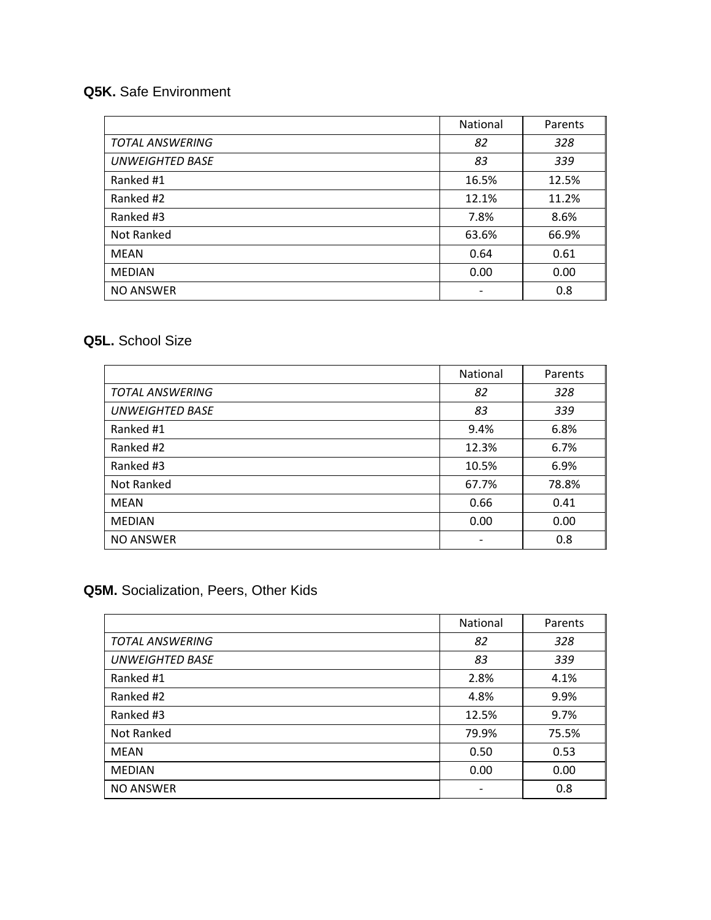## **Q5K.** Safe Environment

|                        | National | Parents |
|------------------------|----------|---------|
| <b>TOTAL ANSWERING</b> | 82       | 328     |
| <b>UNWEIGHTED BASE</b> | 83       | 339     |
| Ranked #1              | 16.5%    | 12.5%   |
| Ranked #2              | 12.1%    | 11.2%   |
| Ranked #3              | 7.8%     | 8.6%    |
| Not Ranked             | 63.6%    | 66.9%   |
| <b>MEAN</b>            | 0.64     | 0.61    |
| <b>MEDIAN</b>          | 0.00     | 0.00    |
| <b>NO ANSWER</b>       |          | 0.8     |

### **Q5L.** School Size

|                        | National | Parents |
|------------------------|----------|---------|
| <b>TOTAL ANSWERING</b> | 82       | 328     |
| <b>UNWEIGHTED BASE</b> | 83       | 339     |
| Ranked #1              | 9.4%     | 6.8%    |
| Ranked #2              | 12.3%    | 6.7%    |
| Ranked #3              | 10.5%    | 6.9%    |
| Not Ranked             | 67.7%    | 78.8%   |
| MEAN                   | 0.66     | 0.41    |
| <b>MEDIAN</b>          | 0.00     | 0.00    |
| <b>NO ANSWER</b>       |          | 0.8     |

# **Q5M.** Socialization, Peers, Other Kids

|                        | National                 | Parents |
|------------------------|--------------------------|---------|
| <b>TOTAL ANSWERING</b> | 82                       | 328     |
| <b>UNWEIGHTED BASE</b> | 83                       | 339     |
| Ranked #1              | 2.8%                     | 4.1%    |
| Ranked #2              | 4.8%                     | 9.9%    |
| Ranked #3              | 12.5%                    | 9.7%    |
| Not Ranked             | 79.9%                    | 75.5%   |
| <b>MEAN</b>            | 0.50                     | 0.53    |
| <b>MEDIAN</b>          | 0.00                     | 0.00    |
| <b>NO ANSWER</b>       | $\overline{\phantom{a}}$ | 0.8     |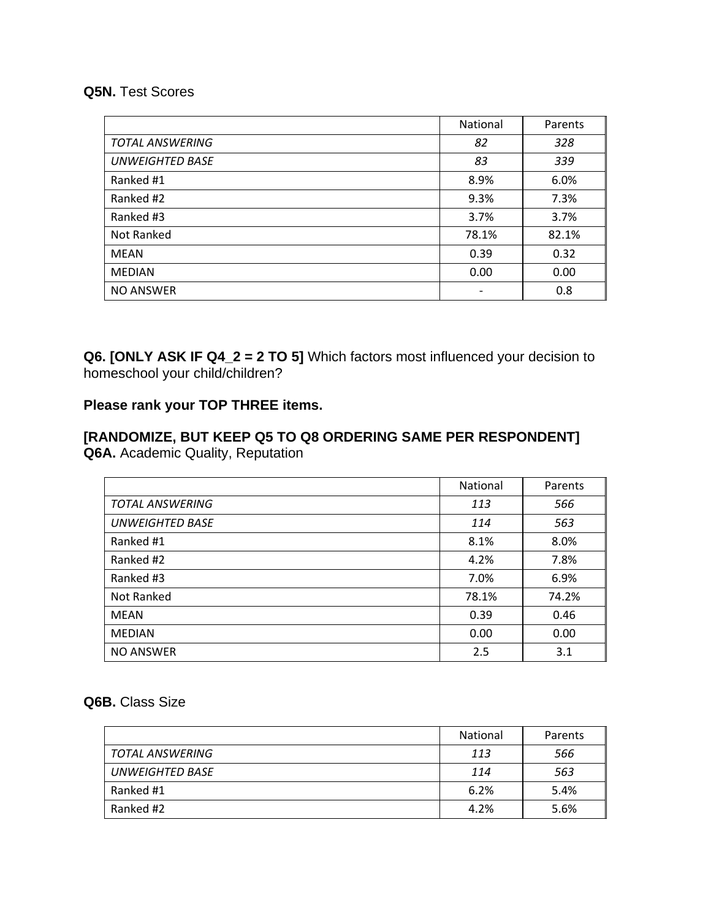#### **Q5N.** Test Scores

|                        | National | Parents |
|------------------------|----------|---------|
| <b>TOTAL ANSWERING</b> | 82       | 328     |
| <b>UNWEIGHTED BASE</b> | 83       | 339     |
| Ranked #1              | 8.9%     | 6.0%    |
| Ranked #2              | 9.3%     | 7.3%    |
| Ranked #3              | 3.7%     | 3.7%    |
| Not Ranked             | 78.1%    | 82.1%   |
| <b>MEAN</b>            | 0.39     | 0.32    |
| <b>MEDIAN</b>          | 0.00     | 0.00    |
| <b>NO ANSWER</b>       |          | 0.8     |

**Q6. [ONLY ASK IF Q4\_2 = 2 TO 5]** Which factors most influenced your decision to homeschool your child/children?

### **Please rank your TOP THREE items.**

## **[RANDOMIZE, BUT KEEP Q5 TO Q8 ORDERING SAME PER RESPONDENT] Q6A.** Academic Quality, Reputation

|                        | National | Parents |
|------------------------|----------|---------|
| <b>TOTAL ANSWERING</b> | 113      | 566     |
| <b>UNWEIGHTED BASE</b> | 114      | 563     |
| Ranked #1              | 8.1%     | 8.0%    |
| Ranked #2              | 4.2%     | 7.8%    |
| Ranked #3              | 7.0%     | 6.9%    |
| Not Ranked             | 78.1%    | 74.2%   |
| <b>MEAN</b>            | 0.39     | 0.46    |
| <b>MEDIAN</b>          | 0.00     | 0.00    |
| <b>NO ANSWER</b>       | 2.5      | 3.1     |

#### **Q6B.** Class Size

|                 | <b>National</b> | Parents |
|-----------------|-----------------|---------|
| TOTAL ANSWERING | 113             | 566     |
| UNWEIGHTED BASE | 114             | 563     |
| Ranked #1       | 6.2%            | 5.4%    |
| Ranked #2       | 4.2%            | 5.6%    |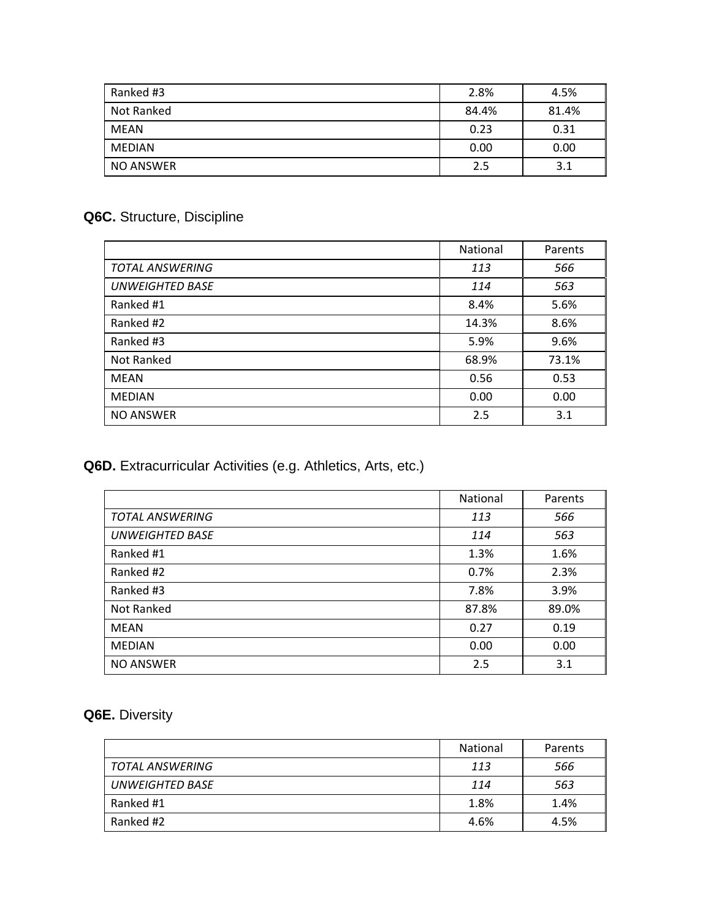| Ranked #3     | 2.8%  | 4.5%  |
|---------------|-------|-------|
| Not Ranked    | 84.4% | 81.4% |
| MEAN          | 0.23  | 0.31  |
| <b>MEDIAN</b> | 0.00  | 0.00  |
| NO ANSWER     | 2.5   | 3.1   |

# **Q6C.** Structure, Discipline

|                        | National | Parents |
|------------------------|----------|---------|
| <b>TOTAL ANSWERING</b> | 113      | 566     |
| <b>UNWEIGHTED BASE</b> | 114      | 563     |
| Ranked #1              | 8.4%     | 5.6%    |
| Ranked #2              | 14.3%    | 8.6%    |
| Ranked #3              | 5.9%     | 9.6%    |
| Not Ranked             | 68.9%    | 73.1%   |
| MEAN                   | 0.56     | 0.53    |
| <b>MEDIAN</b>          | 0.00     | 0.00    |
| <b>NO ANSWER</b>       | 2.5      | 3.1     |

## **Q6D.** Extracurricular Activities (e.g. Athletics, Arts, etc.)

|                        | National | Parents |
|------------------------|----------|---------|
| <b>TOTAL ANSWERING</b> | 113      | 566     |
| <b>UNWEIGHTED BASE</b> | 114      | 563     |
| Ranked #1              | 1.3%     | 1.6%    |
| Ranked #2              | 0.7%     | 2.3%    |
| Ranked #3              | 7.8%     | 3.9%    |
| Not Ranked             | 87.8%    | 89.0%   |
| <b>MEAN</b>            | 0.27     | 0.19    |
| <b>MEDIAN</b>          | 0.00     | 0.00    |
| <b>NO ANSWER</b>       | 2.5      | 3.1     |

# **Q6E.** Diversity

|                        | <b>National</b> | Parents |
|------------------------|-----------------|---------|
| TOTAL ANSWERING        | 113             | 566     |
| <b>UNWEIGHTED BASE</b> | 114             | 563     |
| Ranked #1              | 1.8%            | 1.4%    |
| Ranked #2              | 4.6%            | 4.5%    |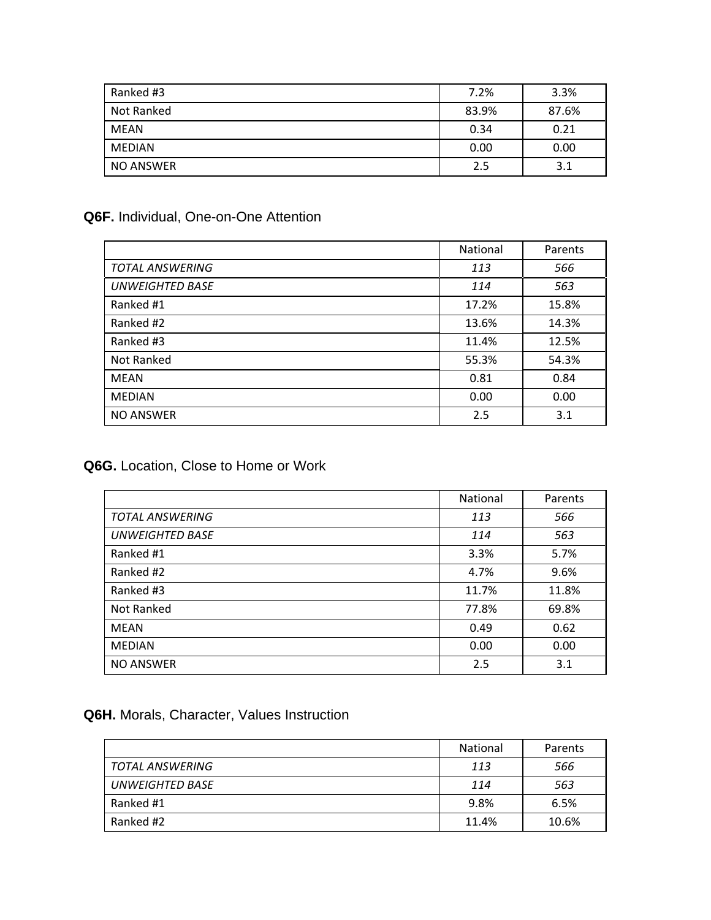| Ranked #3     | 7.2%  | 3.3%  |
|---------------|-------|-------|
| Not Ranked    | 83.9% | 87.6% |
| MEAN          | 0.34  | 0.21  |
| <b>MEDIAN</b> | 0.00  | 0.00  |
| NO ANSWER     | 2.5   | 3.1   |

## **Q6F.** Individual, One-on-One Attention

|                        | National | Parents |
|------------------------|----------|---------|
| <b>TOTAL ANSWERING</b> | 113      | 566     |
| <b>UNWEIGHTED BASE</b> | 114      | 563     |
| Ranked #1              | 17.2%    | 15.8%   |
| Ranked #2              | 13.6%    | 14.3%   |
| Ranked #3              | 11.4%    | 12.5%   |
| Not Ranked             | 55.3%    | 54.3%   |
| <b>MEAN</b>            | 0.81     | 0.84    |
| <b>MEDIAN</b>          | 0.00     | 0.00    |
| <b>NO ANSWER</b>       | 2.5      | 3.1     |

### **Q6G.** Location, Close to Home or Work

|                        | National | Parents |
|------------------------|----------|---------|
| <b>TOTAL ANSWERING</b> | 113      | 566     |
| <b>UNWEIGHTED BASE</b> | 114      | 563     |
| Ranked #1              | 3.3%     | 5.7%    |
| Ranked #2              | 4.7%     | 9.6%    |
| Ranked #3              | 11.7%    | 11.8%   |
| Not Ranked             | 77.8%    | 69.8%   |
| MEAN                   | 0.49     | 0.62    |
| <b>MEDIAN</b>          | 0.00     | 0.00    |
| <b>NO ANSWER</b>       | 2.5      | 3.1     |

#### **Q6H.** Morals, Character, Values Instruction

|                 | <b>National</b> | Parents |
|-----------------|-----------------|---------|
| TOTAL ANSWERING | 113             | 566     |
| UNWEIGHTED BASE | 114             | 563     |
| Ranked #1       | 9.8%            | 6.5%    |
| Ranked #2       | 11.4%           | 10.6%   |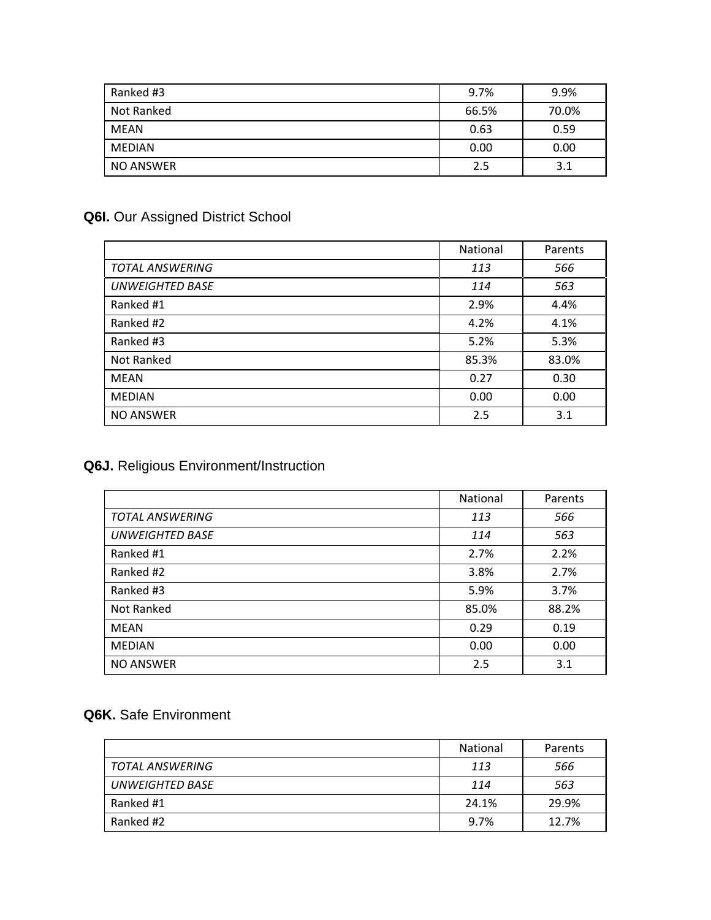| Ranked #3        | 9.7%  | 9.9%  |
|------------------|-------|-------|
| Not Ranked       | 66.5% | 70.0% |
| MEAN             | 0.63  | 0.59  |
| <b>MEDIAN</b>    | 0.00  | 0.00  |
| <b>NO ANSWER</b> | 2.5   | 3.1   |

# **Q6I.** Our Assigned District School

|                        | <b>National</b> | Parents |
|------------------------|-----------------|---------|
| <b>TOTAL ANSWERING</b> | 113             | 566     |
| <b>UNWEIGHTED BASE</b> | 114             | 563     |
| Ranked #1              | 2.9%            | 4.4%    |
| Ranked #2              | 4.2%            | 4.1%    |
| Ranked #3              | 5.2%            | 5.3%    |
| Not Ranked             | 85.3%           | 83.0%   |
| <b>MEAN</b>            | 0.27            | 0.30    |
| <b>MEDIAN</b>          | 0.00            | 0.00    |
| <b>NO ANSWER</b>       | 2.5             | 3.1     |

# **Q6J.** Religious Environment/Instruction

|                        | National | Parents |
|------------------------|----------|---------|
| <b>TOTAL ANSWERING</b> | 113      | 566     |
| <b>UNWEIGHTED BASE</b> | 114      | 563     |
| Ranked #1              | 2.7%     | 2.2%    |
| Ranked #2              | 3.8%     | 2.7%    |
| Ranked #3              | 5.9%     | 3.7%    |
| Not Ranked             | 85.0%    | 88.2%   |
| <b>MEAN</b>            | 0.29     | 0.19    |
| <b>MEDIAN</b>          | 0.00     | 0.00    |
| <b>NO ANSWER</b>       | 2.5      | 3.1     |

## **Q6K.** Safe Environment

|                        | <b>National</b> | Parents |
|------------------------|-----------------|---------|
| TOTAL ANSWERING        | 113             | 566     |
| <b>UNWEIGHTED BASE</b> | 114             | 563     |
| Ranked #1              | 24.1%           | 29.9%   |
| Ranked #2              | 9.7%            | 12.7%   |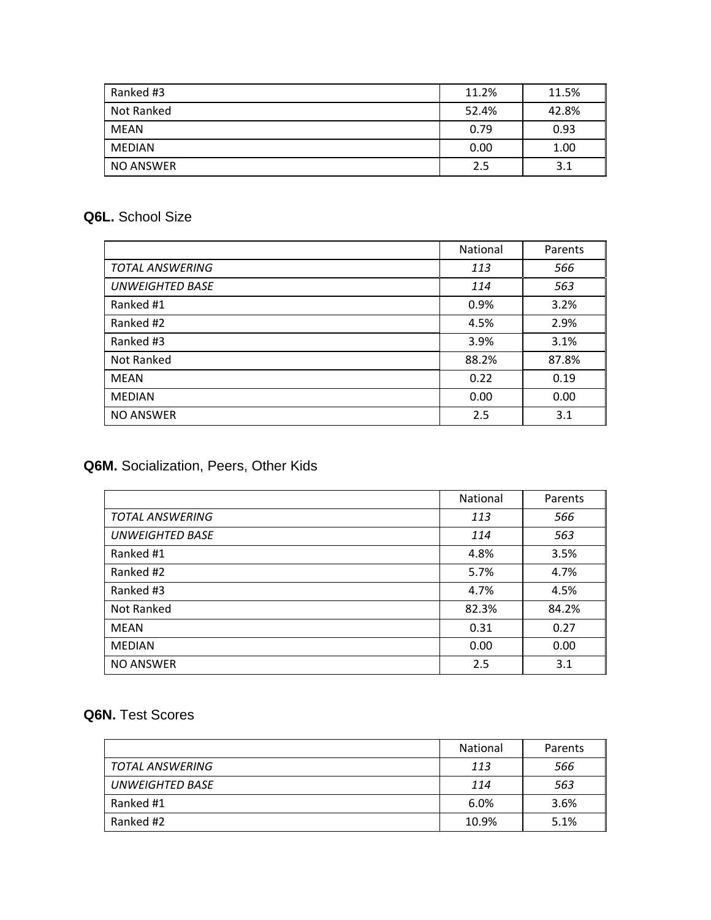| Ranked #3        | 11.2% | 11.5% |
|------------------|-------|-------|
| Not Ranked       | 52.4% | 42.8% |
| <b>MEAN</b>      | 0.79  | 0.93  |
| <b>MEDIAN</b>    | 0.00  | 1.00  |
| <b>NO ANSWER</b> | 2.5   | 3.1   |

## **Q6L.** School Size

|                        | <b>National</b> | Parents |
|------------------------|-----------------|---------|
| <b>TOTAL ANSWERING</b> | 113             | 566     |
| <b>UNWEIGHTED BASE</b> | 114             | 563     |
| Ranked #1              | 0.9%            | 3.2%    |
| Ranked #2              | 4.5%            | 2.9%    |
| Ranked #3              | 3.9%            | 3.1%    |
| Not Ranked             | 88.2%           | 87.8%   |
| MEAN                   | 0.22            | 0.19    |
| <b>MEDIAN</b>          | 0.00            | 0.00    |
| <b>NO ANSWER</b>       | 2.5             | 3.1     |

## **Q6M.** Socialization, Peers, Other Kids

|                        | National | Parents |
|------------------------|----------|---------|
| <b>TOTAL ANSWERING</b> | 113      | 566     |
| <b>UNWEIGHTED BASE</b> | 114      | 563     |
| Ranked #1              | 4.8%     | 3.5%    |
| Ranked #2              | 5.7%     | 4.7%    |
| Ranked #3              | 4.7%     | 4.5%    |
| Not Ranked             | 82.3%    | 84.2%   |
| <b>MEAN</b>            | 0.31     | 0.27    |
| <b>MEDIAN</b>          | 0.00     | 0.00    |
| <b>NO ANSWER</b>       | 2.5      | 3.1     |

## **Q6N.** Test Scores

|                        | <b>National</b> | Parents |
|------------------------|-----------------|---------|
| TOTAL ANSWERING        | 113             | 566     |
| <b>UNWEIGHTED BASE</b> | 114             | 563     |
| Ranked #1              | 6.0%            | 3.6%    |
| Ranked #2              | 10.9%           | 5.1%    |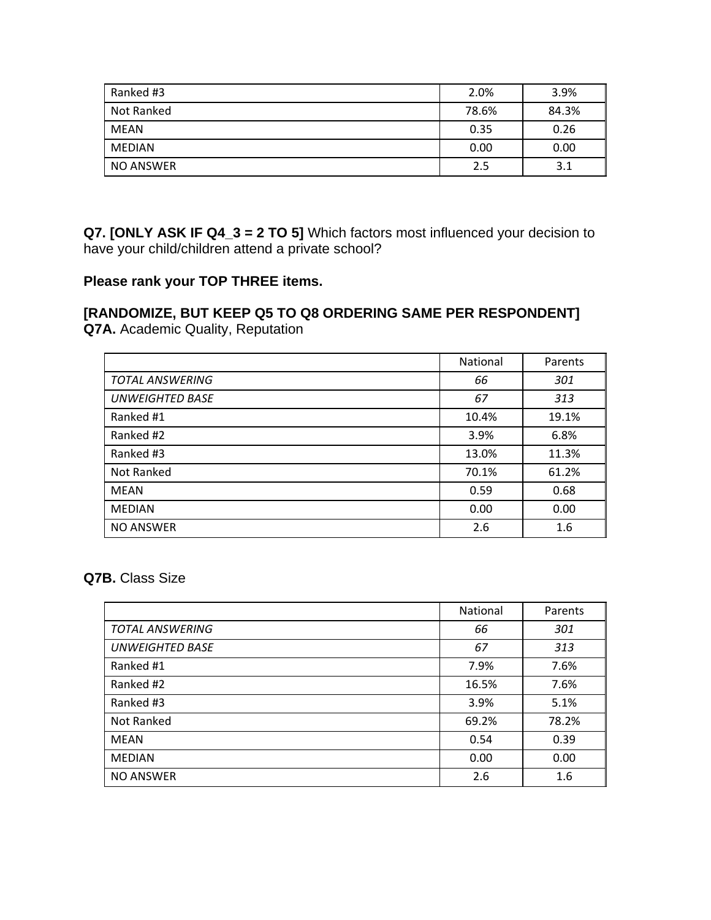| Ranked #3     | 2.0%  | 3.9%  |
|---------------|-------|-------|
| Not Ranked    | 78.6% | 84.3% |
| MEAN          | 0.35  | 0.26  |
| <b>MEDIAN</b> | 0.00  | 0.00  |
| NO ANSWER     | 2.5   | 3.1   |

**Q7. [ONLY ASK IF Q4\_3 = 2 TO 5]** Which factors most influenced your decision to have your child/children attend a private school?

#### **Please rank your TOP THREE items.**

# **[RANDOMIZE, BUT KEEP Q5 TO Q8 ORDERING SAME PER RESPONDENT]**

**Q7A.** Academic Quality, Reputation

|                        | National | Parents |
|------------------------|----------|---------|
| <b>TOTAL ANSWERING</b> | 66       | 301     |
| <b>UNWEIGHTED BASE</b> | 67       | 313     |
| Ranked #1              | 10.4%    | 19.1%   |
| Ranked #2              | 3.9%     | 6.8%    |
| Ranked #3              | 13.0%    | 11.3%   |
| Not Ranked             | 70.1%    | 61.2%   |
| <b>MEAN</b>            | 0.59     | 0.68    |
| <b>MEDIAN</b>          | 0.00     | 0.00    |
| <b>NO ANSWER</b>       | 2.6      | 1.6     |

**Q7B.** Class Size

|                        | National | Parents |
|------------------------|----------|---------|
| <b>TOTAL ANSWERING</b> | 66       | 301     |
| <b>UNWEIGHTED BASE</b> | 67       | 313     |
| Ranked #1              | 7.9%     | 7.6%    |
| Ranked #2              | 16.5%    | 7.6%    |
| Ranked #3              | 3.9%     | 5.1%    |
| Not Ranked             | 69.2%    | 78.2%   |
| MEAN                   | 0.54     | 0.39    |
| <b>MEDIAN</b>          | 0.00     | 0.00    |
| <b>NO ANSWER</b>       | 2.6      | 1.6     |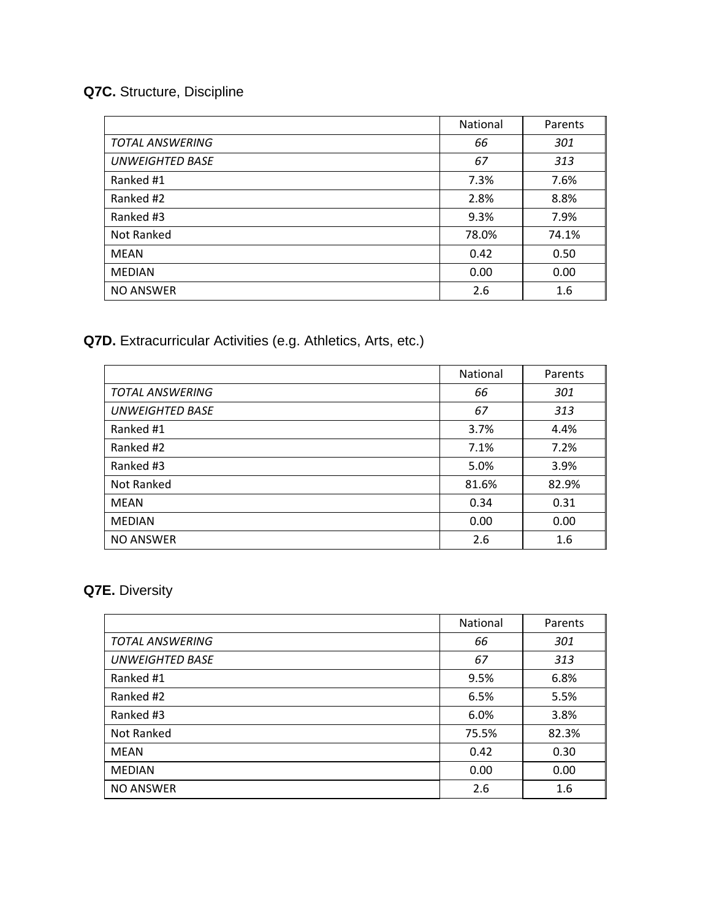## **Q7C.** Structure, Discipline

|                        | National | Parents |
|------------------------|----------|---------|
| <b>TOTAL ANSWERING</b> | 66       | 301     |
| <b>UNWEIGHTED BASE</b> | 67       | 313     |
| Ranked #1              | 7.3%     | 7.6%    |
| Ranked #2              | 2.8%     | 8.8%    |
| Ranked #3              | 9.3%     | 7.9%    |
| Not Ranked             | 78.0%    | 74.1%   |
| <b>MEAN</b>            | 0.42     | 0.50    |
| <b>MEDIAN</b>          | 0.00     | 0.00    |
| <b>NO ANSWER</b>       | 2.6      | 1.6     |

**Q7D.** Extracurricular Activities (e.g. Athletics, Arts, etc.)

|                        | National | Parents |
|------------------------|----------|---------|
| <b>TOTAL ANSWERING</b> | 66       | 301     |
| <b>UNWEIGHTED BASE</b> | 67       | 313     |
| Ranked #1              | 3.7%     | 4.4%    |
| Ranked #2              | 7.1%     | 7.2%    |
| Ranked #3              | 5.0%     | 3.9%    |
| Not Ranked             | 81.6%    | 82.9%   |
| <b>MEAN</b>            | 0.34     | 0.31    |
| <b>MEDIAN</b>          | 0.00     | 0.00    |
| <b>NO ANSWER</b>       | 2.6      | 1.6     |

## **Q7E.** Diversity

|                        | National | Parents |
|------------------------|----------|---------|
| <b>TOTAL ANSWERING</b> | 66       | 301     |
| <b>UNWEIGHTED BASE</b> | 67       | 313     |
| Ranked #1              | 9.5%     | 6.8%    |
| Ranked #2              | 6.5%     | 5.5%    |
| Ranked #3              | 6.0%     | 3.8%    |
| Not Ranked             | 75.5%    | 82.3%   |
| <b>MEAN</b>            | 0.42     | 0.30    |
| <b>MEDIAN</b>          | 0.00     | 0.00    |
| <b>NO ANSWER</b>       | 2.6      | 1.6     |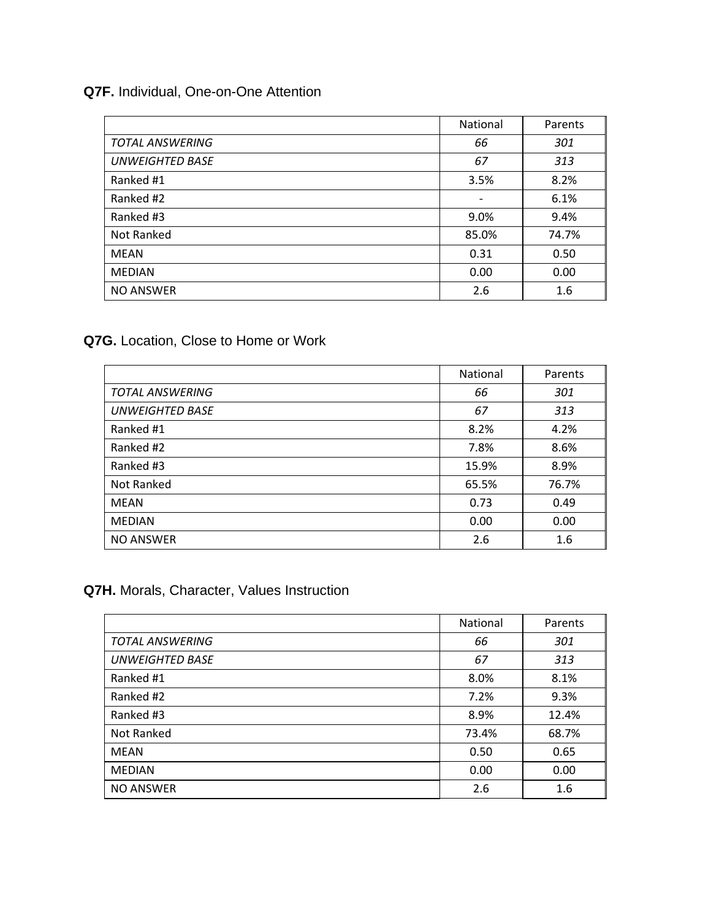#### **Q7F.** Individual, One-on-One Attention

|                        | National | Parents |
|------------------------|----------|---------|
| <b>TOTAL ANSWERING</b> | 66       | 301     |
| <b>UNWEIGHTED BASE</b> | 67       | 313     |
| Ranked #1              | 3.5%     | 8.2%    |
| Ranked #2              |          | 6.1%    |
| Ranked #3              | 9.0%     | 9.4%    |
| Not Ranked             | 85.0%    | 74.7%   |
| MEAN                   | 0.31     | 0.50    |
| <b>MEDIAN</b>          | 0.00     | 0.00    |
| <b>NO ANSWER</b>       | 2.6      | 1.6     |

#### **Q7G.** Location, Close to Home or Work

|                        | <b>National</b> | Parents |
|------------------------|-----------------|---------|
| <b>TOTAL ANSWERING</b> | 66              | 301     |
| <b>UNWEIGHTED BASE</b> | 67              | 313     |
| Ranked #1              | 8.2%            | 4.2%    |
| Ranked #2              | 7.8%            | 8.6%    |
| Ranked #3              | 15.9%           | 8.9%    |
| Not Ranked             | 65.5%           | 76.7%   |
| MEAN                   | 0.73            | 0.49    |
| <b>MEDIAN</b>          | 0.00            | 0.00    |
| <b>NO ANSWER</b>       | 2.6             | 1.6     |

#### **Q7H.** Morals, Character, Values Instruction

|                        | National | Parents |
|------------------------|----------|---------|
| <b>TOTAL ANSWERING</b> | 66       | 301     |
| <b>UNWEIGHTED BASE</b> | 67       | 313     |
| Ranked #1              | 8.0%     | 8.1%    |
| Ranked #2              | 7.2%     | 9.3%    |
| Ranked #3              | 8.9%     | 12.4%   |
| Not Ranked             | 73.4%    | 68.7%   |
| <b>MEAN</b>            | 0.50     | 0.65    |
| <b>MEDIAN</b>          | 0.00     | 0.00    |
| <b>NO ANSWER</b>       | 2.6      | 1.6     |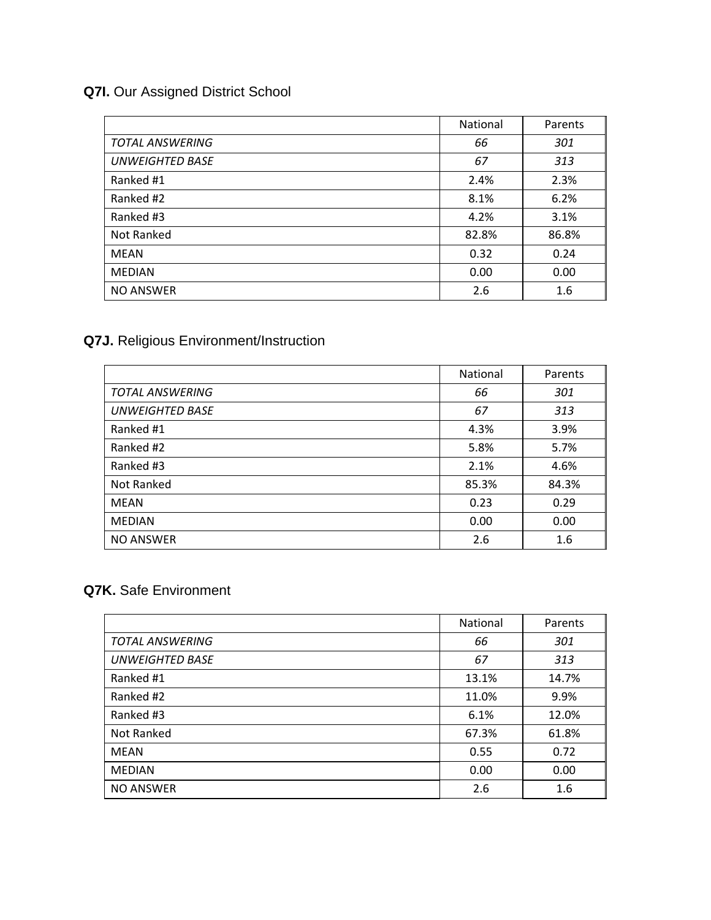## **Q7I.** Our Assigned District School

|                        | National | Parents |
|------------------------|----------|---------|
| <b>TOTAL ANSWERING</b> | 66       | 301     |
| <b>UNWEIGHTED BASE</b> | 67       | 313     |
| Ranked #1              | 2.4%     | 2.3%    |
| Ranked #2              | 8.1%     | 6.2%    |
| Ranked #3              | 4.2%     | 3.1%    |
| Not Ranked             | 82.8%    | 86.8%   |
| MEAN                   | 0.32     | 0.24    |
| <b>MEDIAN</b>          | 0.00     | 0.00    |
| <b>NO ANSWER</b>       | 2.6      | 1.6     |

## **Q7J.** Religious Environment/Instruction

|                        | <b>National</b> | Parents |
|------------------------|-----------------|---------|
| <b>TOTAL ANSWERING</b> | 66              | 301     |
| <b>UNWEIGHTED BASE</b> | 67              | 313     |
| Ranked #1              | 4.3%            | 3.9%    |
| Ranked #2              | 5.8%            | 5.7%    |
| Ranked #3              | 2.1%            | 4.6%    |
| Not Ranked             | 85.3%           | 84.3%   |
| <b>MEAN</b>            | 0.23            | 0.29    |
| <b>MEDIAN</b>          | 0.00            | 0.00    |
| <b>NO ANSWER</b>       | 2.6             | 1.6     |

#### **Q7K.** Safe Environment

|                        | National | Parents |
|------------------------|----------|---------|
| <b>TOTAL ANSWERING</b> | 66       | 301     |
| <b>UNWEIGHTED BASE</b> | 67       | 313     |
| Ranked #1              | 13.1%    | 14.7%   |
| Ranked #2              | 11.0%    | 9.9%    |
| Ranked #3              | 6.1%     | 12.0%   |
| Not Ranked             | 67.3%    | 61.8%   |
| <b>MEAN</b>            | 0.55     | 0.72    |
| <b>MEDIAN</b>          | 0.00     | 0.00    |
| <b>NO ANSWER</b>       | 2.6      | 1.6     |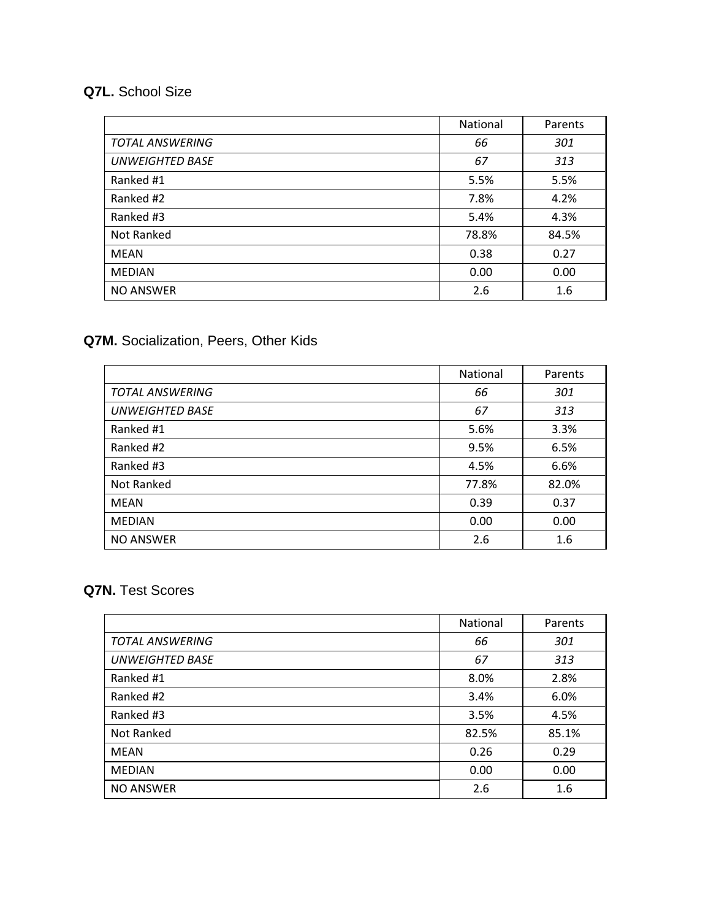#### **Q7L.** School Size

|                        | National | Parents |
|------------------------|----------|---------|
| <b>TOTAL ANSWERING</b> | 66       | 301     |
| <b>UNWEIGHTED BASE</b> | 67       | 313     |
| Ranked #1              | 5.5%     | 5.5%    |
| Ranked #2              | 7.8%     | 4.2%    |
| Ranked #3              | 5.4%     | 4.3%    |
| Not Ranked             | 78.8%    | 84.5%   |
| <b>MEAN</b>            | 0.38     | 0.27    |
| <b>MEDIAN</b>          | 0.00     | 0.00    |
| <b>NO ANSWER</b>       | 2.6      | 1.6     |

## **Q7M.** Socialization, Peers, Other Kids

|                        | National | Parents |
|------------------------|----------|---------|
| <b>TOTAL ANSWERING</b> | 66       | 301     |
| <b>UNWEIGHTED BASE</b> | 67       | 313     |
| Ranked #1              | 5.6%     | 3.3%    |
| Ranked #2              | 9.5%     | 6.5%    |
| Ranked #3              | 4.5%     | 6.6%    |
| Not Ranked             | 77.8%    | 82.0%   |
| <b>MEAN</b>            | 0.39     | 0.37    |
| <b>MEDIAN</b>          | 0.00     | 0.00    |
| <b>NO ANSWER</b>       | 2.6      | 1.6     |

#### **Q7N.** Test Scores

|                        | National | Parents |
|------------------------|----------|---------|
| <b>TOTAL ANSWERING</b> | 66       | 301     |
| <b>UNWEIGHTED BASE</b> | 67       | 313     |
| Ranked #1              | 8.0%     | 2.8%    |
| Ranked #2              | 3.4%     | 6.0%    |
| Ranked #3              | 3.5%     | 4.5%    |
| Not Ranked             | 82.5%    | 85.1%   |
| <b>MEAN</b>            | 0.26     | 0.29    |
| <b>MEDIAN</b>          | 0.00     | 0.00    |
| <b>NO ANSWER</b>       | 2.6      | 1.6     |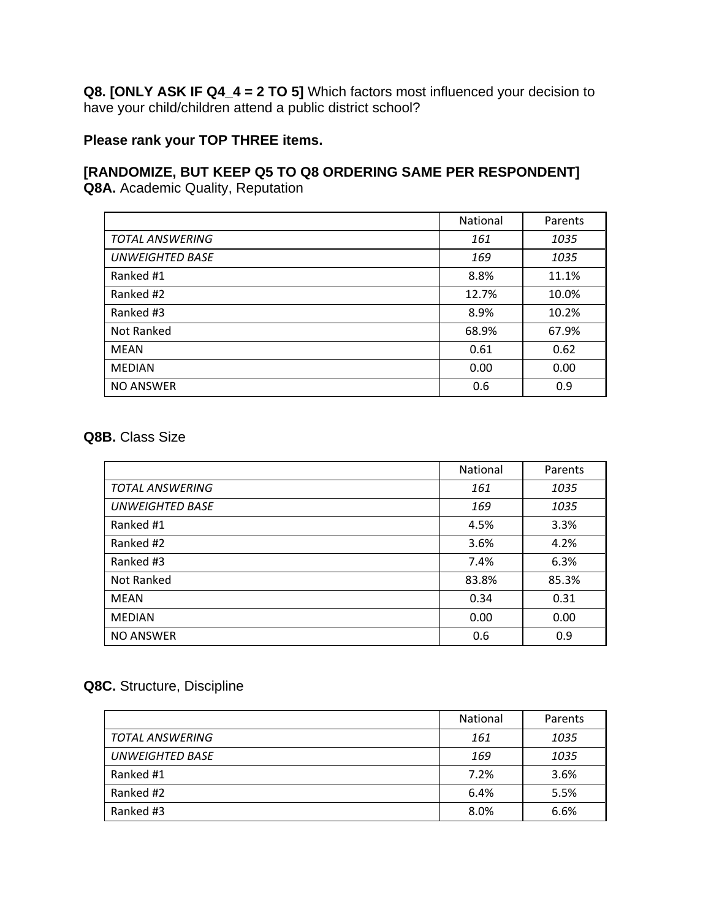**Q8. [ONLY ASK IF Q4\_4 = 2 TO 5]** Which factors most influenced your decision to have your child/children attend a public district school?

#### **Please rank your TOP THREE items.**

#### **[RANDOMIZE, BUT KEEP Q5 TO Q8 ORDERING SAME PER RESPONDENT] Q8A.** Academic Quality, Reputation

|                        | National | Parents |
|------------------------|----------|---------|
| <b>TOTAL ANSWERING</b> | 161      | 1035    |
| <b>UNWEIGHTED BASE</b> | 169      | 1035    |
| Ranked #1              | 8.8%     | 11.1%   |
| Ranked #2              | 12.7%    | 10.0%   |
| Ranked #3              | 8.9%     | 10.2%   |
| Not Ranked             | 68.9%    | 67.9%   |
| <b>MEAN</b>            | 0.61     | 0.62    |
| <b>MEDIAN</b>          | 0.00     | 0.00    |
| <b>NO ANSWER</b>       | 0.6      | 0.9     |

#### **Q8B.** Class Size

|                        | <b>National</b> | Parents |
|------------------------|-----------------|---------|
| <b>TOTAL ANSWERING</b> | 161             | 1035    |
| <b>UNWEIGHTED BASE</b> | 169             | 1035    |
| Ranked #1              | 4.5%            | 3.3%    |
| Ranked #2              | 3.6%            | 4.2%    |
| Ranked #3              | 7.4%            | 6.3%    |
| Not Ranked             | 83.8%           | 85.3%   |
| <b>MEAN</b>            | 0.34            | 0.31    |
| <b>MEDIAN</b>          | 0.00            | 0.00    |
| <b>NO ANSWER</b>       | 0.6             | 0.9     |

#### **Q8C.** Structure, Discipline

|                        | <b>National</b> | Parents |
|------------------------|-----------------|---------|
| <b>TOTAL ANSWERING</b> | 161             | 1035    |
| <b>UNWEIGHTED BASE</b> | 169             | 1035    |
| Ranked #1              | 7.2%            | 3.6%    |
| Ranked #2              | 6.4%            | 5.5%    |
| Ranked #3              | 8.0%            | 6.6%    |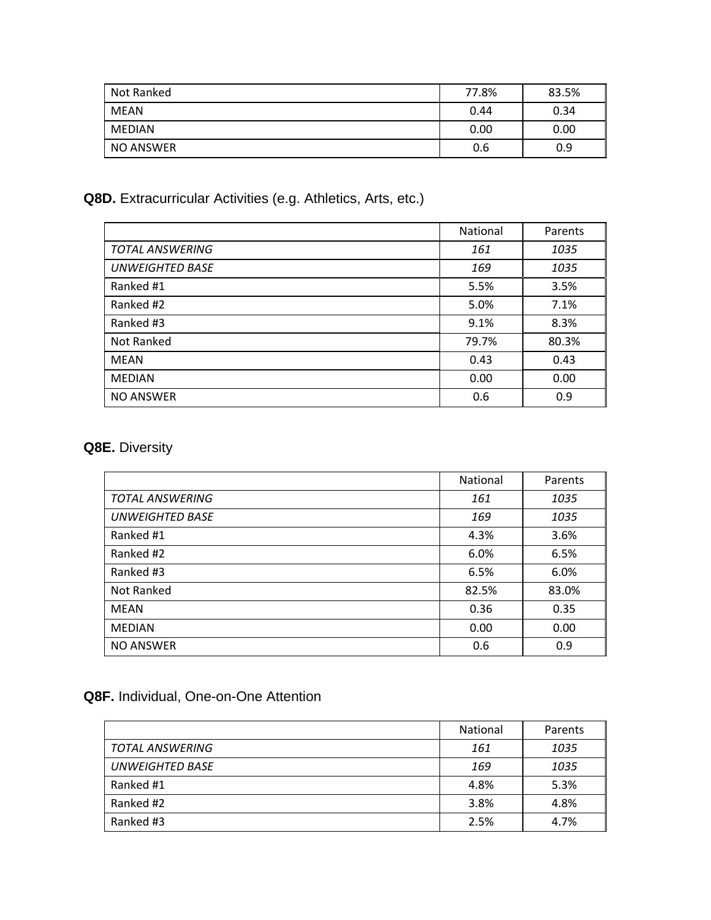| Not Ranked | 77.8% | 83.5% |
|------------|-------|-------|
| MEAN       | 0.44  | 0.34  |
| MEDIAN     | 0.00  | 0.00  |
| NO ANSWER  | 0.6   | 0.9   |

#### **Q8D.** Extracurricular Activities (e.g. Athletics, Arts, etc.)

|                        | National | Parents |
|------------------------|----------|---------|
| <b>TOTAL ANSWERING</b> | 161      | 1035    |
| <b>UNWEIGHTED BASE</b> | 169      | 1035    |
| Ranked #1              | 5.5%     | 3.5%    |
| Ranked #2              | 5.0%     | 7.1%    |
| Ranked #3              | 9.1%     | 8.3%    |
| Not Ranked             | 79.7%    | 80.3%   |
| MEAN                   | 0.43     | 0.43    |
| <b>MEDIAN</b>          | 0.00     | 0.00    |
| <b>NO ANSWER</b>       | 0.6      | 0.9     |

#### **Q8E.** Diversity

|                        | National | Parents |
|------------------------|----------|---------|
| <b>TOTAL ANSWERING</b> | 161      | 1035    |
| <b>UNWEIGHTED BASE</b> | 169      | 1035    |
| Ranked #1              | 4.3%     | 3.6%    |
| Ranked #2              | 6.0%     | 6.5%    |
| Ranked #3              | 6.5%     | 6.0%    |
| Not Ranked             | 82.5%    | 83.0%   |
| <b>MEAN</b>            | 0.36     | 0.35    |
| <b>MEDIAN</b>          | 0.00     | 0.00    |
| <b>NO ANSWER</b>       | 0.6      | 0.9     |

#### **Q8F.** Individual, One-on-One Attention

|                        | <b>National</b> | Parents |
|------------------------|-----------------|---------|
| <b>TOTAL ANSWERING</b> | 161             | 1035    |
| <b>UNWEIGHTED BASE</b> | 169             | 1035    |
| Ranked #1              | 4.8%            | 5.3%    |
| Ranked #2              | 3.8%            | 4.8%    |
| Ranked #3              | 2.5%            | 4.7%    |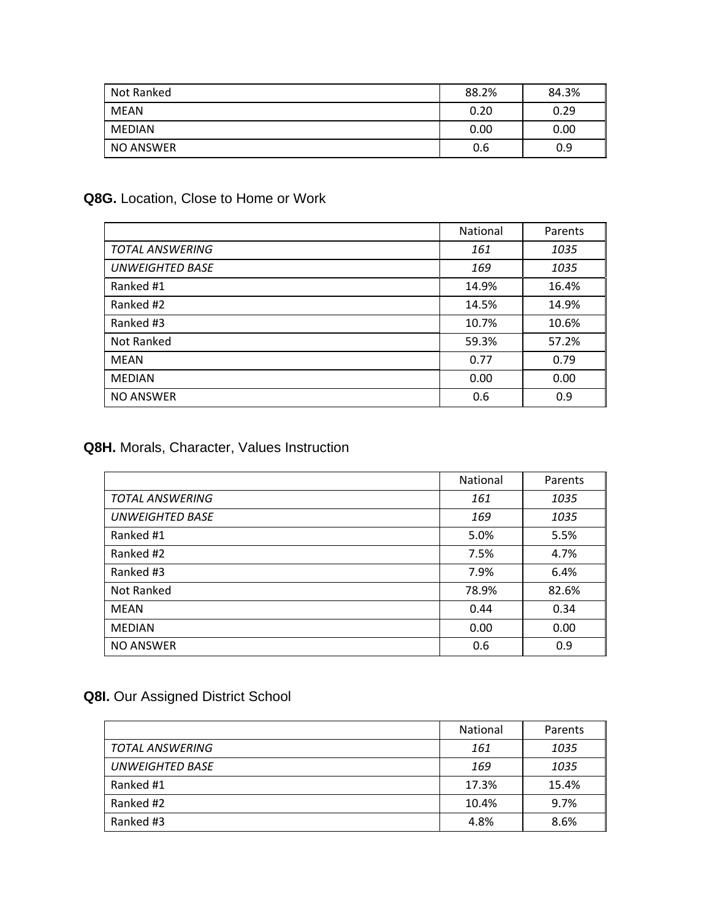| Not Ranked | 88.2% | 84.3% |
|------------|-------|-------|
| MEAN       | 0.20  | 0.29  |
| MEDIAN     | 0.00  | 0.00  |
| NO ANSWER  | 0.6   | 0.9   |

#### **Q8G.** Location, Close to Home or Work

|                        | National | Parents |
|------------------------|----------|---------|
| <b>TOTAL ANSWERING</b> | 161      | 1035    |
| <b>UNWEIGHTED BASE</b> | 169      | 1035    |
| Ranked #1              | 14.9%    | 16.4%   |
| Ranked #2              | 14.5%    | 14.9%   |
| Ranked #3              | 10.7%    | 10.6%   |
| Not Ranked             | 59.3%    | 57.2%   |
| <b>MEAN</b>            | 0.77     | 0.79    |
| <b>MEDIAN</b>          | 0.00     | 0.00    |
| <b>NO ANSWER</b>       | 0.6      | 0.9     |

#### **Q8H.** Morals, Character, Values Instruction

|                        | National | Parents |
|------------------------|----------|---------|
| <b>TOTAL ANSWERING</b> | 161      | 1035    |
| <b>UNWEIGHTED BASE</b> | 169      | 1035    |
| Ranked #1              | 5.0%     | 5.5%    |
| Ranked #2              | 7.5%     | 4.7%    |
| Ranked #3              | 7.9%     | 6.4%    |
| Not Ranked             | 78.9%    | 82.6%   |
| <b>MEAN</b>            | 0.44     | 0.34    |
| <b>MEDIAN</b>          | 0.00     | 0.00    |
| <b>NO ANSWER</b>       | 0.6      | 0.9     |

#### **Q8I.** Our Assigned District School

|                        | <b>National</b> | Parents |
|------------------------|-----------------|---------|
| <b>TOTAL ANSWERING</b> | 161             | 1035    |
| <b>UNWEIGHTED BASE</b> | 169             | 1035    |
| Ranked #1              | 17.3%           | 15.4%   |
| Ranked #2              | 10.4%           | 9.7%    |
| Ranked #3              | 4.8%            | 8.6%    |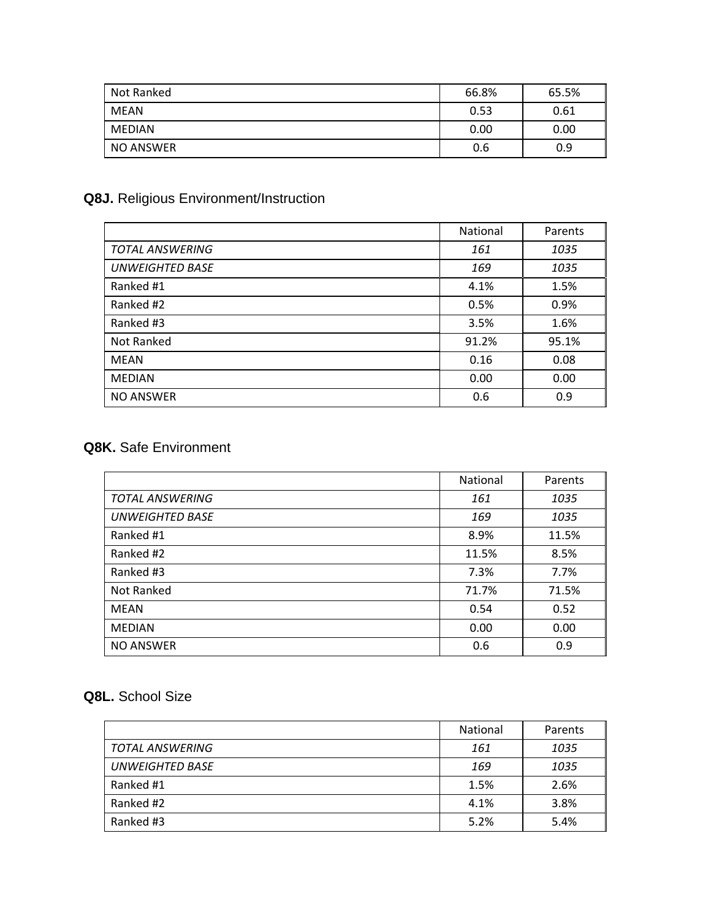| Not Ranked | 66.8% | 65.5% |
|------------|-------|-------|
| MEAN       | 0.53  | 0.61  |
| MEDIAN     | 0.00  | 0.00  |
| NO ANSWER  | 0.6   | 0.9   |

## **Q8J.** Religious Environment/Instruction

|                        | National | Parents |
|------------------------|----------|---------|
| <b>TOTAL ANSWERING</b> | 161      | 1035    |
| <b>UNWEIGHTED BASE</b> | 169      | 1035    |
| Ranked #1              | 4.1%     | 1.5%    |
| Ranked #2              | 0.5%     | 0.9%    |
| Ranked #3              | 3.5%     | 1.6%    |
| Not Ranked             | 91.2%    | 95.1%   |
| <b>MEAN</b>            | 0.16     | 0.08    |
| <b>MEDIAN</b>          | 0.00     | 0.00    |
| <b>NO ANSWER</b>       | 0.6      | 0.9     |

#### **Q8K.** Safe Environment

|                        | National | Parents |
|------------------------|----------|---------|
| <b>TOTAL ANSWERING</b> | 161      | 1035    |
| <b>UNWEIGHTED BASE</b> | 169      | 1035    |
| Ranked #1              | 8.9%     | 11.5%   |
| Ranked #2              | 11.5%    | 8.5%    |
| Ranked #3              | 7.3%     | 7.7%    |
| Not Ranked             | 71.7%    | 71.5%   |
| <b>MEAN</b>            | 0.54     | 0.52    |
| <b>MEDIAN</b>          | 0.00     | 0.00    |
| <b>NO ANSWER</b>       | 0.6      | 0.9     |

#### **Q8L.** School Size

|                        | National | Parents |
|------------------------|----------|---------|
| <b>TOTAL ANSWERING</b> | 161      | 1035    |
| <b>UNWEIGHTED BASE</b> | 169      | 1035    |
| Ranked #1              | 1.5%     | 2.6%    |
| Ranked #2              | 4.1%     | 3.8%    |
| Ranked #3              | 5.2%     | 5.4%    |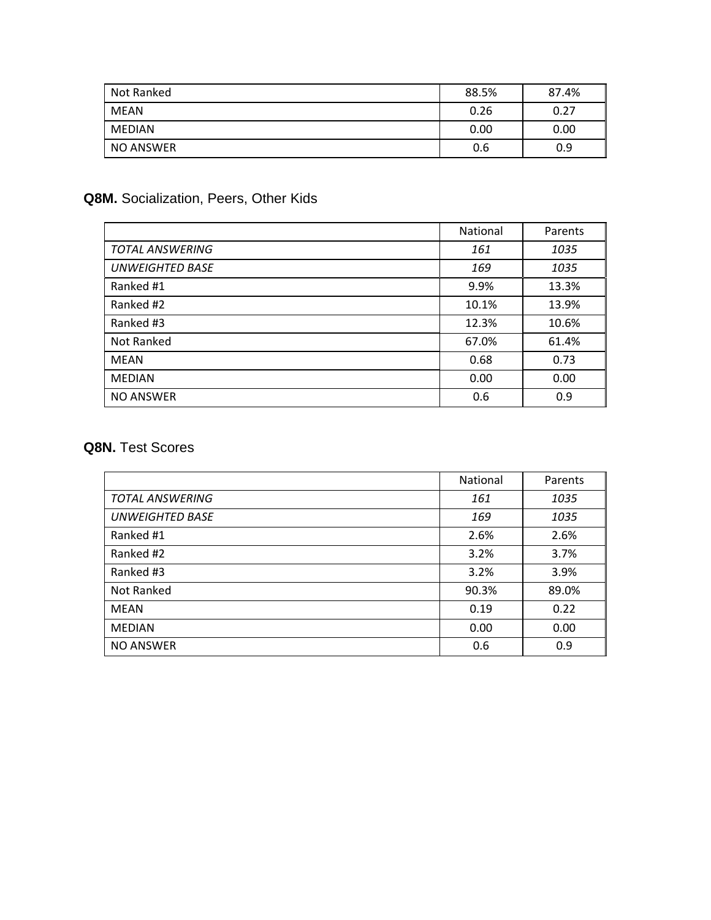| Not Ranked | 88.5% | 87.4% |
|------------|-------|-------|
| MEAN       | 0.26  | 0.27  |
| MEDIAN     | 0.00  | 0.00  |
| NO ANSWER  | 0.6   | 0.9   |

#### **Q8M.** Socialization, Peers, Other Kids

|                        | <b>National</b> | Parents |
|------------------------|-----------------|---------|
| <b>TOTAL ANSWERING</b> | 161             | 1035    |
| <b>UNWEIGHTED BASE</b> | 169             | 1035    |
| Ranked #1              | 9.9%            | 13.3%   |
| Ranked #2              | 10.1%           | 13.9%   |
| Ranked #3              | 12.3%           | 10.6%   |
| Not Ranked             | 67.0%           | 61.4%   |
| MEAN                   | 0.68            | 0.73    |
| <b>MEDIAN</b>          | 0.00            | 0.00    |
| <b>NO ANSWER</b>       | 0.6             | 0.9     |

#### **Q8N.** Test Scores

|                        | National | Parents |
|------------------------|----------|---------|
| <b>TOTAL ANSWERING</b> | 161      | 1035    |
| <b>UNWEIGHTED BASE</b> | 169      | 1035    |
| Ranked #1              | 2.6%     | 2.6%    |
| Ranked #2              | 3.2%     | 3.7%    |
| Ranked #3              | 3.2%     | 3.9%    |
| Not Ranked             | 90.3%    | 89.0%   |
| <b>MEAN</b>            | 0.19     | 0.22    |
| <b>MEDIAN</b>          | 0.00     | 0.00    |
| <b>NO ANSWER</b>       | 0.6      | 0.9     |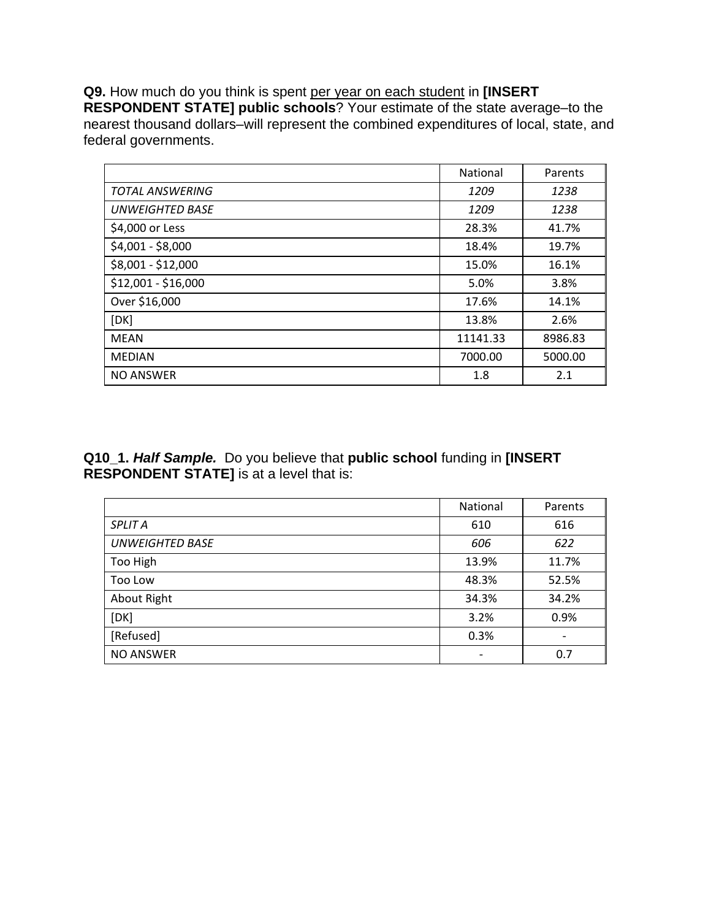**Q9.** How much do you think is spent per year on each student in **[INSERT RESPONDENT STATE] public schools**? Your estimate of the state average–to the nearest thousand dollars–will represent the combined expenditures of local, state, and federal governments.

|                        | <b>National</b> | Parents |
|------------------------|-----------------|---------|
| <b>TOTAL ANSWERING</b> | 1209            | 1238    |
| UNWEIGHTED BASE        | 1209            | 1238    |
| \$4,000 or Less        | 28.3%           | 41.7%   |
| \$4,001 - \$8,000      | 18.4%           | 19.7%   |
| \$8,001 - \$12,000     | 15.0%           | 16.1%   |
| \$12,001 - \$16,000    | 5.0%            | 3.8%    |
| Over \$16,000          | 17.6%           | 14.1%   |
| [DK]                   | 13.8%           | 2.6%    |
| MEAN                   | 11141.33        | 8986.83 |
| <b>MEDIAN</b>          | 7000.00         | 5000.00 |
| <b>NO ANSWER</b>       | 1.8             | 2.1     |

**Q10\_1.** *Half Sample.*Do you believe that **public school** funding in **[INSERT RESPONDENT STATE]** is at a level that is:

|                        | National                 | Parents |
|------------------------|--------------------------|---------|
| <b>SPLIT A</b>         | 610                      | 616     |
| <b>UNWEIGHTED BASE</b> | 606                      | 622     |
| Too High               | 13.9%                    | 11.7%   |
| Too Low                | 48.3%                    | 52.5%   |
| About Right            | 34.3%                    | 34.2%   |
| [DK]                   | 3.2%                     | 0.9%    |
| [Refused]              | 0.3%                     |         |
| <b>NO ANSWER</b>       | $\overline{\phantom{a}}$ | 0.7     |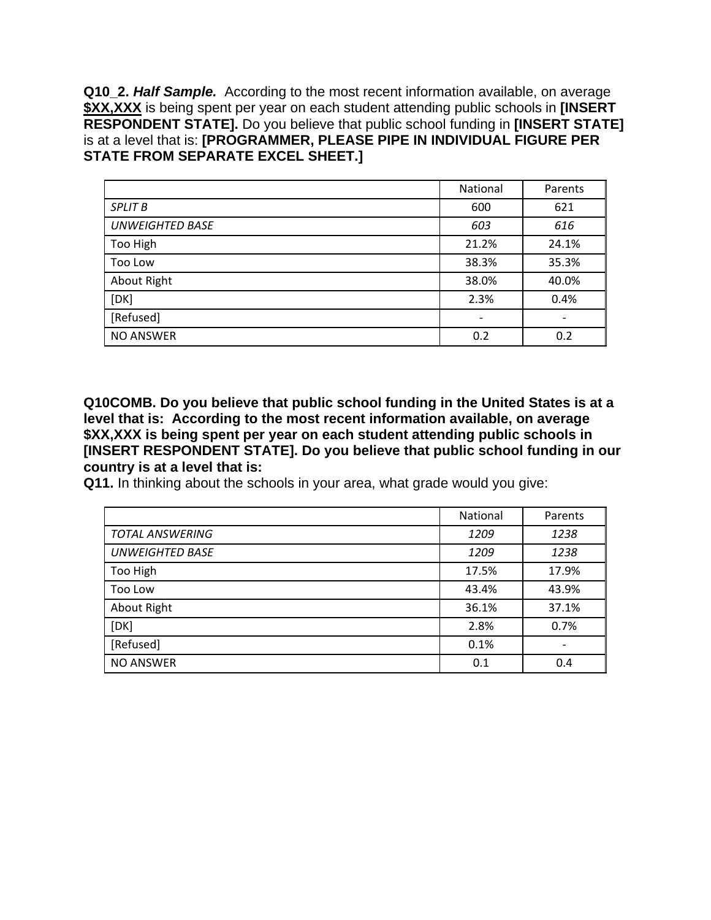**Q10\_2.** *Half Sample.*According to the most recent information available, on average **\$XX,XXX** is being spent per year on each student attending public schools in **[INSERT RESPONDENT STATE].** Do you believe that public school funding in **[INSERT STATE]** is at a level that is: **[PROGRAMMER, PLEASE PIPE IN INDIVIDUAL FIGURE PER STATE FROM SEPARATE EXCEL SHEET.]**

|                        | National                 | Parents |
|------------------------|--------------------------|---------|
| <b>SPLIT B</b>         | 600                      | 621     |
| <b>UNWEIGHTED BASE</b> | 603                      | 616     |
| Too High               | 21.2%                    | 24.1%   |
| Too Low                | 38.3%                    | 35.3%   |
| About Right            | 38.0%                    | 40.0%   |
| [DK]                   | 2.3%                     | 0.4%    |
| [Refused]              | $\overline{\phantom{a}}$ |         |
| <b>NO ANSWER</b>       | 0.2                      | 0.2     |

**Q10COMB. Do you believe that public school funding in the United States is at a level that is: According to the most recent information available, on average \$XX,XXX is being spent per year on each student attending public schools in [INSERT RESPONDENT STATE]. Do you believe that public school funding in our country is at a level that is:** 

**Q11.** In thinking about the schools in your area, what grade would you give:

|                        | National | Parents |
|------------------------|----------|---------|
| <b>TOTAL ANSWERING</b> | 1209     | 1238    |
| <b>UNWEIGHTED BASE</b> | 1209     | 1238    |
| Too High               | 17.5%    | 17.9%   |
| Too Low                | 43.4%    | 43.9%   |
| About Right            | 36.1%    | 37.1%   |
| [DK]                   | 2.8%     | 0.7%    |
| [Refused]              | 0.1%     |         |
| <b>NO ANSWER</b>       | 0.1      | 0.4     |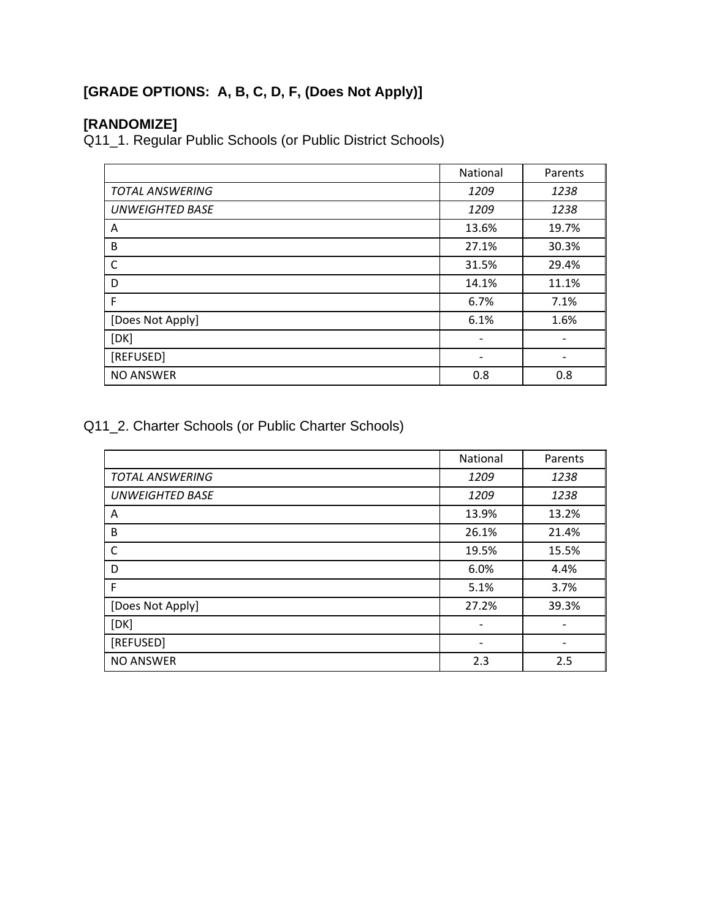## **[GRADE OPTIONS: A, B, C, D, F, (Does Not Apply)]**

## **[RANDOMIZE]**

Q11\_1. Regular Public Schools (or Public District Schools)

|                        | National                 | Parents |
|------------------------|--------------------------|---------|
| <b>TOTAL ANSWERING</b> | 1209                     | 1238    |
| <b>UNWEIGHTED BASE</b> | 1209                     | 1238    |
| A                      | 13.6%                    | 19.7%   |
| B                      | 27.1%                    | 30.3%   |
| $\mathsf{C}$           | 31.5%                    | 29.4%   |
| D                      | 14.1%                    | 11.1%   |
| F                      | 6.7%                     | 7.1%    |
| [Does Not Apply]       | 6.1%                     | 1.6%    |
| [DK]                   |                          |         |
| [REFUSED]              | $\overline{\phantom{a}}$ |         |
| <b>NO ANSWER</b>       | 0.8                      | 0.8     |

Q11\_2. Charter Schools (or Public Charter Schools)

|                        | National                 | Parents |
|------------------------|--------------------------|---------|
| <b>TOTAL ANSWERING</b> | 1209                     | 1238    |
| <b>UNWEIGHTED BASE</b> | 1209                     | 1238    |
| A                      | 13.9%                    | 13.2%   |
| B                      | 26.1%                    | 21.4%   |
| $\mathsf{C}$           | 19.5%                    | 15.5%   |
| D                      | 6.0%                     | 4.4%    |
| F                      | 5.1%                     | 3.7%    |
| [Does Not Apply]       | 27.2%                    | 39.3%   |
| [DK]                   | $\overline{\phantom{a}}$ |         |
| [REFUSED]              | -                        |         |
| <b>NO ANSWER</b>       | 2.3                      | 2.5     |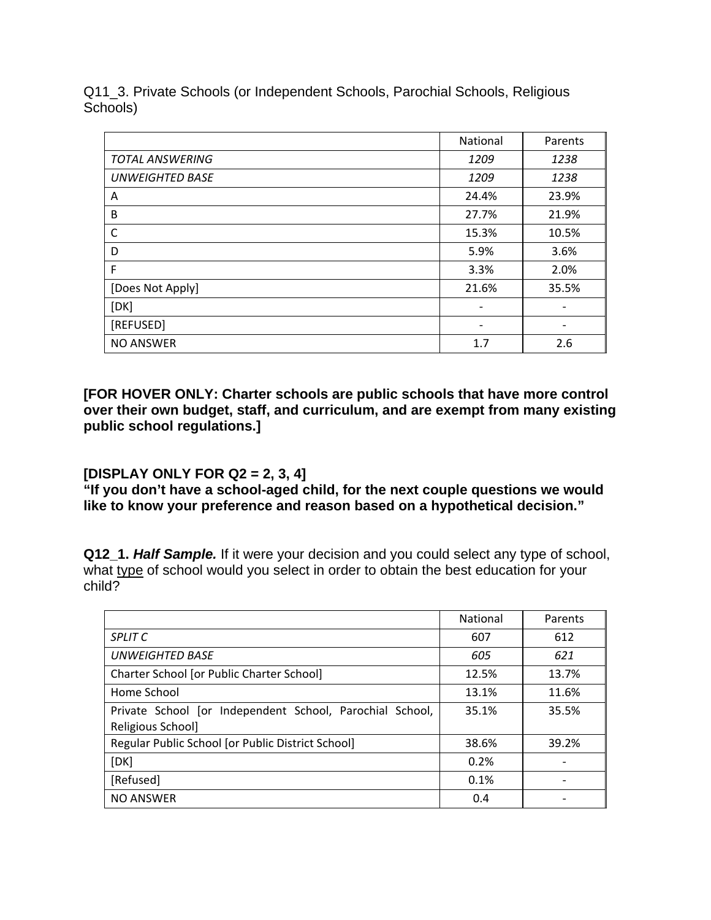Q11\_3. Private Schools (or Independent Schools, Parochial Schools, Religious Schools)

|                        | National | Parents |
|------------------------|----------|---------|
| <b>TOTAL ANSWERING</b> | 1209     | 1238    |
| <b>UNWEIGHTED BASE</b> | 1209     | 1238    |
| A                      | 24.4%    | 23.9%   |
| B                      | 27.7%    | 21.9%   |
| C                      | 15.3%    | 10.5%   |
| D                      | 5.9%     | 3.6%    |
| F                      | 3.3%     | 2.0%    |
| [Does Not Apply]       | 21.6%    | 35.5%   |
| [DK]                   |          |         |
| [REFUSED]              |          |         |
| <b>NO ANSWER</b>       | 1.7      | 2.6     |

**[FOR HOVER ONLY: Charter schools are public schools that have more control over their own budget, staff, and curriculum, and are exempt from many existing public school regulations.]** 

#### **[DISPLAY ONLY FOR Q2 = 2, 3, 4]**

**"If you don't have a school-aged child, for the next couple questions we would like to know your preference and reason based on a hypothetical decision."** 

**Q12\_1.** *Half Sample.* If it were your decision and you could select any type of school, what type of school would you select in order to obtain the best education for your child?

|                                                          | <b>National</b> | Parents |
|----------------------------------------------------------|-----------------|---------|
| <b>SPLIT C</b>                                           | 607             | 612     |
| <b>UNWEIGHTED BASE</b>                                   | 605             | 621     |
| Charter School [or Public Charter School]                | 12.5%           | 13.7%   |
| Home School                                              | 13.1%           | 11.6%   |
| Private School [or Independent School, Parochial School, | 35.1%           | 35.5%   |
| Religious School]                                        |                 |         |
| Regular Public School [or Public District School]        | 38.6%           | 39.2%   |
| [DK]                                                     | 0.2%            |         |
| [Refused]                                                | 0.1%            |         |
| <b>NO ANSWER</b>                                         | 0.4             |         |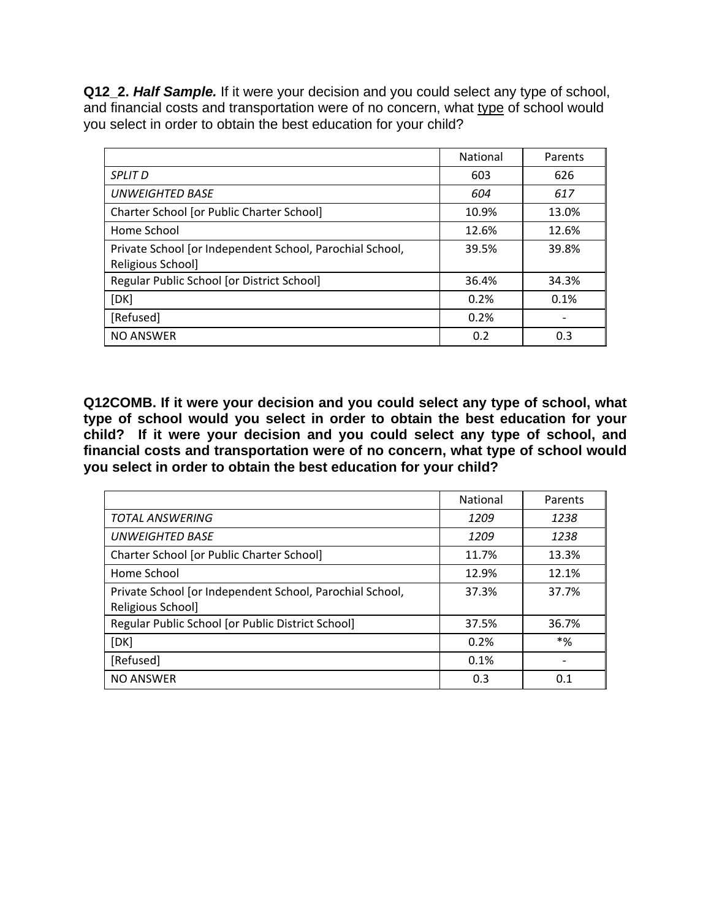**Q12\_2.** *Half Sample.* If it were your decision and you could select any type of school, and financial costs and transportation were of no concern, what type of school would you select in order to obtain the best education for your child?

|                                                          | <b>National</b> | Parents |
|----------------------------------------------------------|-----------------|---------|
| <b>SPLIT D</b>                                           | 603             | 626     |
| <b>UNWEIGHTED BASE</b>                                   | 604             | 617     |
| Charter School [or Public Charter School]                | 10.9%           | 13.0%   |
| Home School                                              | 12.6%           | 12.6%   |
| Private School [or Independent School, Parochial School, | 39.5%           | 39.8%   |
| Religious School]                                        |                 |         |
| Regular Public School [or District School]               | 36.4%           | 34.3%   |
| [DK]                                                     | 0.2%            | 0.1%    |
| [Refused]                                                | 0.2%            |         |
| <b>NO ANSWER</b>                                         | 0.2             | 0.3     |

**Q12COMB. If it were your decision and you could select any type of school, what type of school would you select in order to obtain the best education for your child? If it were your decision and you could select any type of school, and financial costs and transportation were of no concern, what type of school would you select in order to obtain the best education for your child?** 

|                                                          | <b>National</b> | Parents |
|----------------------------------------------------------|-----------------|---------|
| <b>TOTAL ANSWERING</b>                                   | 1209            | 1238    |
| UNWEIGHTED BASE                                          | 1209            | 1238    |
| Charter School [or Public Charter School]                | 11.7%           | 13.3%   |
| Home School                                              | 12.9%           | 12.1%   |
| Private School [or Independent School, Parochial School, | 37.3%           | 37.7%   |
| Religious School]                                        |                 |         |
| Regular Public School [or Public District School]        | 37.5%           | 36.7%   |
| [DK]                                                     | 0.2%            | *%      |
| [Refused]                                                | 0.1%            |         |
| <b>NO ANSWER</b>                                         | 0.3             | 0.1     |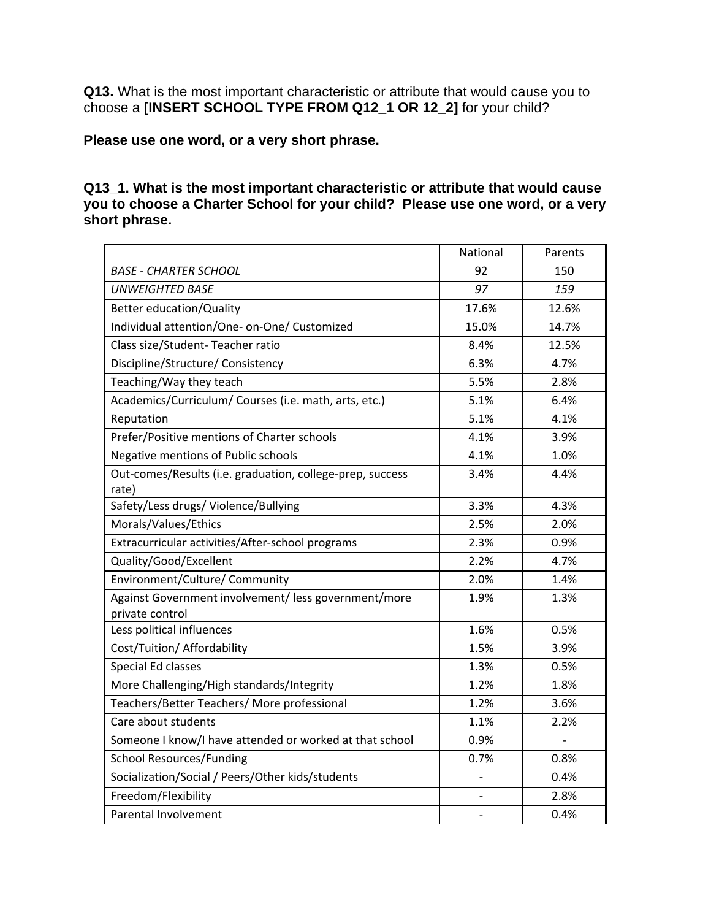**Q13.** What is the most important characteristic or attribute that would cause you to choose a **[INSERT SCHOOL TYPE FROM Q12\_1 OR 12\_2]** for your child?

**Please use one word, or a very short phrase.** 

#### **Q13\_1. What is the most important characteristic or attribute that would cause you to choose a Charter School for your child? Please use one word, or a very short phrase.**

|                                                                         | National | Parents        |
|-------------------------------------------------------------------------|----------|----------------|
| <b>BASE - CHARTER SCHOOL</b>                                            | 92       | 150            |
| <b>UNWEIGHTED BASE</b>                                                  | 97       | 159            |
| <b>Better education/Quality</b>                                         | 17.6%    | 12.6%          |
| Individual attention/One- on-One/ Customized                            | 15.0%    | 14.7%          |
| Class size/Student-Teacher ratio                                        | 8.4%     | 12.5%          |
| Discipline/Structure/ Consistency                                       | 6.3%     | 4.7%           |
| Teaching/Way they teach                                                 | 5.5%     | 2.8%           |
| Academics/Curriculum/ Courses (i.e. math, arts, etc.)                   | 5.1%     | 6.4%           |
| Reputation                                                              | 5.1%     | 4.1%           |
| Prefer/Positive mentions of Charter schools                             | 4.1%     | 3.9%           |
| Negative mentions of Public schools                                     | 4.1%     | 1.0%           |
| Out-comes/Results (i.e. graduation, college-prep, success<br>rate)      | 3.4%     | 4.4%           |
| Safety/Less drugs/ Violence/Bullying                                    | 3.3%     | 4.3%           |
| Morals/Values/Ethics                                                    | 2.5%     | 2.0%           |
| Extracurricular activities/After-school programs                        | 2.3%     | 0.9%           |
| Quality/Good/Excellent                                                  | 2.2%     | 4.7%           |
| Environment/Culture/ Community                                          | 2.0%     | 1.4%           |
| Against Government involvement/ less government/more<br>private control | 1.9%     | 1.3%           |
| Less political influences                                               | 1.6%     | 0.5%           |
| Cost/Tuition/ Affordability                                             | 1.5%     | 3.9%           |
| <b>Special Ed classes</b>                                               | 1.3%     | 0.5%           |
| More Challenging/High standards/Integrity                               | 1.2%     | 1.8%           |
| Teachers/Better Teachers/ More professional                             | 1.2%     | 3.6%           |
| Care about students                                                     | 1.1%     | 2.2%           |
| Someone I know/I have attended or worked at that school                 | 0.9%     | $\overline{a}$ |
| <b>School Resources/Funding</b>                                         | 0.7%     | 0.8%           |
| Socialization/Social / Peers/Other kids/students                        |          | 0.4%           |
| Freedom/Flexibility                                                     |          | 2.8%           |
| Parental Involvement                                                    |          | 0.4%           |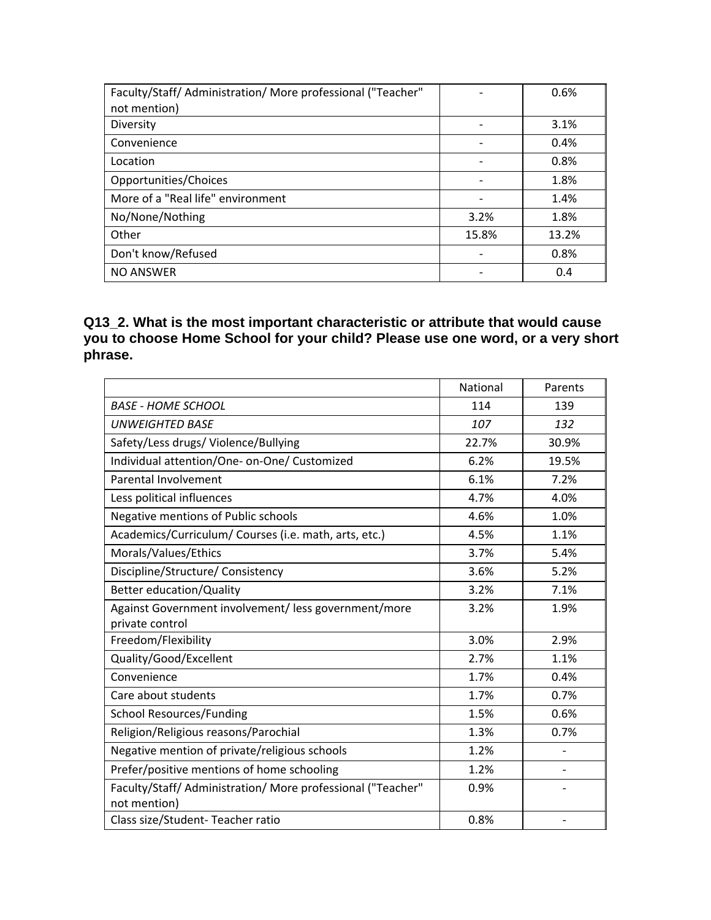| Faculty/Staff/ Administration/ More professional ("Teacher" |       | 0.6%  |
|-------------------------------------------------------------|-------|-------|
| not mention)                                                |       |       |
| Diversity                                                   |       | 3.1%  |
| Convenience                                                 |       | 0.4%  |
| Location                                                    |       | 0.8%  |
| Opportunities/Choices                                       |       | 1.8%  |
| More of a "Real life" environment                           |       | 1.4%  |
| No/None/Nothing                                             | 3.2%  | 1.8%  |
| Other                                                       | 15.8% | 13.2% |
| Don't know/Refused                                          |       | 0.8%  |
| <b>NO ANSWER</b>                                            |       | 0.4   |

#### **Q13\_2. What is the most important characteristic or attribute that would cause you to choose Home School for your child? Please use one word, or a very short phrase.**

|                                                             | National | Parents |
|-------------------------------------------------------------|----------|---------|
| <b>BASE - HOME SCHOOL</b>                                   | 114      | 139     |
| <b>UNWEIGHTED BASE</b>                                      | 107      | 132     |
| Safety/Less drugs/ Violence/Bullying                        | 22.7%    | 30.9%   |
| Individual attention/One- on-One/ Customized                | 6.2%     | 19.5%   |
| Parental Involvement                                        | 6.1%     | 7.2%    |
| Less political influences                                   | 4.7%     | 4.0%    |
| Negative mentions of Public schools                         | 4.6%     | 1.0%    |
| Academics/Curriculum/ Courses (i.e. math, arts, etc.)       | 4.5%     | 1.1%    |
| Morals/Values/Ethics                                        | 3.7%     | 5.4%    |
| Discipline/Structure/ Consistency                           | 3.6%     | 5.2%    |
| <b>Better education/Quality</b>                             | 3.2%     | 7.1%    |
| Against Government involvement/ less government/more        | 3.2%     | 1.9%    |
| private control                                             |          |         |
| Freedom/Flexibility                                         | 3.0%     | 2.9%    |
| Quality/Good/Excellent                                      | 2.7%     | 1.1%    |
| Convenience                                                 | 1.7%     | 0.4%    |
| Care about students                                         | 1.7%     | 0.7%    |
| <b>School Resources/Funding</b>                             | 1.5%     | 0.6%    |
| Religion/Religious reasons/Parochial                        | 1.3%     | 0.7%    |
| Negative mention of private/religious schools               | 1.2%     |         |
| Prefer/positive mentions of home schooling                  | 1.2%     |         |
| Faculty/Staff/ Administration/ More professional ("Teacher" | 0.9%     |         |
| not mention)                                                |          |         |
| Class size/Student-Teacher ratio                            | 0.8%     |         |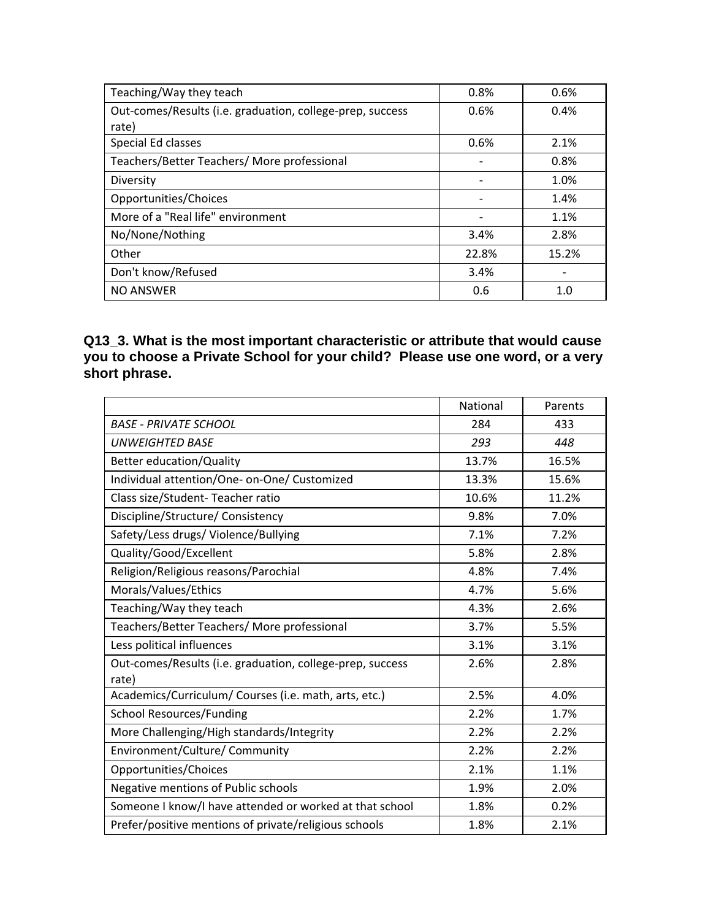| Teaching/Way they teach                                   | 0.8%  | 0.6%  |
|-----------------------------------------------------------|-------|-------|
| Out-comes/Results (i.e. graduation, college-prep, success | 0.6%  | 0.4%  |
| rate)                                                     |       |       |
| Special Ed classes                                        | 0.6%  | 2.1%  |
| Teachers/Better Teachers/ More professional               |       | 0.8%  |
| Diversity                                                 |       | 1.0%  |
| Opportunities/Choices                                     | -     | 1.4%  |
| More of a "Real life" environment                         |       | 1.1%  |
| No/None/Nothing                                           | 3.4%  | 2.8%  |
| Other                                                     | 22.8% | 15.2% |
| Don't know/Refused                                        | 3.4%  |       |
| <b>NO ANSWER</b>                                          | 0.6   | 1.0   |

#### **Q13\_3. What is the most important characteristic or attribute that would cause you to choose a Private School for your child? Please use one word, or a very short phrase.**

|                                                           | National | Parents |
|-----------------------------------------------------------|----------|---------|
| <b>BASE - PRIVATE SCHOOL</b>                              | 284      | 433     |
| <b>UNWEIGHTED BASE</b>                                    | 293      | 448     |
| Better education/Quality                                  | 13.7%    | 16.5%   |
| Individual attention/One- on-One/ Customized              | 13.3%    | 15.6%   |
| Class size/Student-Teacher ratio                          | 10.6%    | 11.2%   |
| Discipline/Structure/ Consistency                         | 9.8%     | 7.0%    |
| Safety/Less drugs/ Violence/Bullying                      | 7.1%     | 7.2%    |
| Quality/Good/Excellent                                    | 5.8%     | 2.8%    |
| Religion/Religious reasons/Parochial                      | 4.8%     | 7.4%    |
| Morals/Values/Ethics                                      | 4.7%     | 5.6%    |
| Teaching/Way they teach                                   | 4.3%     | 2.6%    |
| Teachers/Better Teachers/ More professional               | 3.7%     | 5.5%    |
| Less political influences                                 | 3.1%     | 3.1%    |
| Out-comes/Results (i.e. graduation, college-prep, success | 2.6%     | 2.8%    |
| rate)                                                     |          |         |
| Academics/Curriculum/ Courses (i.e. math, arts, etc.)     | 2.5%     | 4.0%    |
| <b>School Resources/Funding</b>                           | 2.2%     | 1.7%    |
| More Challenging/High standards/Integrity                 | 2.2%     | 2.2%    |
| Environment/Culture/ Community                            | 2.2%     | 2.2%    |
| Opportunities/Choices                                     | 2.1%     | 1.1%    |
| Negative mentions of Public schools                       | 1.9%     | 2.0%    |
| Someone I know/I have attended or worked at that school   | 1.8%     | 0.2%    |
| Prefer/positive mentions of private/religious schools     | 1.8%     | 2.1%    |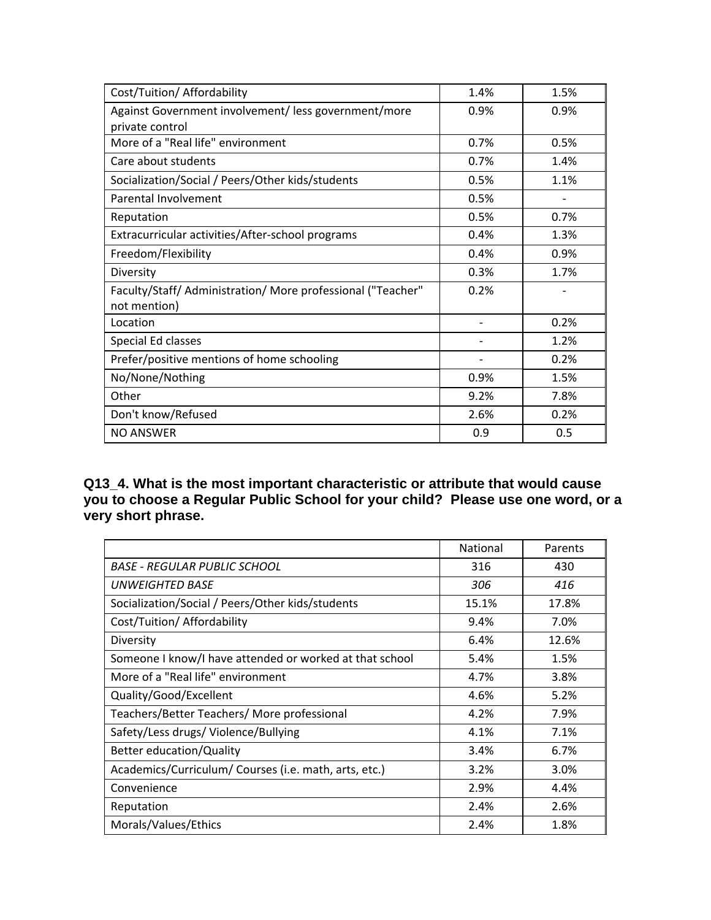| Cost/Tuition/ Affordability                                                 | 1.4% | 1.5% |
|-----------------------------------------------------------------------------|------|------|
| Against Government involvement/less government/more<br>private control      | 0.9% | 0.9% |
| More of a "Real life" environment                                           | 0.7% | 0.5% |
| Care about students                                                         | 0.7% | 1.4% |
| Socialization/Social / Peers/Other kids/students                            | 0.5% | 1.1% |
| Parental Involvement                                                        | 0.5% |      |
| Reputation                                                                  | 0.5% | 0.7% |
| Extracurricular activities/After-school programs                            | 0.4% | 1.3% |
| Freedom/Flexibility                                                         | 0.4% | 0.9% |
| Diversity                                                                   | 0.3% | 1.7% |
| Faculty/Staff/ Administration/ More professional ("Teacher"<br>not mention) | 0.2% |      |
| Location                                                                    |      | 0.2% |
| Special Ed classes                                                          |      | 1.2% |
| Prefer/positive mentions of home schooling                                  |      | 0.2% |
| No/None/Nothing                                                             | 0.9% | 1.5% |
| Other                                                                       | 9.2% | 7.8% |
| Don't know/Refused                                                          | 2.6% | 0.2% |
| <b>NO ANSWER</b>                                                            | 0.9  | 0.5  |

**Q13\_4. What is the most important characteristic or attribute that would cause you to choose a Regular Public School for your child? Please use one word, or a very short phrase.**

|                                                         | National | Parents |
|---------------------------------------------------------|----------|---------|
| BASE - REGULAR PUBLIC SCHOOL                            | 316      | 430     |
| UNWEIGHTED BASE                                         | 306      | 416     |
| Socialization/Social / Peers/Other kids/students        | 15.1%    | 17.8%   |
| Cost/Tuition/ Affordability                             | 9.4%     | 7.0%    |
| Diversity                                               | 6.4%     | 12.6%   |
| Someone I know/I have attended or worked at that school | 5.4%     | 1.5%    |
| More of a "Real life" environment                       | 4.7%     | 3.8%    |
| Quality/Good/Excellent                                  | 4.6%     | 5.2%    |
| Teachers/Better Teachers/ More professional             | 4.2%     | 7.9%    |
| Safety/Less drugs/ Violence/Bullying                    | 4.1%     | 7.1%    |
| Better education/Quality                                | 3.4%     | 6.7%    |
| Academics/Curriculum/Courses (i.e. math, arts, etc.)    | 3.2%     | 3.0%    |
| Convenience                                             | 2.9%     | 4.4%    |
| Reputation                                              | 2.4%     | 2.6%    |
| Morals/Values/Ethics                                    | 2.4%     | 1.8%    |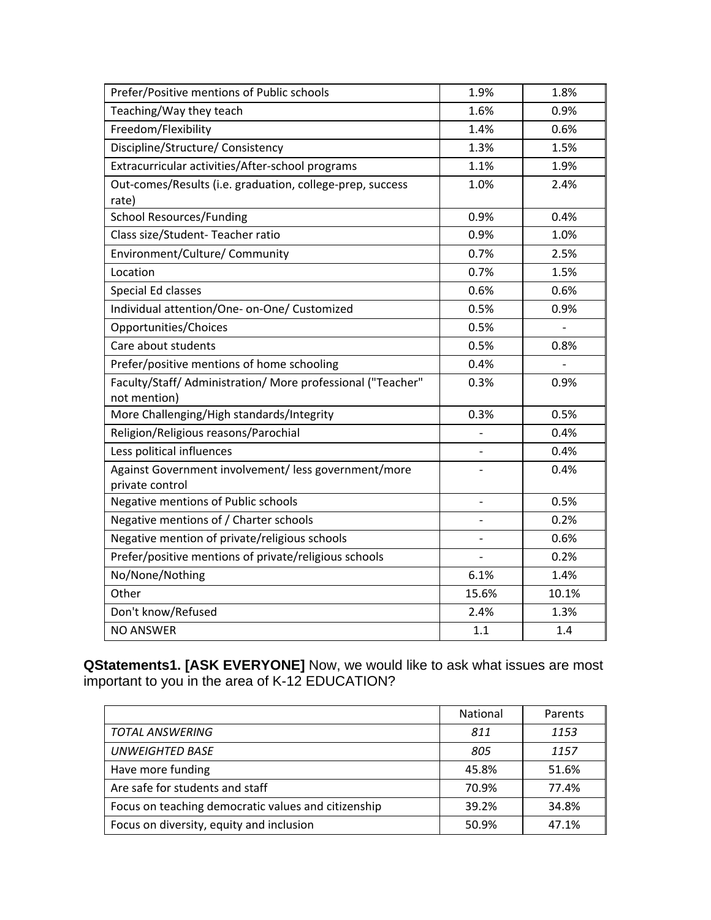| Prefer/Positive mentions of Public schools                  | 1.9%           | 1.8%                     |
|-------------------------------------------------------------|----------------|--------------------------|
| Teaching/Way they teach                                     | 1.6%           | 0.9%                     |
| Freedom/Flexibility                                         | 1.4%           | 0.6%                     |
| Discipline/Structure/ Consistency                           | 1.3%           | 1.5%                     |
| Extracurricular activities/After-school programs            | 1.1%           | 1.9%                     |
| Out-comes/Results (i.e. graduation, college-prep, success   | 1.0%           | 2.4%                     |
| rate)                                                       |                |                          |
| <b>School Resources/Funding</b>                             | 0.9%           | 0.4%                     |
| Class size/Student-Teacher ratio                            | 0.9%           | 1.0%                     |
| Environment/Culture/ Community                              | 0.7%           | 2.5%                     |
| Location                                                    | 0.7%           | 1.5%                     |
| Special Ed classes                                          | 0.6%           | 0.6%                     |
| Individual attention/One- on-One/ Customized                | 0.5%           | 0.9%                     |
| Opportunities/Choices                                       | 0.5%           |                          |
| Care about students                                         | 0.5%           | 0.8%                     |
| Prefer/positive mentions of home schooling                  | 0.4%           | $\overline{\phantom{0}}$ |
| Faculty/Staff/ Administration/ More professional ("Teacher" | 0.3%           | 0.9%                     |
| not mention)                                                |                |                          |
| More Challenging/High standards/Integrity                   | 0.3%           | 0.5%                     |
| Religion/Religious reasons/Parochial                        |                | 0.4%                     |
| Less political influences                                   |                | 0.4%                     |
| Against Government involvement/ less government/more        |                | 0.4%                     |
| private control                                             |                |                          |
| Negative mentions of Public schools                         | $\overline{a}$ | 0.5%                     |
| Negative mentions of / Charter schools                      |                | 0.2%                     |
| Negative mention of private/religious schools               |                | 0.6%                     |
| Prefer/positive mentions of private/religious schools       |                | 0.2%                     |
| No/None/Nothing                                             | 6.1%           | 1.4%                     |
| Other                                                       | 15.6%          | 10.1%                    |
| Don't know/Refused                                          | 2.4%           | 1.3%                     |
| <b>NO ANSWER</b>                                            | 1.1            | 1.4                      |

**QStatements1. [ASK EVERYONE]** Now, we would like to ask what issues are most important to you in the area of K-12 EDUCATION?

|                                                     | <b>National</b> | Parents |
|-----------------------------------------------------|-----------------|---------|
| <b>TOTAL ANSWERING</b>                              | 811             | 1153    |
| <b>UNWEIGHTED BASE</b>                              | 805             | 1157    |
| Have more funding                                   | 45.8%           | 51.6%   |
| Are safe for students and staff                     | 70.9%           | 77.4%   |
| Focus on teaching democratic values and citizenship | 39.2%           | 34.8%   |
| Focus on diversity, equity and inclusion            | 50.9%           | 47.1%   |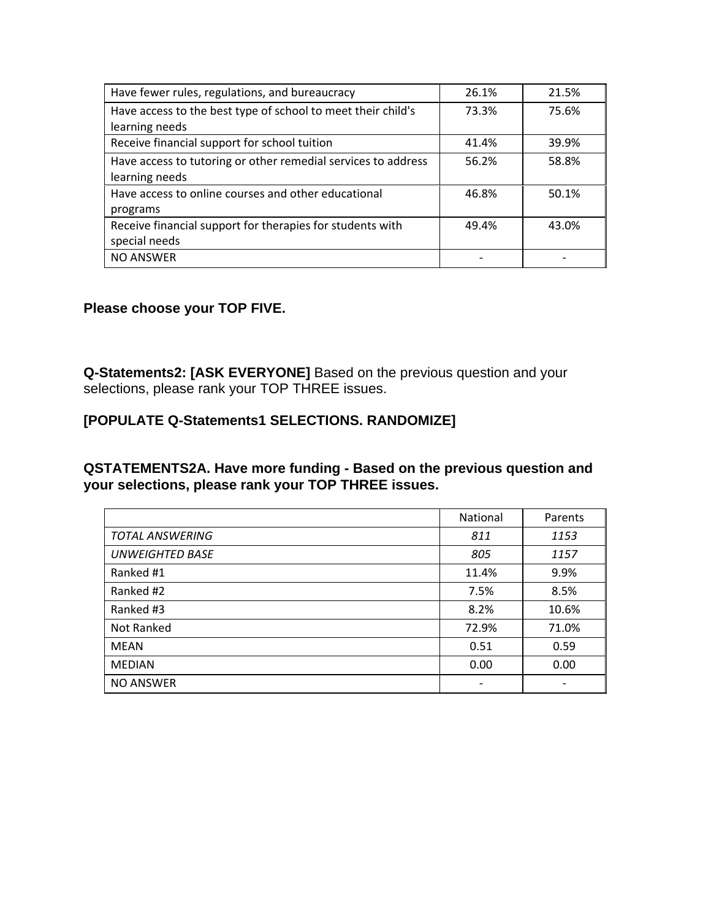| Have fewer rules, regulations, and bureaucracy                | 26.1% | 21.5% |
|---------------------------------------------------------------|-------|-------|
| Have access to the best type of school to meet their child's  | 73.3% | 75.6% |
| learning needs                                                |       |       |
| Receive financial support for school tuition                  | 41.4% | 39.9% |
| Have access to tutoring or other remedial services to address | 56.2% | 58.8% |
| learning needs                                                |       |       |
| Have access to online courses and other educational           | 46.8% | 50.1% |
| programs                                                      |       |       |
| Receive financial support for therapies for students with     | 49.4% | 43.0% |
| special needs                                                 |       |       |
| <b>NO ANSWER</b>                                              |       |       |

#### **Please choose your TOP FIVE.**

 $\mathbf{r}$ 

**Q-Statements2: [ASK EVERYONE]** Based on the previous question and your selections, please rank your TOP THREE issues.

#### **[POPULATE Q-Statements1 SELECTIONS. RANDOMIZE]**

**QSTATEMENTS2A. Have more funding - Based on the previous question and your selections, please rank your TOP THREE issues.** 

|                        | <b>National</b> | Parents |
|------------------------|-----------------|---------|
| <b>TOTAL ANSWERING</b> | 811             | 1153    |
| <b>UNWEIGHTED BASE</b> | 805             | 1157    |
| Ranked #1              | 11.4%           | 9.9%    |
| Ranked #2              | 7.5%            | 8.5%    |
| Ranked #3              | 8.2%            | 10.6%   |
| Not Ranked             | 72.9%           | 71.0%   |
| <b>MEAN</b>            | 0.51            | 0.59    |
| <b>MEDIAN</b>          | 0.00            | 0.00    |
| <b>NO ANSWER</b>       |                 |         |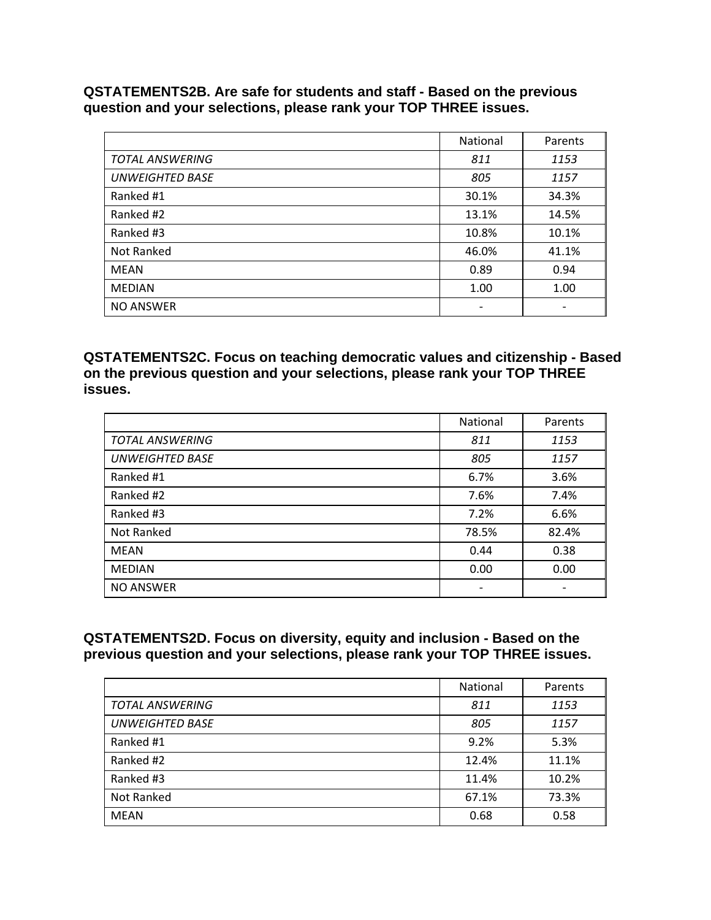**QSTATEMENTS2B. Are safe for students and staff - Based on the previous question and your selections, please rank your TOP THREE issues.** 

|                        | National                 | Parents |
|------------------------|--------------------------|---------|
| <b>TOTAL ANSWERING</b> | 811                      | 1153    |
| <b>UNWEIGHTED BASE</b> | 805                      | 1157    |
| Ranked #1              | 30.1%                    | 34.3%   |
| Ranked #2              | 13.1%                    | 14.5%   |
| Ranked #3              | 10.8%                    | 10.1%   |
| Not Ranked             | 46.0%                    | 41.1%   |
| MEAN                   | 0.89                     | 0.94    |
| <b>MEDIAN</b>          | 1.00                     | 1.00    |
| <b>NO ANSWER</b>       | $\overline{\phantom{a}}$ |         |

**QSTATEMENTS2C. Focus on teaching democratic values and citizenship - Based on the previous question and your selections, please rank your TOP THREE issues.** 

|                        | <b>National</b> | Parents |
|------------------------|-----------------|---------|
| <b>TOTAL ANSWERING</b> | 811             | 1153    |
| <b>UNWEIGHTED BASE</b> | 805             | 1157    |
| Ranked #1              | 6.7%            | 3.6%    |
| Ranked #2              | 7.6%            | 7.4%    |
| Ranked #3              | 7.2%            | 6.6%    |
| Not Ranked             | 78.5%           | 82.4%   |
| <b>MEAN</b>            | 0.44            | 0.38    |
| <b>MEDIAN</b>          | 0.00            | 0.00    |
| <b>NO ANSWER</b>       | -               |         |

#### **QSTATEMENTS2D. Focus on diversity, equity and inclusion - Based on the previous question and your selections, please rank your TOP THREE issues.**

|                        | <b>National</b> | Parents |
|------------------------|-----------------|---------|
| <b>TOTAL ANSWERING</b> | 811             | 1153    |
| <b>UNWEIGHTED BASE</b> | 805             | 1157    |
| Ranked #1              | 9.2%            | 5.3%    |
| Ranked #2              | 12.4%           | 11.1%   |
| Ranked #3              | 11.4%           | 10.2%   |
| Not Ranked             | 67.1%           | 73.3%   |
| MEAN                   | 0.68            | 0.58    |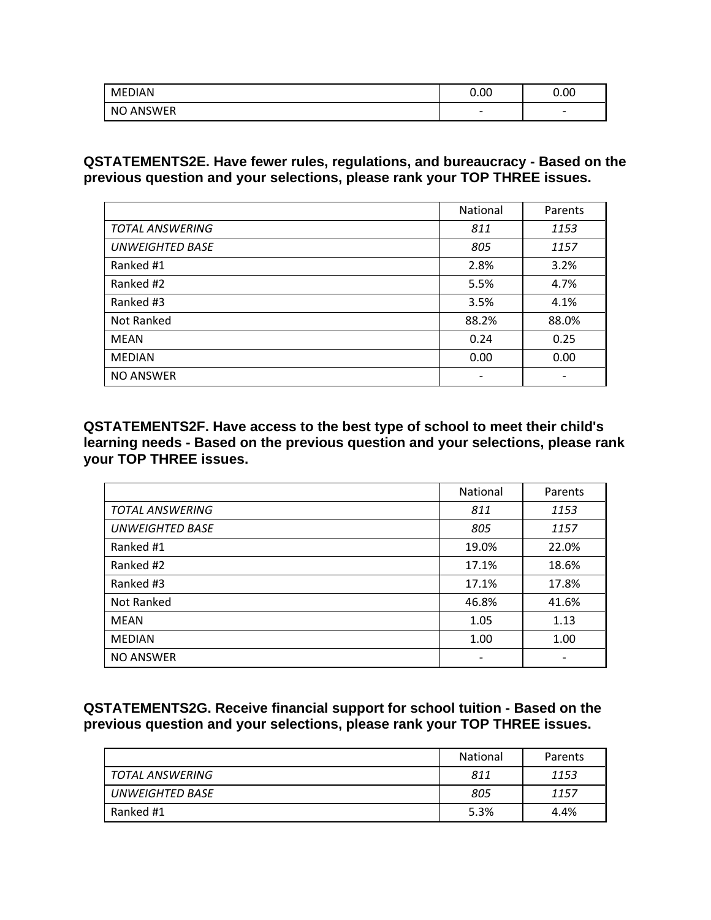| <b>MEDIAN</b>    | 0.00                     | 0.00                     |
|------------------|--------------------------|--------------------------|
| <b>NO ANSWER</b> | $\overline{\phantom{0}}$ | $\overline{\phantom{0}}$ |

**QSTATEMENTS2E. Have fewer rules, regulations, and bureaucracy - Based on the previous question and your selections, please rank your TOP THREE issues.** 

|                        | <b>National</b> | Parents |
|------------------------|-----------------|---------|
| <b>TOTAL ANSWERING</b> | 811             | 1153    |
| <b>UNWEIGHTED BASE</b> | 805             | 1157    |
| Ranked #1              | 2.8%            | 3.2%    |
| Ranked #2              | 5.5%            | 4.7%    |
| Ranked #3              | 3.5%            | 4.1%    |
| Not Ranked             | 88.2%           | 88.0%   |
| <b>MEAN</b>            | 0.24            | 0.25    |
| <b>MEDIAN</b>          | 0.00            | 0.00    |
| <b>NO ANSWER</b>       |                 |         |

**QSTATEMENTS2F. Have access to the best type of school to meet their child's learning needs - Based on the previous question and your selections, please rank your TOP THREE issues.** 

|                        | <b>National</b> | Parents |
|------------------------|-----------------|---------|
| <b>TOTAL ANSWERING</b> | 811             | 1153    |
| <b>UNWEIGHTED BASE</b> | 805             | 1157    |
| Ranked #1              | 19.0%           | 22.0%   |
| Ranked #2              | 17.1%           | 18.6%   |
| Ranked #3              | 17.1%           | 17.8%   |
| Not Ranked             | 46.8%           | 41.6%   |
| <b>MEAN</b>            | 1.05            | 1.13    |
| <b>MEDIAN</b>          | 1.00            | 1.00    |
| <b>NO ANSWER</b>       |                 |         |

**QSTATEMENTS2G. Receive financial support for school tuition - Based on the previous question and your selections, please rank your TOP THREE issues.** 

|                 | National | Parents |
|-----------------|----------|---------|
| TOTAL ANSWERING | 811      | 1153    |
| UNWEIGHTED BASE | 805      | 1157    |
| Ranked #1       | 5.3%     | 4.4%    |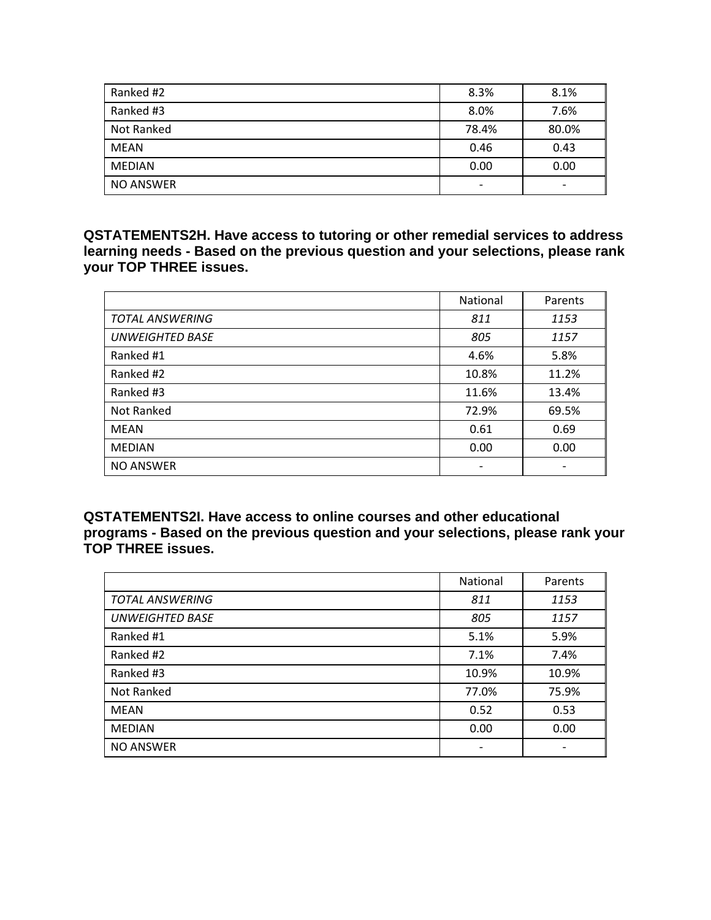| Ranked #2        | 8.3%                     | 8.1%                     |
|------------------|--------------------------|--------------------------|
| Ranked #3        | 8.0%                     | 7.6%                     |
| Not Ranked       | 78.4%                    | 80.0%                    |
| <b>MEAN</b>      | 0.46                     | 0.43                     |
| <b>MEDIAN</b>    | 0.00                     | 0.00                     |
| <b>NO ANSWER</b> | $\overline{\phantom{a}}$ | $\overline{\phantom{0}}$ |

**QSTATEMENTS2H. Have access to tutoring or other remedial services to address learning needs - Based on the previous question and your selections, please rank your TOP THREE issues.** 

|                        | National | Parents |
|------------------------|----------|---------|
| <b>TOTAL ANSWERING</b> | 811      | 1153    |
| <b>UNWEIGHTED BASE</b> | 805      | 1157    |
| Ranked #1              | 4.6%     | 5.8%    |
| Ranked #2              | 10.8%    | 11.2%   |
| Ranked #3              | 11.6%    | 13.4%   |
| Not Ranked             | 72.9%    | 69.5%   |
| MEAN                   | 0.61     | 0.69    |
| <b>MEDIAN</b>          | 0.00     | 0.00    |
| <b>NO ANSWER</b>       |          |         |

**QSTATEMENTS2I. Have access to online courses and other educational programs - Based on the previous question and your selections, please rank your TOP THREE issues.** 

|                        | National | Parents |
|------------------------|----------|---------|
| <b>TOTAL ANSWERING</b> | 811      | 1153    |
| <b>UNWEIGHTED BASE</b> | 805      | 1157    |
| Ranked #1              | 5.1%     | 5.9%    |
| Ranked #2              | 7.1%     | 7.4%    |
| Ranked #3              | 10.9%    | 10.9%   |
| Not Ranked             | 77.0%    | 75.9%   |
| <b>MEAN</b>            | 0.52     | 0.53    |
| <b>MEDIAN</b>          | 0.00     | 0.00    |
| <b>NO ANSWER</b>       |          |         |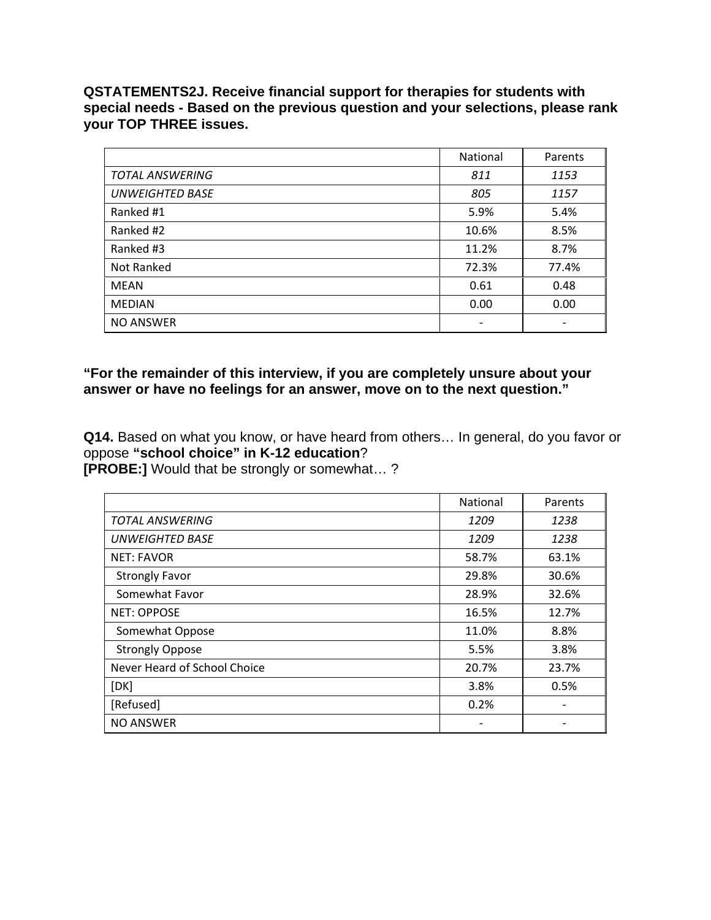**QSTATEMENTS2J. Receive financial support for therapies for students with special needs - Based on the previous question and your selections, please rank your TOP THREE issues.**

|                        | National | Parents |
|------------------------|----------|---------|
| <b>TOTAL ANSWERING</b> | 811      | 1153    |
| <b>UNWEIGHTED BASE</b> | 805      | 1157    |
| Ranked #1              | 5.9%     | 5.4%    |
| Ranked #2              | 10.6%    | 8.5%    |
| Ranked #3              | 11.2%    | 8.7%    |
| Not Ranked             | 72.3%    | 77.4%   |
| <b>MEAN</b>            | 0.61     | 0.48    |
| <b>MEDIAN</b>          | 0.00     | 0.00    |
| <b>NO ANSWER</b>       |          |         |

#### **"For the remainder of this interview, if you are completely unsure about your answer or have no feelings for an answer, move on to the next question."**

**Q14.** Based on what you know, or have heard from others… In general, do you favor or oppose **"school choice" in K-12 education**? **[PROBE:]** Would that be strongly or somewhat… ?

|                              | <b>National</b> | Parents |
|------------------------------|-----------------|---------|
| <b>TOTAL ANSWERING</b>       | 1209            | 1238    |
| <b>UNWEIGHTED BASE</b>       | 1209            | 1238    |
| <b>NET: FAVOR</b>            | 58.7%           | 63.1%   |
| <b>Strongly Favor</b>        | 29.8%           | 30.6%   |
| Somewhat Favor               | 28.9%           | 32.6%   |
| <b>NET: OPPOSE</b>           | 16.5%           | 12.7%   |
| Somewhat Oppose              | 11.0%           | 8.8%    |
| <b>Strongly Oppose</b>       | 5.5%            | 3.8%    |
| Never Heard of School Choice | 20.7%           | 23.7%   |
| [DK]                         | 3.8%            | 0.5%    |
| [Refused]                    | 0.2%            |         |
| <b>NO ANSWER</b>             |                 |         |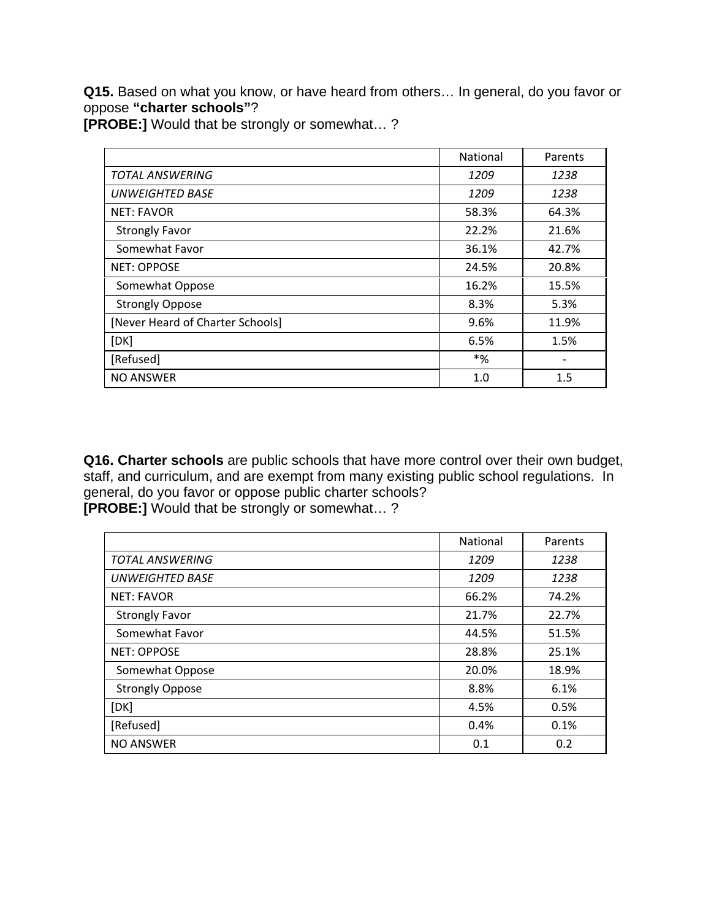**Q15.** Based on what you know, or have heard from others… In general, do you favor or oppose **"charter schools"**?

**[PROBE:]** Would that be strongly or somewhat… ?

|                                  | <b>National</b> | Parents |
|----------------------------------|-----------------|---------|
| <b>TOTAL ANSWERING</b>           | 1209            | 1238    |
| <b>UNWEIGHTED BASE</b>           | 1209            | 1238    |
| <b>NET: FAVOR</b>                | 58.3%           | 64.3%   |
| <b>Strongly Favor</b>            | 22.2%           | 21.6%   |
| Somewhat Favor                   | 36.1%           | 42.7%   |
| <b>NET: OPPOSE</b>               | 24.5%           | 20.8%   |
| Somewhat Oppose                  | 16.2%           | 15.5%   |
| <b>Strongly Oppose</b>           | 8.3%            | 5.3%    |
| [Never Heard of Charter Schools] | 9.6%            | 11.9%   |
| [DK]                             | 6.5%            | 1.5%    |
| [Refused]                        | $*$ %           |         |
| <b>NO ANSWER</b>                 | 1.0             | 1.5     |

**Q16. Charter schools** are public schools that have more control over their own budget, staff, and curriculum, and are exempt from many existing public school regulations. In general, do you favor or oppose public charter schools? **[PROBE:]** Would that be strongly or somewhat… ?

|                        | National | Parents |
|------------------------|----------|---------|
| <b>TOTAL ANSWERING</b> | 1209     | 1238    |
| <b>UNWEIGHTED BASE</b> | 1209     | 1238    |
| <b>NET: FAVOR</b>      | 66.2%    | 74.2%   |
| <b>Strongly Favor</b>  | 21.7%    | 22.7%   |
| Somewhat Favor         | 44.5%    | 51.5%   |
| <b>NET: OPPOSE</b>     | 28.8%    | 25.1%   |
| Somewhat Oppose        | 20.0%    | 18.9%   |
| <b>Strongly Oppose</b> | 8.8%     | 6.1%    |
| [DK]                   | 4.5%     | 0.5%    |
| [Refused]              | 0.4%     | 0.1%    |
| <b>NO ANSWER</b>       | 0.1      | 0.2     |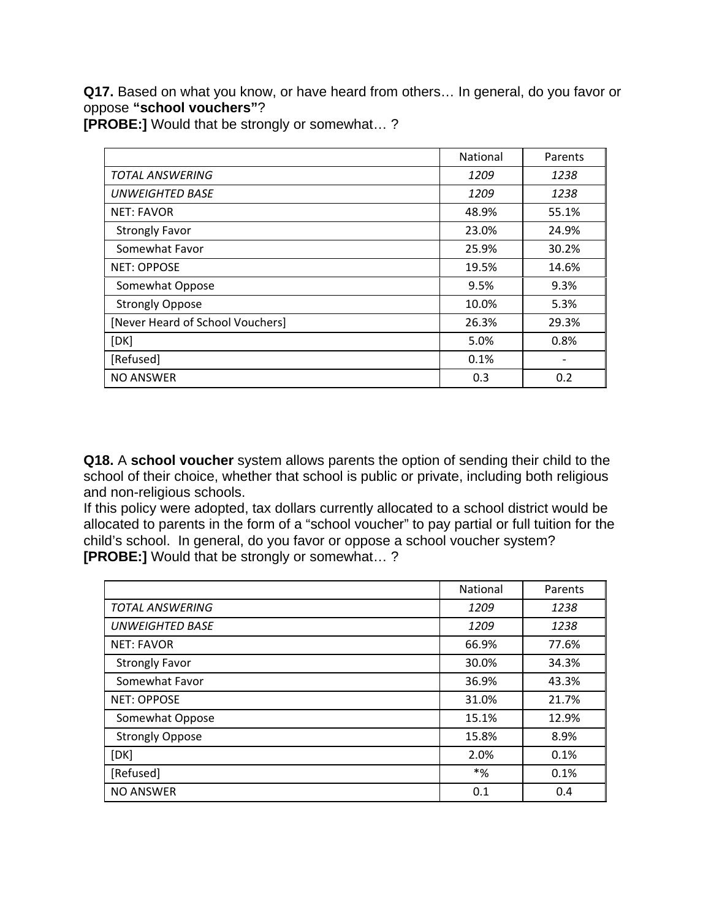**Q17.** Based on what you know, or have heard from others… In general, do you favor or oppose **"school vouchers"**?

**[PROBE:]** Would that be strongly or somewhat… ?

|                                  | <b>National</b> | Parents |
|----------------------------------|-----------------|---------|
| <b>TOTAL ANSWERING</b>           | 1209            | 1238    |
| <b>UNWEIGHTED BASE</b>           | 1209            | 1238    |
| <b>NET: FAVOR</b>                | 48.9%           | 55.1%   |
| <b>Strongly Favor</b>            | 23.0%           | 24.9%   |
| Somewhat Favor                   | 25.9%           | 30.2%   |
| <b>NET: OPPOSE</b>               | 19.5%           | 14.6%   |
| Somewhat Oppose                  | 9.5%            | 9.3%    |
| <b>Strongly Oppose</b>           | 10.0%           | 5.3%    |
| [Never Heard of School Vouchers] | 26.3%           | 29.3%   |
| [DK]                             | 5.0%            | 0.8%    |
| [Refused]                        | 0.1%            |         |
| NO ANSWER                        | 0.3             | 0.2     |

**Q18.** A **school voucher** system allows parents the option of sending their child to the school of their choice, whether that school is public or private, including both religious and non-religious schools.

If this policy were adopted, tax dollars currently allocated to a school district would be allocated to parents in the form of a "school voucher" to pay partial or full tuition for the child's school. In general, do you favor or oppose a school voucher system? **[PROBE:]** Would that be strongly or somewhat… ?

|                        | <b>National</b> | Parents |
|------------------------|-----------------|---------|
| <b>TOTAL ANSWERING</b> | 1209            | 1238    |
| <b>UNWEIGHTED BASE</b> | 1209            | 1238    |
| <b>NET: FAVOR</b>      | 66.9%           | 77.6%   |
| <b>Strongly Favor</b>  | 30.0%           | 34.3%   |
| Somewhat Favor         | 36.9%           | 43.3%   |
| <b>NET: OPPOSE</b>     | 31.0%           | 21.7%   |
| Somewhat Oppose        | 15.1%           | 12.9%   |
| <b>Strongly Oppose</b> | 15.8%           | 8.9%    |
| [DK]                   | 2.0%            | 0.1%    |
| [Refused]              | *%              | 0.1%    |
| <b>NO ANSWER</b>       | 0.1             | 0.4     |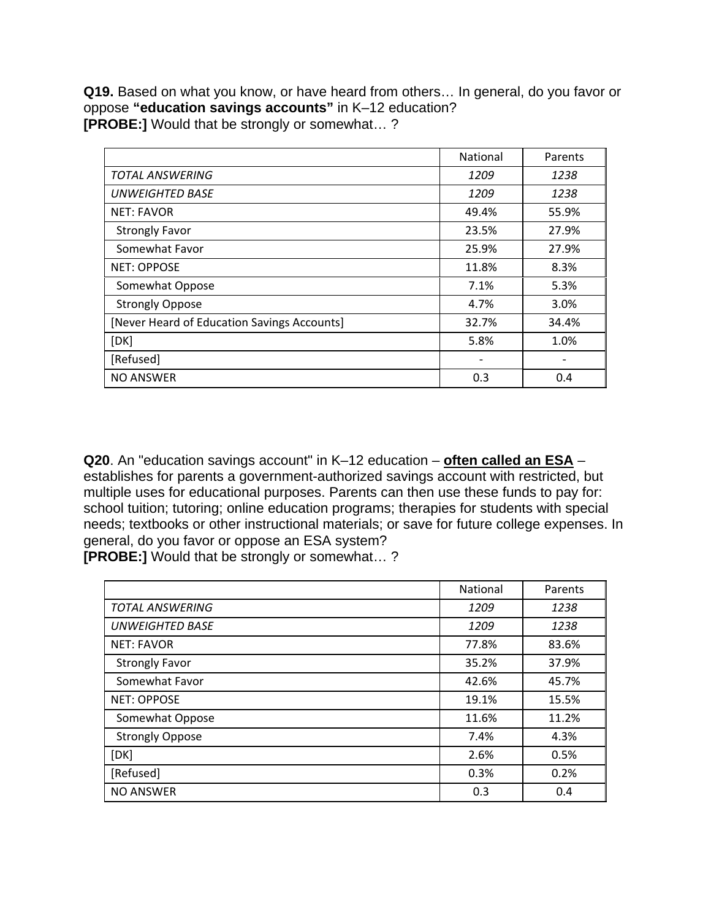**Q19.** Based on what you know, or have heard from others… In general, do you favor or oppose **"education savings accounts"** in K–12 education? **[PROBE:]** Would that be strongly or somewhat… ?

|                                             | <b>National</b> | Parents |
|---------------------------------------------|-----------------|---------|
| <b>TOTAL ANSWERING</b>                      | 1209            | 1238    |
| <b>UNWEIGHTED BASE</b>                      | 1209            | 1238    |
| <b>NET: FAVOR</b>                           | 49.4%           | 55.9%   |
| <b>Strongly Favor</b>                       | 23.5%           | 27.9%   |
| Somewhat Favor                              | 25.9%           | 27.9%   |
| <b>NET: OPPOSE</b>                          | 11.8%           | 8.3%    |
| Somewhat Oppose                             | 7.1%            | 5.3%    |
| <b>Strongly Oppose</b>                      | 4.7%            | 3.0%    |
| [Never Heard of Education Savings Accounts] | 32.7%           | 34.4%   |
| [DK]                                        | 5.8%            | 1.0%    |
| [Refused]                                   | -               |         |
| <b>NO ANSWER</b>                            | 0.3             | 0.4     |

**Q20**. An "education savings account" in K–12 education – **often called an ESA** – establishes for parents a government-authorized savings account with restricted, but multiple uses for educational purposes. Parents can then use these funds to pay for: school tuition; tutoring; online education programs; therapies for students with special needs; textbooks or other instructional materials; or save for future college expenses. In general, do you favor or oppose an ESA system?

**[PROBE:]** Would that be strongly or somewhat… ?

|                        | <b>National</b> | Parents |
|------------------------|-----------------|---------|
| <b>TOTAL ANSWERING</b> | 1209            | 1238    |
| UNWEIGHTED BASE        | 1209            | 1238    |
| <b>NET: FAVOR</b>      | 77.8%           | 83.6%   |
| <b>Strongly Favor</b>  | 35.2%           | 37.9%   |
| Somewhat Favor         | 42.6%           | 45.7%   |
| <b>NET: OPPOSE</b>     | 19.1%           | 15.5%   |
| Somewhat Oppose        | 11.6%           | 11.2%   |
| <b>Strongly Oppose</b> | 7.4%            | 4.3%    |
| [DK]                   | 2.6%            | 0.5%    |
| [Refused]              | 0.3%            | 0.2%    |
| <b>NO ANSWER</b>       | 0.3             | 0.4     |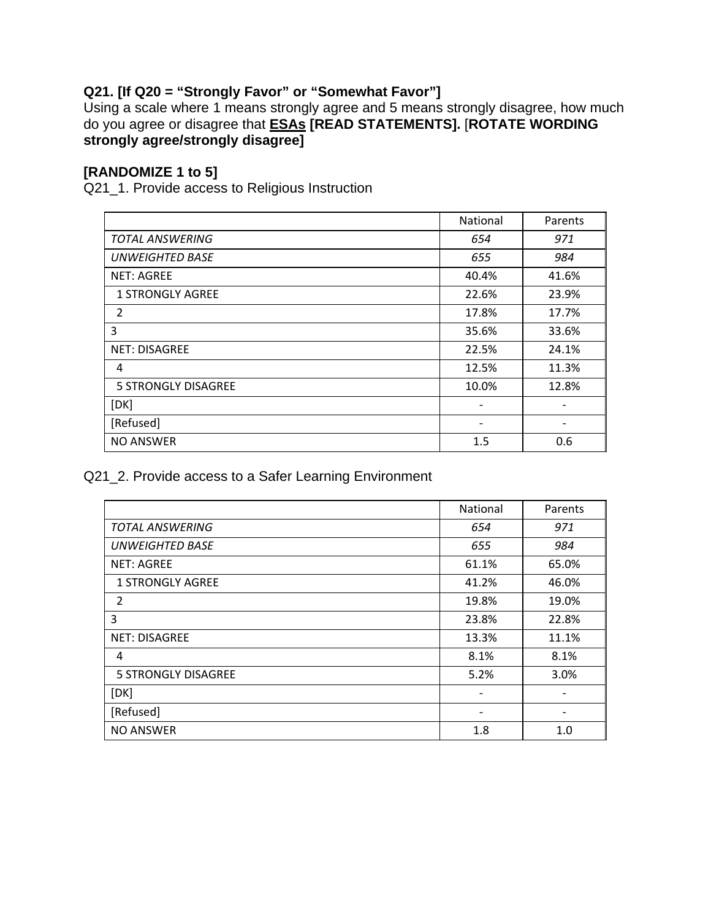### **Q21. [If Q20 = "Strongly Favor" or "Somewhat Favor"]**

Using a scale where 1 means strongly agree and 5 means strongly disagree, how much do you agree or disagree that **ESAs [READ STATEMENTS].** [**ROTATE WORDING strongly agree/strongly disagree]**

#### **[RANDOMIZE 1 to 5]**

Q21\_1. Provide access to Religious Instruction

|                            | National | Parents |
|----------------------------|----------|---------|
| <b>TOTAL ANSWERING</b>     | 654      | 971     |
| <b>UNWEIGHTED BASE</b>     | 655      | 984     |
| <b>NET: AGREE</b>          | 40.4%    | 41.6%   |
| <b>1 STRONGLY AGREE</b>    | 22.6%    | 23.9%   |
| 2                          | 17.8%    | 17.7%   |
| 3                          | 35.6%    | 33.6%   |
| <b>NET: DISAGREE</b>       | 22.5%    | 24.1%   |
| 4                          | 12.5%    | 11.3%   |
| <b>5 STRONGLY DISAGREE</b> | 10.0%    | 12.8%   |
| [DK]                       | -        |         |
| [Refused]                  |          |         |
| <b>NO ANSWER</b>           | 1.5      | 0.6     |

Q21\_2. Provide access to a Safer Learning Environment

|                            | National | Parents |
|----------------------------|----------|---------|
| <b>TOTAL ANSWERING</b>     | 654      | 971     |
| <b>UNWEIGHTED BASE</b>     | 655      | 984     |
| <b>NET: AGREE</b>          | 61.1%    | 65.0%   |
| <b>1 STRONGLY AGREE</b>    | 41.2%    | 46.0%   |
| $\overline{2}$             | 19.8%    | 19.0%   |
| 3                          | 23.8%    | 22.8%   |
| <b>NET: DISAGREE</b>       | 13.3%    | 11.1%   |
| 4                          | 8.1%     | 8.1%    |
| <b>5 STRONGLY DISAGREE</b> | 5.2%     | 3.0%    |
| [DK]                       |          |         |
| [Refused]                  | -        |         |
| <b>NO ANSWER</b>           | 1.8      | 1.0     |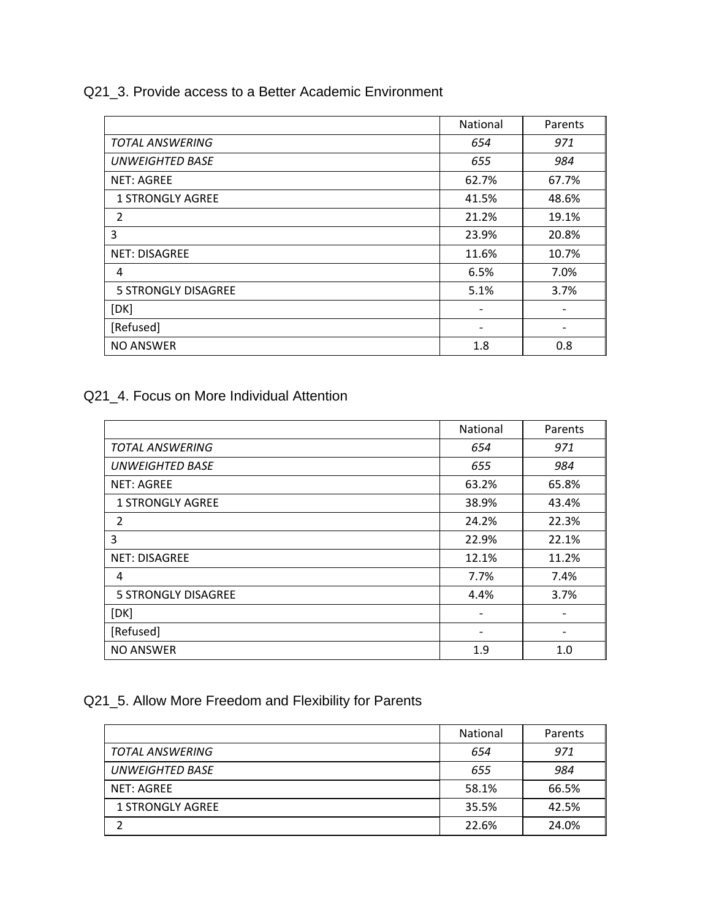Q21\_3. Provide access to a Better Academic Environment

|                         | National                 | Parents                  |
|-------------------------|--------------------------|--------------------------|
| <b>TOTAL ANSWERING</b>  | 654                      | 971                      |
| <b>UNWEIGHTED BASE</b>  | 655                      | 984                      |
| <b>NET: AGREE</b>       | 62.7%                    | 67.7%                    |
| <b>1 STRONGLY AGREE</b> | 41.5%                    | 48.6%                    |
| $\overline{2}$          | 21.2%                    | 19.1%                    |
| 3                       | 23.9%                    | 20.8%                    |
| <b>NET: DISAGREE</b>    | 11.6%                    | 10.7%                    |
| 4                       | 6.5%                     | 7.0%                     |
| 5 STRONGLY DISAGREE     | 5.1%                     | 3.7%                     |
| [DK]                    | $\overline{\phantom{a}}$ |                          |
| [Refused]               | $\overline{\phantom{a}}$ | $\overline{\phantom{a}}$ |
| <b>NO ANSWER</b>        | 1.8                      | 0.8                      |

### Q21\_4. Focus on More Individual Attention

|                            | National                 | Parents |
|----------------------------|--------------------------|---------|
| <b>TOTAL ANSWERING</b>     | 654                      | 971     |
| <b>UNWEIGHTED BASE</b>     | 655                      | 984     |
| <b>NET: AGREE</b>          | 63.2%                    | 65.8%   |
| <b>1 STRONGLY AGREE</b>    | 38.9%                    | 43.4%   |
| 2                          | 24.2%                    | 22.3%   |
| 3                          | 22.9%                    | 22.1%   |
| <b>NET: DISAGREE</b>       | 12.1%                    | 11.2%   |
| 4                          | 7.7%                     | 7.4%    |
| <b>5 STRONGLY DISAGREE</b> | 4.4%                     | 3.7%    |
| [DK]                       | $\overline{\phantom{a}}$ |         |
| [Refused]                  | $\overline{\phantom{a}}$ |         |
| <b>NO ANSWER</b>           | 1.9                      | 1.0     |

## Q21\_5. Allow More Freedom and Flexibility for Parents

|                         | <b>National</b> | Parents |
|-------------------------|-----------------|---------|
| TOTAL ANSWERING         | 654             | 971     |
| <b>UNWEIGHTED BASE</b>  | 655             | 984     |
| NET: AGREE              | 58.1%           | 66.5%   |
| <b>1 STRONGLY AGREE</b> | 35.5%           | 42.5%   |
|                         | 22.6%           | 24.0%   |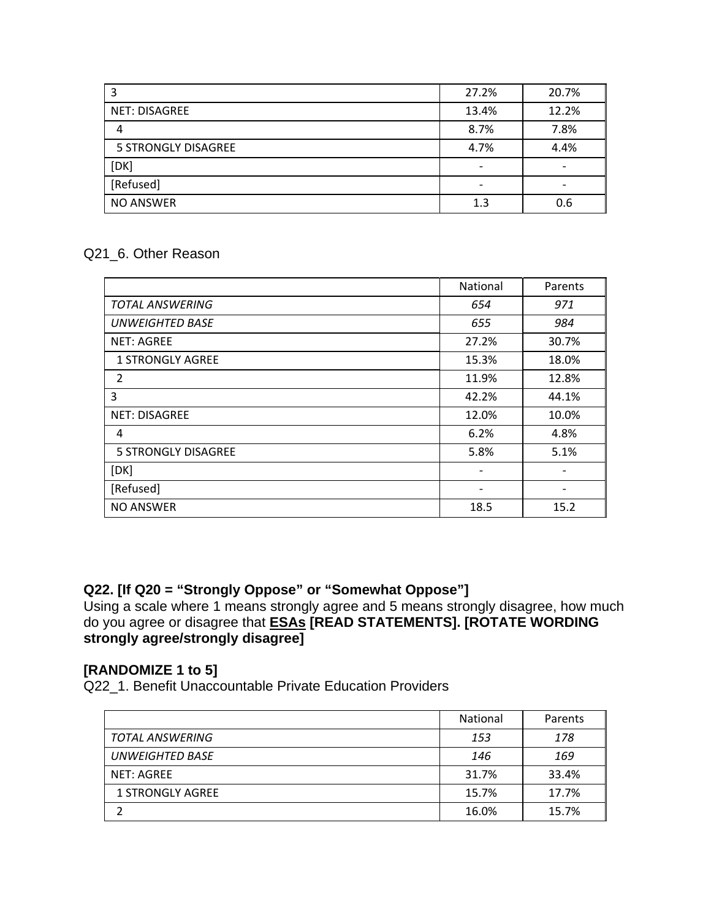|                            | 27.2%                    | 20.7% |
|----------------------------|--------------------------|-------|
| <b>NET: DISAGREE</b>       | 13.4%                    | 12.2% |
| 4                          | 8.7%                     | 7.8%  |
| <b>5 STRONGLY DISAGREE</b> | 4.7%                     | 4.4%  |
| [DK]                       | $\overline{\phantom{0}}$ |       |
| [Refused]                  |                          |       |
| NO ANSWER                  | 1.3                      | 0.6   |

#### Q21\_6. Other Reason

|                            | National | Parents |
|----------------------------|----------|---------|
| <b>TOTAL ANSWERING</b>     | 654      | 971     |
| <b>UNWEIGHTED BASE</b>     | 655      | 984     |
| <b>NET: AGREE</b>          | 27.2%    | 30.7%   |
| <b>1 STRONGLY AGREE</b>    | 15.3%    | 18.0%   |
| 2                          | 11.9%    | 12.8%   |
| 3                          | 42.2%    | 44.1%   |
| <b>NET: DISAGREE</b>       | 12.0%    | 10.0%   |
| 4                          | 6.2%     | 4.8%    |
| <b>5 STRONGLY DISAGREE</b> | 5.8%     | 5.1%    |
| [DK]                       |          |         |
| [Refused]                  |          |         |
| <b>NO ANSWER</b>           | 18.5     | 15.2    |

#### **Q22. [If Q20 = "Strongly Oppose" or "Somewhat Oppose"]**

Using a scale where 1 means strongly agree and 5 means strongly disagree, how much do you agree or disagree that **ESAs [READ STATEMENTS]. [ROTATE WORDING strongly agree/strongly disagree]**

#### **[RANDOMIZE 1 to 5]**

Q22\_1. Benefit Unaccountable Private Education Providers

|                         | <b>National</b> | Parents |
|-------------------------|-----------------|---------|
| <b>TOTAL ANSWERING</b>  | 153             | 178     |
| <b>UNWEIGHTED BASE</b>  | 146             | 169     |
| <b>NET: AGREE</b>       | 31.7%           | 33.4%   |
| <b>1 STRONGLY AGREE</b> | 15.7%           | 17.7%   |
|                         | 16.0%           | 15.7%   |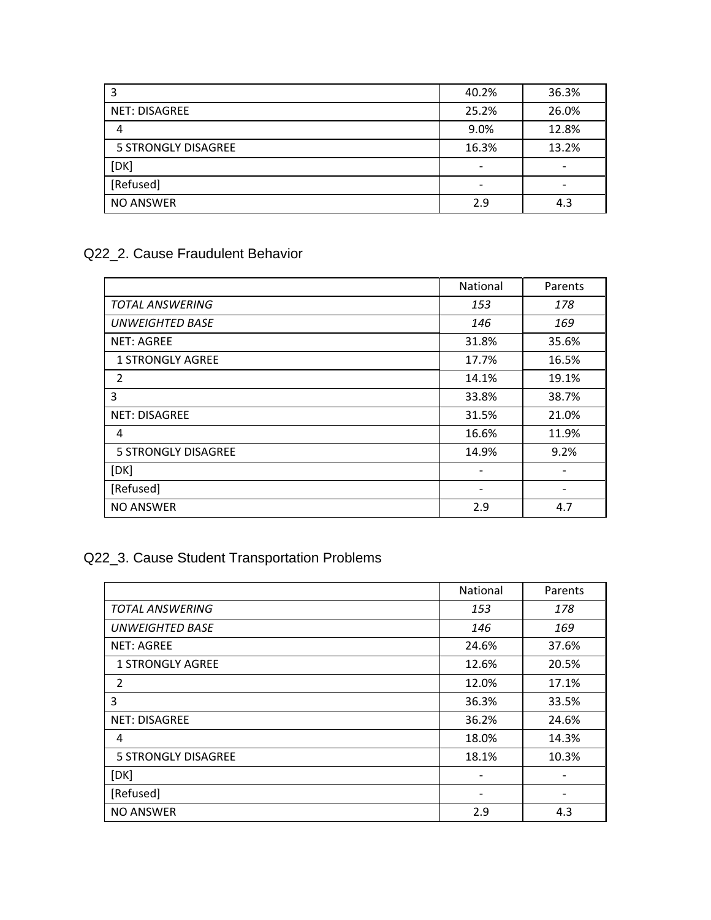| 3                    | 40.2%                    | 36.3% |
|----------------------|--------------------------|-------|
| <b>NET: DISAGREE</b> | 25.2%                    | 26.0% |
| 4                    | 9.0%                     | 12.8% |
| 5 STRONGLY DISAGREE  | 16.3%                    | 13.2% |
| [DK]                 | $\overline{\phantom{a}}$ |       |
| [Refused]            | $\overline{\phantom{0}}$ |       |
| <b>NO ANSWER</b>     | 2.9                      | 4.3   |

## Q22\_2. Cause Fraudulent Behavior

|                            | National | Parents |
|----------------------------|----------|---------|
| <b>TOTAL ANSWERING</b>     | 153      | 178     |
| <b>UNWEIGHTED BASE</b>     | 146      | 169     |
| <b>NET: AGREE</b>          | 31.8%    | 35.6%   |
| <b>1 STRONGLY AGREE</b>    | 17.7%    | 16.5%   |
| 2                          | 14.1%    | 19.1%   |
| 3                          | 33.8%    | 38.7%   |
| <b>NET: DISAGREE</b>       | 31.5%    | 21.0%   |
| 4                          | 16.6%    | 11.9%   |
| <b>5 STRONGLY DISAGREE</b> | 14.9%    | 9.2%    |
| [DK]                       | -        |         |
| [Refused]                  |          |         |
| <b>NO ANSWER</b>           | 2.9      | 4.7     |

## Q22\_3. Cause Student Transportation Problems

|                            | National | Parents |
|----------------------------|----------|---------|
| <b>TOTAL ANSWERING</b>     | 153      | 178     |
| <b>UNWEIGHTED BASE</b>     | 146      | 169     |
| <b>NET: AGREE</b>          | 24.6%    | 37.6%   |
| <b>1 STRONGLY AGREE</b>    | 12.6%    | 20.5%   |
| $\overline{2}$             | 12.0%    | 17.1%   |
| 3                          | 36.3%    | 33.5%   |
| <b>NET: DISAGREE</b>       | 36.2%    | 24.6%   |
| 4                          | 18.0%    | 14.3%   |
| <b>5 STRONGLY DISAGREE</b> | 18.1%    | 10.3%   |
| [DK]                       |          |         |
| [Refused]                  |          |         |
| <b>NO ANSWER</b>           | 2.9      | 4.3     |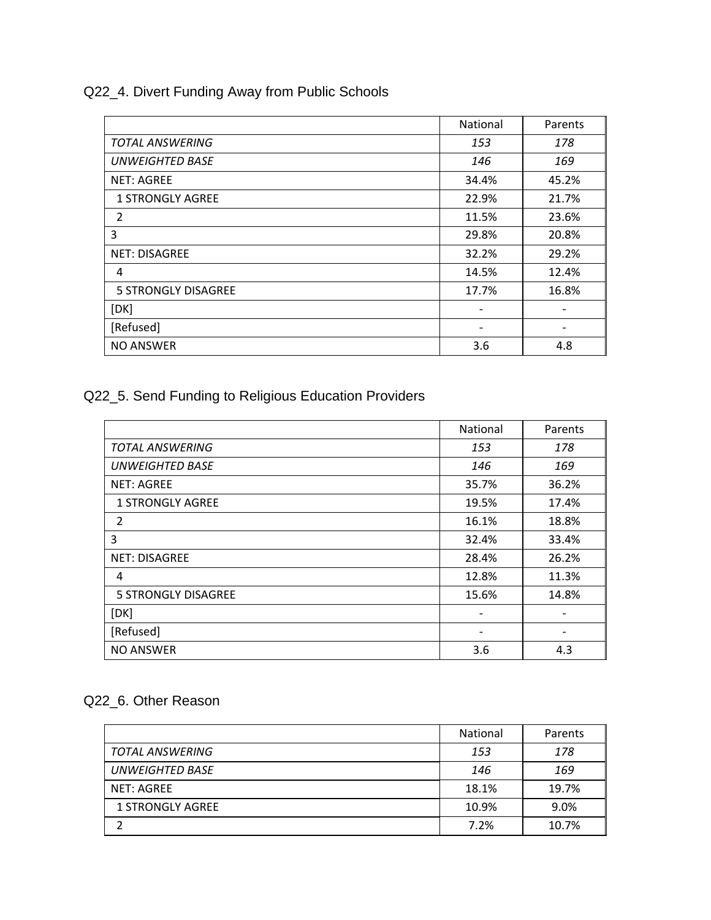Q22\_4. Divert Funding Away from Public Schools

|                            | National | Parents |
|----------------------------|----------|---------|
| <b>TOTAL ANSWERING</b>     | 153      | 178     |
| <b>UNWEIGHTED BASE</b>     | 146      | 169     |
| <b>NET: AGREE</b>          | 34.4%    | 45.2%   |
| <b>1 STRONGLY AGREE</b>    | 22.9%    | 21.7%   |
| 2                          | 11.5%    | 23.6%   |
| 3                          | 29.8%    | 20.8%   |
| <b>NET: DISAGREE</b>       | 32.2%    | 29.2%   |
| 4                          | 14.5%    | 12.4%   |
| <b>5 STRONGLY DISAGREE</b> | 17.7%    | 16.8%   |
| [DK]                       |          |         |
| [Refused]                  |          |         |
| <b>NO ANSWER</b>           | 3.6      | 4.8     |

Q22\_5. Send Funding to Religious Education Providers

|                            | National | Parents |
|----------------------------|----------|---------|
| <b>TOTAL ANSWERING</b>     | 153      | 178     |
| <b>UNWEIGHTED BASE</b>     | 146      | 169     |
| <b>NET: AGREE</b>          | 35.7%    | 36.2%   |
| <b>1 STRONGLY AGREE</b>    | 19.5%    | 17.4%   |
| 2                          | 16.1%    | 18.8%   |
| 3                          | 32.4%    | 33.4%   |
| <b>NET: DISAGREE</b>       | 28.4%    | 26.2%   |
| 4                          | 12.8%    | 11.3%   |
| <b>5 STRONGLY DISAGREE</b> | 15.6%    | 14.8%   |
| [DK]                       | -        |         |
| [Refused]                  | -        |         |
| <b>NO ANSWER</b>           | 3.6      | 4.3     |

## Q22\_6. Other Reason

|                         | <b>National</b> | Parents |
|-------------------------|-----------------|---------|
| TOTAL ANSWERING         | 153             | 178     |
| <b>UNWEIGHTED BASE</b>  | 146             | 169     |
| NET: AGREE              | 18.1%           | 19.7%   |
| <b>1 STRONGLY AGREE</b> | 10.9%           | 9.0%    |
|                         | 7.2%            | 10.7%   |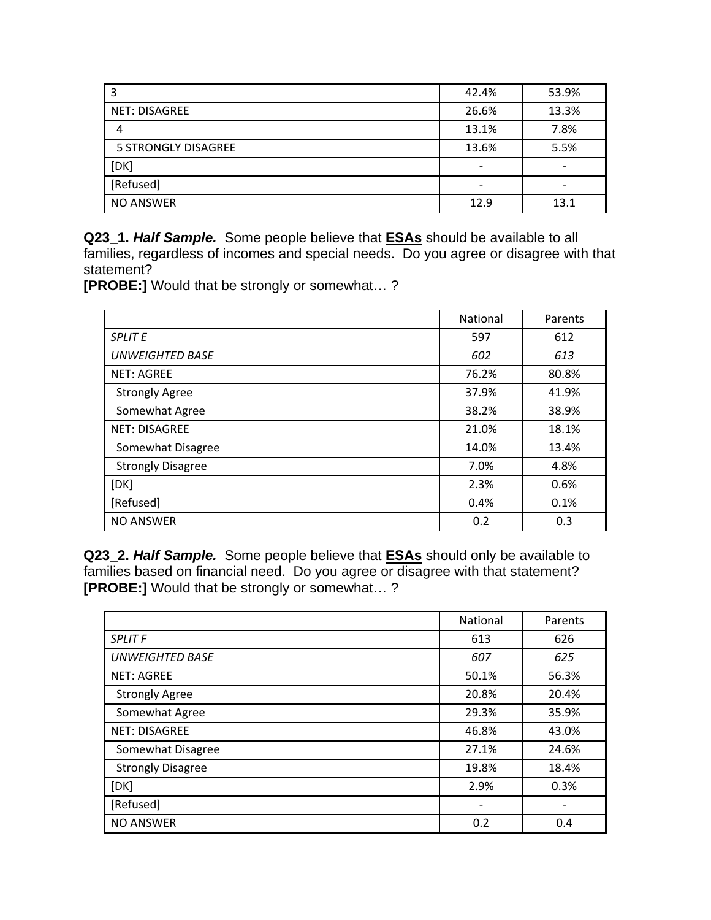| 3                          | 42.4%                    | 53.9% |
|----------------------------|--------------------------|-------|
| <b>NET: DISAGREE</b>       | 26.6%                    | 13.3% |
| 4                          | 13.1%                    | 7.8%  |
| <b>5 STRONGLY DISAGREE</b> | 13.6%                    | 5.5%  |
| [DK]                       | $\overline{\phantom{0}}$ |       |
| [Refused]                  | -                        |       |
| <b>NO ANSWER</b>           | 12.9                     | 13.1  |

**Q23\_1.** *Half Sample.* Some people believe that **ESAs** should be available to all families, regardless of incomes and special needs. Do you agree or disagree with that statement?

**[PROBE:]** Would that be strongly or somewhat… ?

|                          | National | Parents |
|--------------------------|----------|---------|
| <b>SPLIT E</b>           | 597      | 612     |
| <b>UNWEIGHTED BASE</b>   | 602      | 613     |
| <b>NET: AGREE</b>        | 76.2%    | 80.8%   |
| <b>Strongly Agree</b>    | 37.9%    | 41.9%   |
| Somewhat Agree           | 38.2%    | 38.9%   |
| <b>NET: DISAGREE</b>     | 21.0%    | 18.1%   |
| Somewhat Disagree        | 14.0%    | 13.4%   |
| <b>Strongly Disagree</b> | 7.0%     | 4.8%    |
| [DK]                     | 2.3%     | 0.6%    |
| [Refused]                | 0.4%     | 0.1%    |
| <b>NO ANSWER</b>         | 0.2      | 0.3     |

**Q23\_2.** *Half Sample.* Some people believe that **ESAs** should only be available to families based on financial need. Do you agree or disagree with that statement? **[PROBE:]** Would that be strongly or somewhat… ?

|                          | National                     | Parents |
|--------------------------|------------------------------|---------|
| <b>SPLIT F</b>           | 613                          | 626     |
| <b>UNWEIGHTED BASE</b>   | 607                          | 625     |
| <b>NET: AGREE</b>        | 50.1%                        | 56.3%   |
| <b>Strongly Agree</b>    | 20.8%                        | 20.4%   |
| Somewhat Agree           | 29.3%                        | 35.9%   |
| <b>NET: DISAGREE</b>     | 46.8%                        | 43.0%   |
| Somewhat Disagree        | 27.1%                        | 24.6%   |
| <b>Strongly Disagree</b> | 19.8%                        | 18.4%   |
| [DK]                     | 2.9%                         | 0.3%    |
| [Refused]                | $\qquad \qquad \blacksquare$ |         |
| <b>NO ANSWER</b>         | 0.2                          | 0.4     |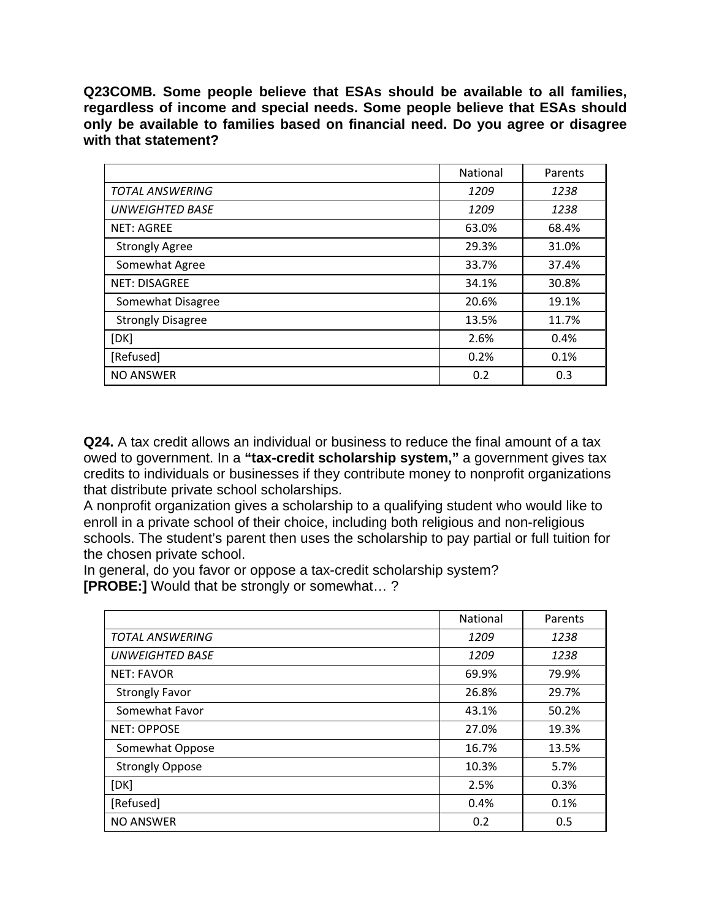**Q23COMB. Some people believe that ESAs should be available to all families, regardless of income and special needs. Some people believe that ESAs should only be available to families based on financial need. Do you agree or disagree with that statement?** 

|                          | National | Parents |
|--------------------------|----------|---------|
| <b>TOTAL ANSWERING</b>   | 1209     | 1238    |
| <b>UNWEIGHTED BASE</b>   | 1209     | 1238    |
| <b>NET: AGREE</b>        | 63.0%    | 68.4%   |
| <b>Strongly Agree</b>    | 29.3%    | 31.0%   |
| Somewhat Agree           | 33.7%    | 37.4%   |
| <b>NET: DISAGREE</b>     | 34.1%    | 30.8%   |
| Somewhat Disagree        | 20.6%    | 19.1%   |
| <b>Strongly Disagree</b> | 13.5%    | 11.7%   |
| [DK]                     | 2.6%     | 0.4%    |
| [Refused]                | 0.2%     | 0.1%    |
| <b>NO ANSWER</b>         | 0.2      | 0.3     |

**Q24.** A tax credit allows an individual or business to reduce the final amount of a tax owed to government. In a **"tax-credit scholarship system,"** a government gives tax credits to individuals or businesses if they contribute money to nonprofit organizations that distribute private school scholarships.

A nonprofit organization gives a scholarship to a qualifying student who would like to enroll in a private school of their choice, including both religious and non-religious schools. The student's parent then uses the scholarship to pay partial or full tuition for the chosen private school.

In general, do you favor or oppose a tax-credit scholarship system? **[PROBE:]** Would that be strongly or somewhat… ?

|                        | National | Parents |
|------------------------|----------|---------|
| <b>TOTAL ANSWERING</b> | 1209     | 1238    |
| <b>UNWEIGHTED BASE</b> | 1209     | 1238    |
| <b>NET: FAVOR</b>      | 69.9%    | 79.9%   |
| <b>Strongly Favor</b>  | 26.8%    | 29.7%   |
| Somewhat Favor         | 43.1%    | 50.2%   |
| <b>NET: OPPOSE</b>     | 27.0%    | 19.3%   |
| Somewhat Oppose        | 16.7%    | 13.5%   |
| <b>Strongly Oppose</b> | 10.3%    | 5.7%    |
| [DK]                   | 2.5%     | 0.3%    |
| [Refused]              | 0.4%     | 0.1%    |
| <b>NO ANSWER</b>       | 0.2      | 0.5     |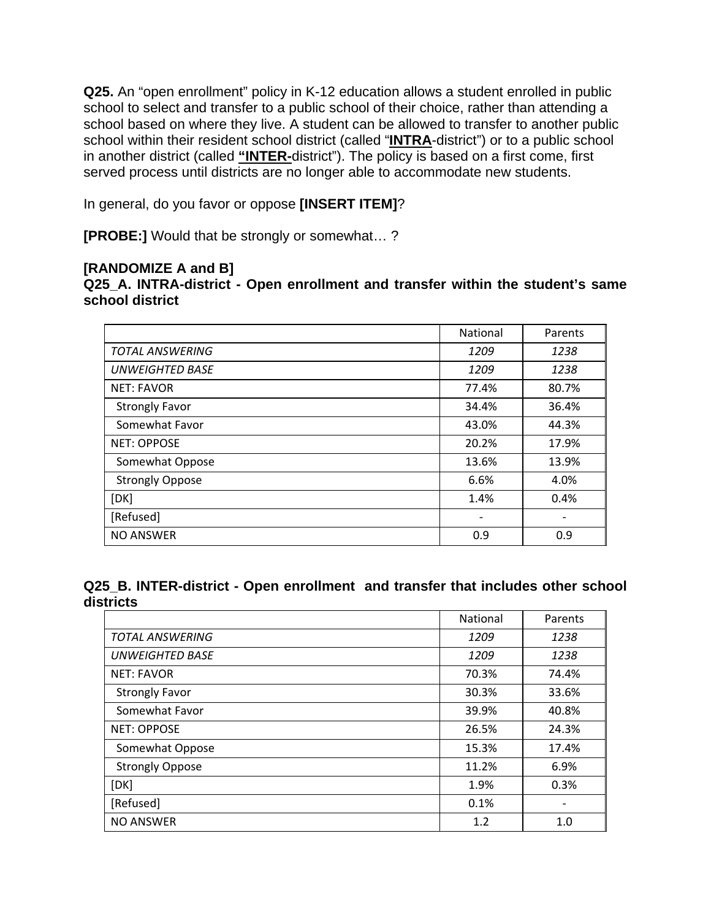**Q25.** An "open enrollment" policy in K-12 education allows a student enrolled in public school to select and transfer to a public school of their choice, rather than attending a school based on where they live. A student can be allowed to transfer to another public school within their resident school district (called "**INTRA**-district") or to a public school in another district (called **"INTER-**district"). The policy is based on a first come, first served process until districts are no longer able to accommodate new students.

In general, do you favor or oppose **[INSERT ITEM]**?

**[PROBE:]** Would that be strongly or somewhat… ?

#### **[RANDOMIZE A and B]**

**Q25\_A. INTRA-district - Open enrollment and transfer within the student's same school district** 

|                        | National                 | Parents                  |
|------------------------|--------------------------|--------------------------|
| <b>TOTAL ANSWERING</b> | 1209                     | 1238                     |
| <b>UNWEIGHTED BASE</b> | 1209                     | 1238                     |
| <b>NET: FAVOR</b>      | 77.4%                    | 80.7%                    |
| <b>Strongly Favor</b>  | 34.4%                    | 36.4%                    |
| Somewhat Favor         | 43.0%                    | 44.3%                    |
| <b>NET: OPPOSE</b>     | 20.2%                    | 17.9%                    |
| Somewhat Oppose        | 13.6%                    | 13.9%                    |
| <b>Strongly Oppose</b> | 6.6%                     | 4.0%                     |
| [DK]                   | 1.4%                     | 0.4%                     |
| [Refused]              | $\overline{\phantom{a}}$ | $\overline{\phantom{a}}$ |
| <b>NO ANSWER</b>       | 0.9                      | 0.9                      |

**Q25\_B. INTER-district - Open enrollment and transfer that includes other school districts** 

|                        | <b>National</b> | Parents |
|------------------------|-----------------|---------|
| <b>TOTAL ANSWERING</b> | 1209            | 1238    |
| <b>UNWEIGHTED BASE</b> | 1209            | 1238    |
| <b>NET: FAVOR</b>      | 70.3%           | 74.4%   |
| <b>Strongly Favor</b>  | 30.3%           | 33.6%   |
| Somewhat Favor         | 39.9%           | 40.8%   |
| <b>NET: OPPOSE</b>     | 26.5%           | 24.3%   |
| Somewhat Oppose        | 15.3%           | 17.4%   |
| <b>Strongly Oppose</b> | 11.2%           | 6.9%    |
| [DK]                   | 1.9%            | 0.3%    |
| [Refused]              | 0.1%            |         |
| <b>NO ANSWER</b>       | 1.2             | 1.0     |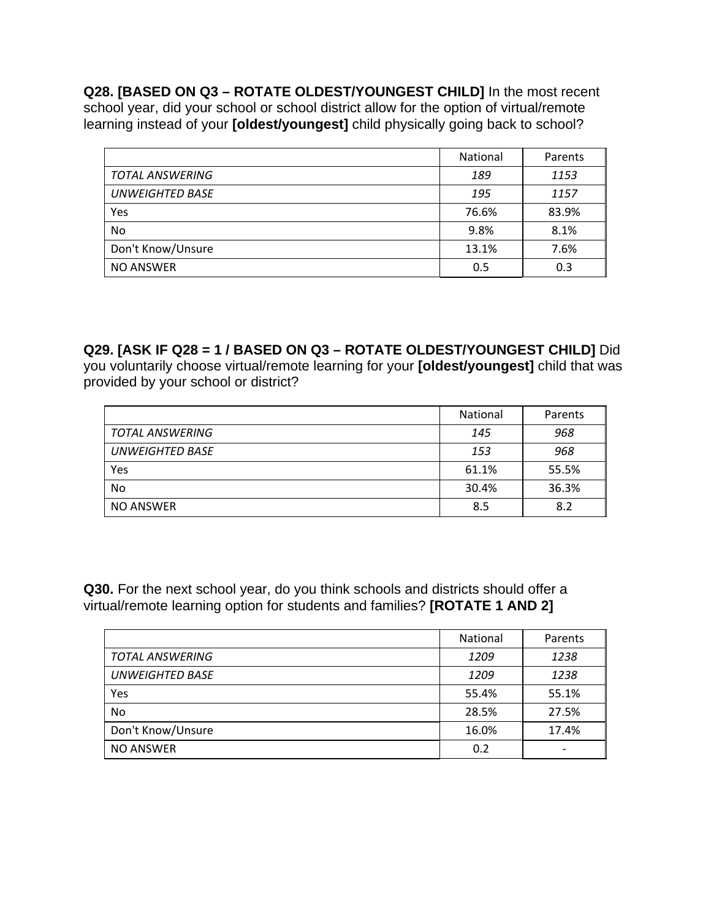**Q28. [BASED ON Q3 – ROTATE OLDEST/YOUNGEST CHILD]** In the most recent school year, did your school or school district allow for the option of virtual/remote learning instead of your **[oldest/youngest]** child physically going back to school?

|                        | National | Parents |
|------------------------|----------|---------|
| TOTAL ANSWERING        | 189      | 1153    |
| <b>UNWEIGHTED BASE</b> | 195      | 1157    |
| Yes                    | 76.6%    | 83.9%   |
| No                     | 9.8%     | 8.1%    |
| Don't Know/Unsure      | 13.1%    | 7.6%    |
| <b>NO ANSWER</b>       | 0.5      | 0.3     |

**Q29. [ASK IF Q28 = 1 / BASED ON Q3 – ROTATE OLDEST/YOUNGEST CHILD]** Did you voluntarily choose virtual/remote learning for your **[oldest/youngest]** child that was provided by your school or district?

|                        | National | Parents |
|------------------------|----------|---------|
| <b>TOTAL ANSWERING</b> | 145      | 968     |
| <b>UNWEIGHTED BASE</b> | 153      | 968     |
| Yes                    | 61.1%    | 55.5%   |
| No                     | 30.4%    | 36.3%   |
| NO ANSWER              | 8.5      | 8.2     |

**Q30.** For the next school year, do you think schools and districts should offer a virtual/remote learning option for students and families? **[ROTATE 1 AND 2]**

|                        | National | Parents |
|------------------------|----------|---------|
| <b>TOTAL ANSWERING</b> | 1209     | 1238    |
| <b>UNWEIGHTED BASE</b> | 1209     | 1238    |
| Yes                    | 55.4%    | 55.1%   |
| <b>No</b>              | 28.5%    | 27.5%   |
| Don't Know/Unsure      | 16.0%    | 17.4%   |
| <b>NO ANSWER</b>       | 0.2      |         |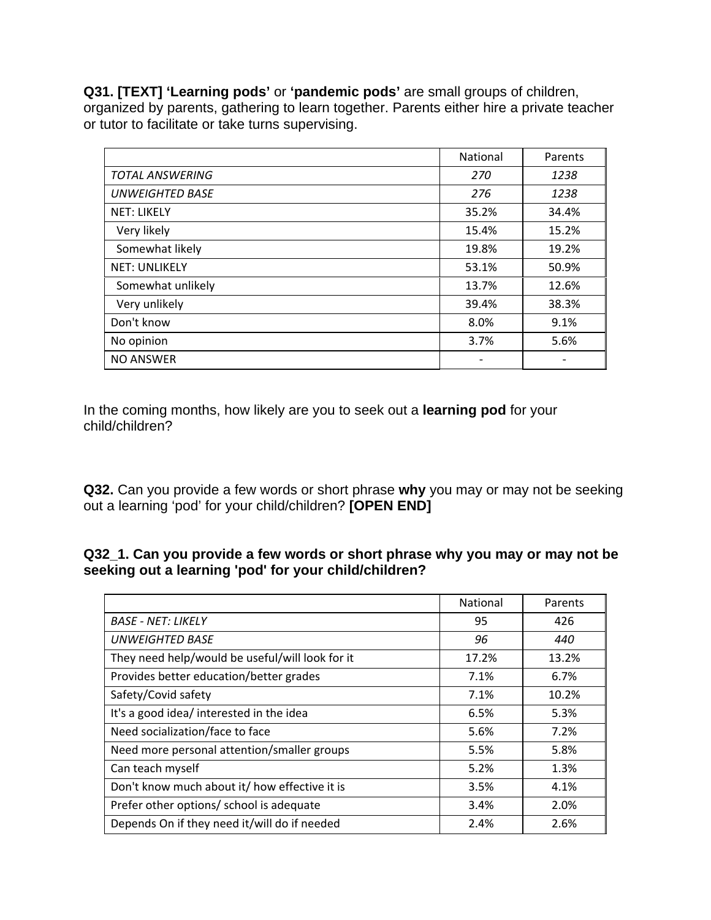**Q31. [TEXT] 'Learning pods'** or **'pandemic pods'** are small groups of children, organized by parents, gathering to learn together. Parents either hire a private teacher or tutor to facilitate or take turns supervising.

|                        | National | Parents |
|------------------------|----------|---------|
| <b>TOTAL ANSWERING</b> | 270      | 1238    |
| <b>UNWEIGHTED BASE</b> | 276      | 1238    |
| <b>NET: LIKELY</b>     | 35.2%    | 34.4%   |
| Very likely            | 15.4%    | 15.2%   |
| Somewhat likely        | 19.8%    | 19.2%   |
| <b>NET: UNLIKELY</b>   | 53.1%    | 50.9%   |
| Somewhat unlikely      | 13.7%    | 12.6%   |
| Very unlikely          | 39.4%    | 38.3%   |
| Don't know             | 8.0%     | 9.1%    |
| No opinion             | 3.7%     | 5.6%    |
| <b>NO ANSWER</b>       |          |         |

In the coming months, how likely are you to seek out a **learning pod** for your child/children?

**Q32.** Can you provide a few words or short phrase **why** you may or may not be seeking out a learning 'pod' for your child/children? **[OPEN END]** 

### **Q32\_1. Can you provide a few words or short phrase why you may or may not be seeking out a learning 'pod' for your child/children?**

|                                                 | National | Parents |
|-------------------------------------------------|----------|---------|
| <b>BASE - NET: LIKELY</b>                       | 95       | 426     |
| <b>UNWEIGHTED BASE</b>                          | 96       | 440     |
| They need help/would be useful/will look for it | 17.2%    | 13.2%   |
| Provides better education/better grades         | 7.1%     | 6.7%    |
| Safety/Covid safety                             | 7.1%     | 10.2%   |
| It's a good idea/ interested in the idea        | 6.5%     | 5.3%    |
| Need socialization/face to face                 | 5.6%     | 7.2%    |
| Need more personal attention/smaller groups     | 5.5%     | 5.8%    |
| Can teach myself                                | 5.2%     | 1.3%    |
| Don't know much about it/ how effective it is   | 3.5%     | 4.1%    |
| Prefer other options/ school is adequate        | 3.4%     | 2.0%    |
| Depends On if they need it/will do if needed    | 2.4%     | 2.6%    |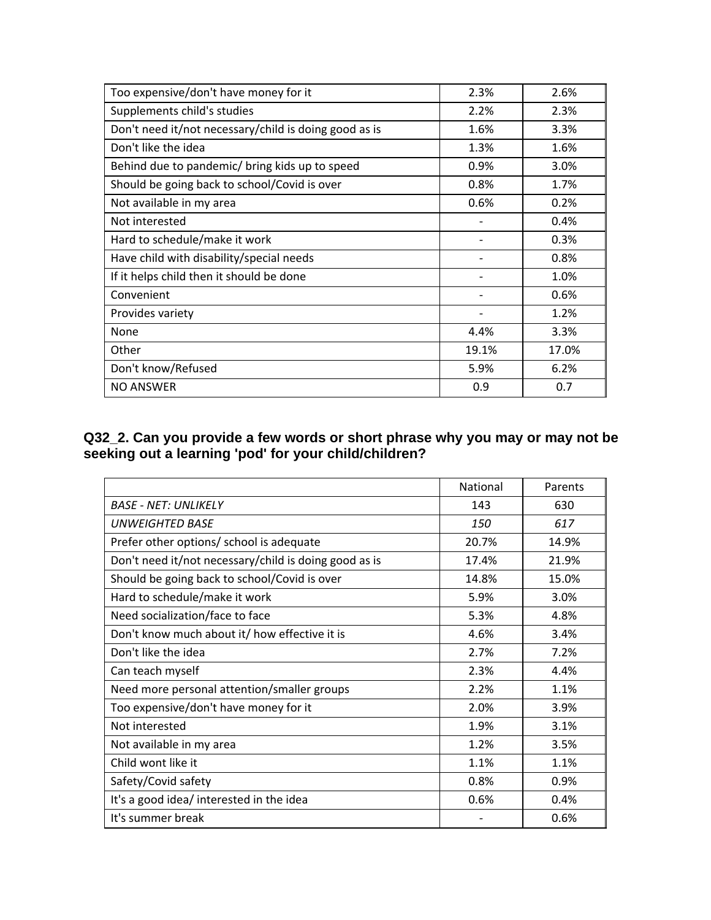| Too expensive/don't have money for it                 | 2.3%                         | 2.6%  |
|-------------------------------------------------------|------------------------------|-------|
| Supplements child's studies                           | 2.2%                         | 2.3%  |
| Don't need it/not necessary/child is doing good as is | 1.6%                         | 3.3%  |
| Don't like the idea                                   | 1.3%                         | 1.6%  |
| Behind due to pandemic/ bring kids up to speed        | 0.9%                         | 3.0%  |
| Should be going back to school/Covid is over          | 0.8%                         | 1.7%  |
| Not available in my area                              | 0.6%                         | 0.2%  |
| Not interested                                        |                              | 0.4%  |
| Hard to schedule/make it work                         |                              | 0.3%  |
| Have child with disability/special needs              |                              | 0.8%  |
| If it helps child then it should be done              |                              | 1.0%  |
| Convenient                                            | $\qquad \qquad \blacksquare$ | 0.6%  |
| Provides variety                                      |                              | 1.2%  |
| None                                                  | 4.4%                         | 3.3%  |
| Other                                                 | 19.1%                        | 17.0% |
| Don't know/Refused                                    | 5.9%                         | 6.2%  |
| <b>NO ANSWER</b>                                      | 0.9                          | 0.7   |

### **Q32\_2. Can you provide a few words or short phrase why you may or may not be seeking out a learning 'pod' for your child/children?**

|                                                       | National   | Parents |
|-------------------------------------------------------|------------|---------|
| <b>BASE - NET: UNLIKELY</b>                           | 143        | 630     |
| UNWEIGHTED BASE                                       | <i>150</i> | 617     |
| Prefer other options/ school is adequate              | 20.7%      | 14.9%   |
| Don't need it/not necessary/child is doing good as is | 17.4%      | 21.9%   |
| Should be going back to school/Covid is over          | 14.8%      | 15.0%   |
| Hard to schedule/make it work                         | 5.9%       | 3.0%    |
| Need socialization/face to face                       | 5.3%       | 4.8%    |
| Don't know much about it/ how effective it is         | 4.6%       | 3.4%    |
| Don't like the idea                                   | 2.7%       | 7.2%    |
| Can teach myself                                      | 2.3%       | 4.4%    |
| Need more personal attention/smaller groups           | 2.2%       | 1.1%    |
| Too expensive/don't have money for it                 | 2.0%       | 3.9%    |
| Not interested                                        | 1.9%       | 3.1%    |
| Not available in my area                              | 1.2%       | 3.5%    |
| Child wont like it                                    | 1.1%       | 1.1%    |
| Safety/Covid safety                                   | 0.8%       | 0.9%    |
| It's a good idea/ interested in the idea              | 0.6%       | 0.4%    |
| It's summer break                                     |            | 0.6%    |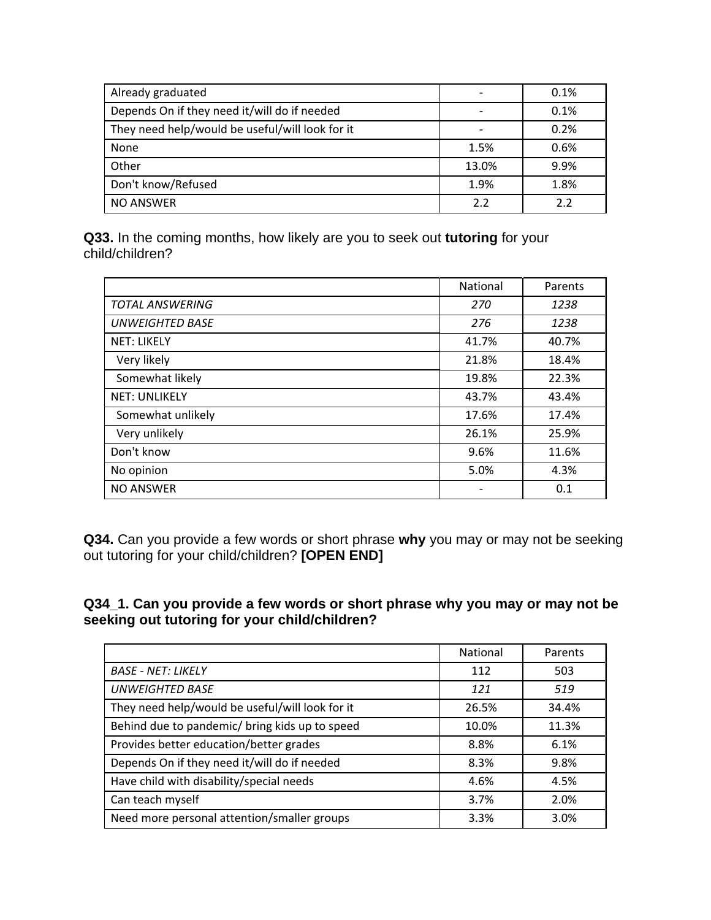| Already graduated                               |       | 0.1% |
|-------------------------------------------------|-------|------|
| Depends On if they need it/will do if needed    |       | 0.1% |
| They need help/would be useful/will look for it |       | 0.2% |
| None                                            | 1.5%  | 0.6% |
| Other                                           | 13.0% | 9.9% |
| Don't know/Refused                              | 1.9%  | 1.8% |
| <b>NO ANSWER</b>                                | 2.2   | 2.2  |

**Q33.** In the coming months, how likely are you to seek out **tutoring** for your child/children?

|                        | <b>National</b> | Parents |
|------------------------|-----------------|---------|
| <b>TOTAL ANSWERING</b> | 270             | 1238    |
| <b>UNWEIGHTED BASE</b> | 276             | 1238    |
| <b>NET: LIKELY</b>     | 41.7%           | 40.7%   |
| Very likely            | 21.8%           | 18.4%   |
| Somewhat likely        | 19.8%           | 22.3%   |
| <b>NET: UNLIKELY</b>   | 43.7%           | 43.4%   |
| Somewhat unlikely      | 17.6%           | 17.4%   |
| Very unlikely          | 26.1%           | 25.9%   |
| Don't know             | 9.6%            | 11.6%   |
| No opinion             | 5.0%            | 4.3%    |
| <b>NO ANSWER</b>       |                 | 0.1     |

**Q34.** Can you provide a few words or short phrase **why** you may or may not be seeking out tutoring for your child/children? **[OPEN END]** 

### **Q34\_1. Can you provide a few words or short phrase why you may or may not be seeking out tutoring for your child/children?**

|                                                 | <b>National</b> | Parents |
|-------------------------------------------------|-----------------|---------|
| <b>BASE - NET: LIKELY</b>                       | 112             | 503     |
| <b>UNWEIGHTED BASE</b>                          | 121             | 519     |
| They need help/would be useful/will look for it | 26.5%           | 34.4%   |
| Behind due to pandemic/ bring kids up to speed  | 10.0%           | 11.3%   |
| Provides better education/better grades         | 8.8%            | 6.1%    |
| Depends On if they need it/will do if needed    | 8.3%            | 9.8%    |
| Have child with disability/special needs        | 4.6%            | 4.5%    |
| Can teach myself                                | 3.7%            | 2.0%    |
| Need more personal attention/smaller groups     | 3.3%            | 3.0%    |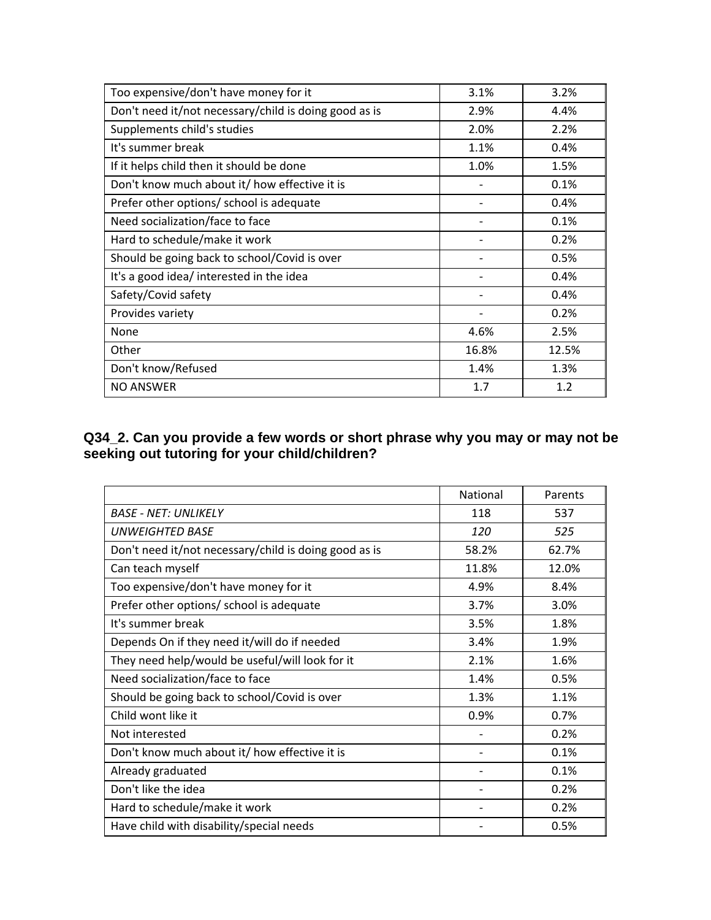| Too expensive/don't have money for it                 | 3.1%                     | 3.2%  |
|-------------------------------------------------------|--------------------------|-------|
| Don't need it/not necessary/child is doing good as is | 2.9%                     | 4.4%  |
| Supplements child's studies                           | 2.0%                     | 2.2%  |
| It's summer break                                     | 1.1%                     | 0.4%  |
| If it helps child then it should be done              | 1.0%                     | 1.5%  |
| Don't know much about it/ how effective it is         |                          | 0.1%  |
| Prefer other options/ school is adequate              | $\overline{\phantom{a}}$ | 0.4%  |
| Need socialization/face to face                       |                          | 0.1%  |
| Hard to schedule/make it work                         |                          | 0.2%  |
| Should be going back to school/Covid is over          |                          | 0.5%  |
| It's a good idea/ interested in the idea              |                          | 0.4%  |
| Safety/Covid safety                                   | $\overline{\phantom{a}}$ | 0.4%  |
| Provides variety                                      |                          | 0.2%  |
| None                                                  | 4.6%                     | 2.5%  |
| Other                                                 | 16.8%                    | 12.5% |
| Don't know/Refused                                    | 1.4%                     | 1.3%  |
| <b>NO ANSWER</b>                                      | 1.7                      | 1.2   |

### **Q34\_2. Can you provide a few words or short phrase why you may or may not be seeking out tutoring for your child/children?**

|                                                       | <b>National</b> | Parents |
|-------------------------------------------------------|-----------------|---------|
| <b>BASE - NET: UNLIKELY</b>                           | 118             | 537     |
| <b>UNWEIGHTED BASE</b>                                | 120             | 525     |
| Don't need it/not necessary/child is doing good as is | 58.2%           | 62.7%   |
| Can teach myself                                      | 11.8%           | 12.0%   |
| Too expensive/don't have money for it                 | 4.9%            | 8.4%    |
| Prefer other options/ school is adequate              | 3.7%            | 3.0%    |
| It's summer break                                     | 3.5%            | 1.8%    |
| Depends On if they need it/will do if needed          | 3.4%            | 1.9%    |
| They need help/would be useful/will look for it       | 2.1%            | 1.6%    |
| Need socialization/face to face                       | 1.4%            | 0.5%    |
| Should be going back to school/Covid is over          | 1.3%            | 1.1%    |
| Child wont like it                                    | 0.9%            | 0.7%    |
| Not interested                                        |                 | 0.2%    |
| Don't know much about it/ how effective it is         |                 | 0.1%    |
| Already graduated                                     |                 | 0.1%    |
| Don't like the idea                                   |                 | 0.2%    |
| Hard to schedule/make it work                         |                 | 0.2%    |
| Have child with disability/special needs              |                 | 0.5%    |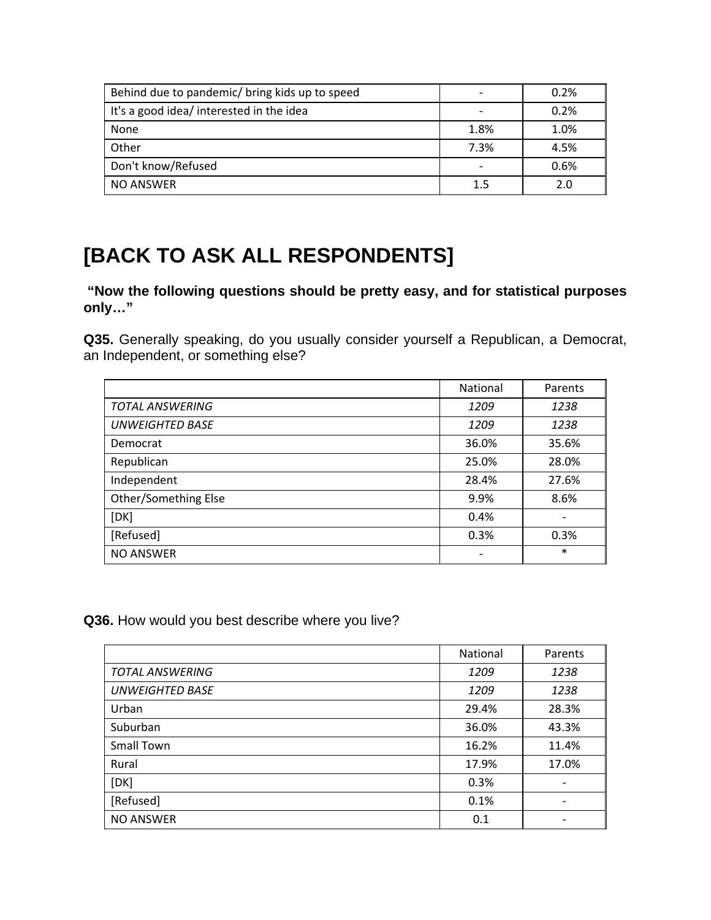| Behind due to pandemic/ bring kids up to speed |                          | 0.2% |
|------------------------------------------------|--------------------------|------|
| It's a good idea/ interested in the idea       |                          | 0.2% |
| None                                           | 1.8%                     | 1.0% |
| Other                                          | 7.3%                     | 4.5% |
| Don't know/Refused                             | $\overline{\phantom{0}}$ | 0.6% |
| NO ANSWER                                      | $1.5\,$                  | 2.0  |

# **[BACK TO ASK ALL RESPONDENTS]**

 **"Now the following questions should be pretty easy, and for statistical purposes only…"** 

**Q35.** Generally speaking, do you usually consider yourself a Republican, a Democrat, an Independent, or something else?

|                        | National | Parents |
|------------------------|----------|---------|
| <b>TOTAL ANSWERING</b> | 1209     | 1238    |
| <b>UNWEIGHTED BASE</b> | 1209     | 1238    |
| Democrat               | 36.0%    | 35.6%   |
| Republican             | 25.0%    | 28.0%   |
| Independent            | 28.4%    | 27.6%   |
| Other/Something Else   | 9.9%     | 8.6%    |
| [DK]                   | 0.4%     |         |
| [Refused]              | 0.3%     | 0.3%    |
| <b>NO ANSWER</b>       |          | $\ast$  |

**Q36.** How would you best describe where you live?

|                        | National | Parents |
|------------------------|----------|---------|
| <b>TOTAL ANSWERING</b> | 1209     | 1238    |
| <b>UNWEIGHTED BASE</b> | 1209     | 1238    |
| Urban                  | 29.4%    | 28.3%   |
| Suburban               | 36.0%    | 43.3%   |
| <b>Small Town</b>      | 16.2%    | 11.4%   |
| Rural                  | 17.9%    | 17.0%   |
| [DK]                   | 0.3%     |         |
| [Refused]              | 0.1%     |         |
| <b>NO ANSWER</b>       | 0.1      |         |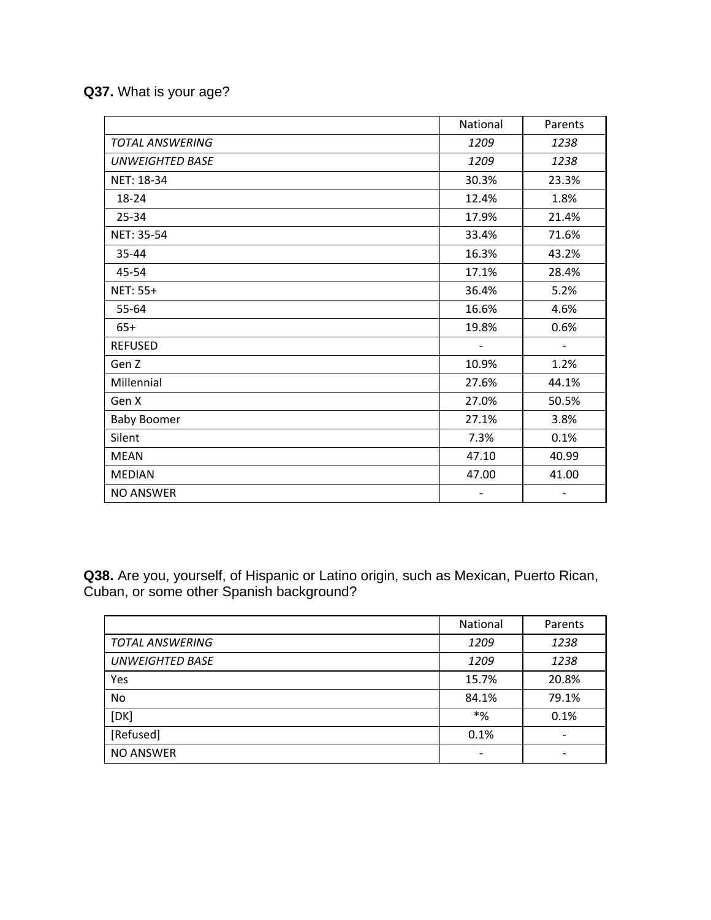# **Q37.** What is your age?

|                        | National | Parents |
|------------------------|----------|---------|
| <b>TOTAL ANSWERING</b> | 1209     | 1238    |
| <b>UNWEIGHTED BASE</b> | 1209     | 1238    |
| NET: 18-34             | 30.3%    | 23.3%   |
| 18-24                  | 12.4%    | 1.8%    |
| 25-34                  | 17.9%    | 21.4%   |
| NET: 35-54             | 33.4%    | 71.6%   |
| 35-44                  | 16.3%    | 43.2%   |
| 45-54                  | 17.1%    | 28.4%   |
| NET: 55+               | 36.4%    | 5.2%    |
| 55-64                  | 16.6%    | 4.6%    |
| $65+$                  | 19.8%    | 0.6%    |
| <b>REFUSED</b>         |          |         |
| Gen Z                  | 10.9%    | 1.2%    |
| Millennial             | 27.6%    | 44.1%   |
| Gen X                  | 27.0%    | 50.5%   |
| <b>Baby Boomer</b>     | 27.1%    | 3.8%    |
| Silent                 | 7.3%     | 0.1%    |
| <b>MEAN</b>            | 47.10    | 40.99   |
| <b>MEDIAN</b>          | 47.00    | 41.00   |
| <b>NO ANSWER</b>       |          |         |

**Q38.** Are you, yourself, of Hispanic or Latino origin, such as Mexican, Puerto Rican, Cuban, or some other Spanish background?

|                        | National                 | Parents |
|------------------------|--------------------------|---------|
| <b>TOTAL ANSWERING</b> | 1209                     | 1238    |
| <b>UNWEIGHTED BASE</b> | 1209                     | 1238    |
| Yes                    | 15.7%                    | 20.8%   |
| No                     | 84.1%                    | 79.1%   |
| [DK]                   | $*%$                     | 0.1%    |
| [Refused]              | 0.1%                     |         |
| <b>NO ANSWER</b>       | $\overline{\phantom{a}}$ |         |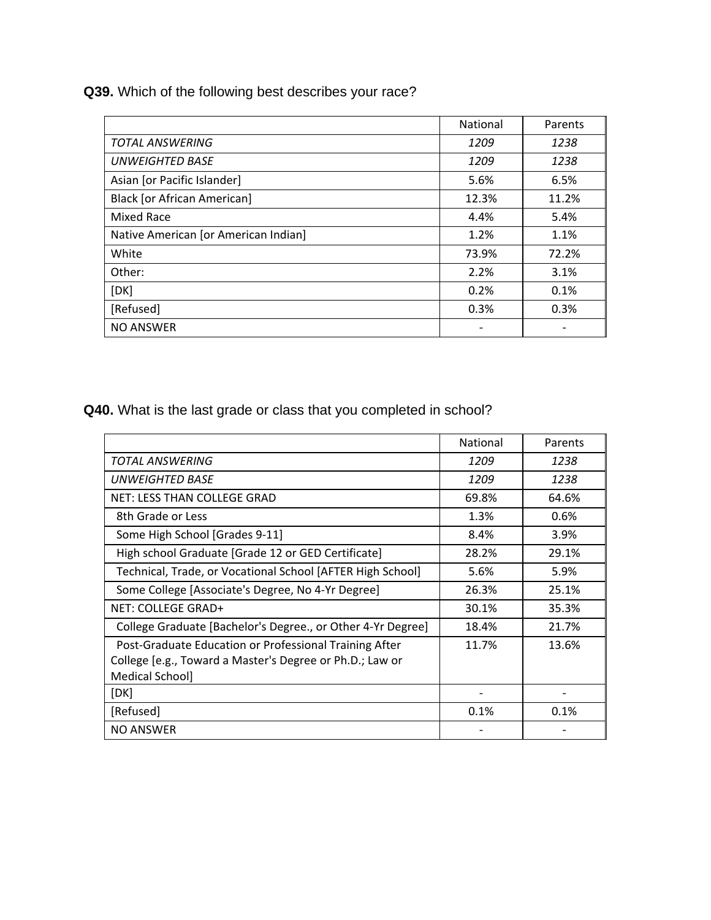**Q39.** Which of the following best describes your race?

|                                      | <b>National</b> | Parents |
|--------------------------------------|-----------------|---------|
| <b>TOTAL ANSWERING</b>               | 1209            | 1238    |
| UNWEIGHTED BASE                      | 1209            | 1238    |
| Asian [or Pacific Islander]          | 5.6%            | 6.5%    |
| <b>Black [or African American]</b>   | 12.3%           | 11.2%   |
| Mixed Race                           | 4.4%            | 5.4%    |
| Native American [or American Indian] | 1.2%            | 1.1%    |
| White                                | 73.9%           | 72.2%   |
| Other:                               | 2.2%            | 3.1%    |
| [DK]                                 | 0.2%            | 0.1%    |
| [Refused]                            | 0.3%            | 0.3%    |
| <b>NO ANSWER</b>                     |                 |         |

**Q40.** What is the last grade or class that you completed in school?

|                                                                                                                                       | <b>National</b> | Parents |
|---------------------------------------------------------------------------------------------------------------------------------------|-----------------|---------|
| TOTAL ANSWERING                                                                                                                       | 1209            | 1238    |
| UNWEIGHTED BASE                                                                                                                       | 1209            | 1238    |
| NET: LESS THAN COLLEGE GRAD                                                                                                           | 69.8%           | 64.6%   |
| 8th Grade or Less                                                                                                                     | 1.3%            | 0.6%    |
| Some High School [Grades 9-11]                                                                                                        | 8.4%            | 3.9%    |
| High school Graduate [Grade 12 or GED Certificate]                                                                                    | 28.2%           | 29.1%   |
| Technical, Trade, or Vocational School [AFTER High School]                                                                            | 5.6%            | 5.9%    |
| Some College [Associate's Degree, No 4-Yr Degree]                                                                                     | 26.3%           | 25.1%   |
| NET: COLLEGE GRAD+                                                                                                                    | 30.1%           | 35.3%   |
| College Graduate [Bachelor's Degree., or Other 4-Yr Degree]                                                                           | 18.4%           | 21.7%   |
| Post-Graduate Education or Professional Training After<br>College [e.g., Toward a Master's Degree or Ph.D.; Law or<br>Medical School] | 11.7%           | 13.6%   |
| [DK]                                                                                                                                  |                 |         |
| [Refused]                                                                                                                             | 0.1%            | 0.1%    |
| <b>NO ANSWER</b>                                                                                                                      |                 |         |